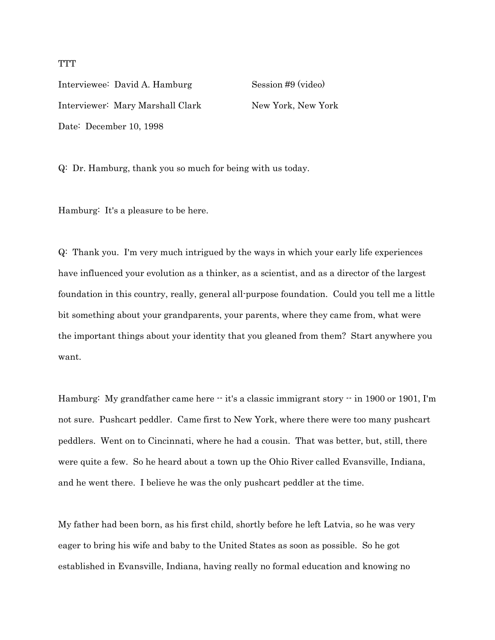Interviewee: David A. Hamburg Session #9 (video) Interviewer: Mary Marshall Clark New York, New York Date: December 10, 1998

Q: Dr. Hamburg, thank you so much for being with us today.

Hamburg: It's a pleasure to be here.

Q: Thank you. I'm very much intrigued by the ways in which your early life experiences have influenced your evolution as a thinker, as a scientist, and as a director of the largest foundation in this country, really, general all-purpose foundation. Could you tell me a little bit something about your grandparents, your parents, where they came from, what were the important things about your identity that you gleaned from them? Start anywhere you want.

Hamburg: My grandfather came here  $\cdot \cdot$  it's a classic immigrant story  $\cdot \cdot$  in 1900 or 1901, I'm not sure. Pushcart peddler. Came first to New York, where there were too many pushcart peddlers. Went on to Cincinnati, where he had a cousin. That was better, but, still, there were quite a few. So he heard about a town up the Ohio River called Evansville, Indiana, and he went there. I believe he was the only pushcart peddler at the time.

My father had been born, as his first child, shortly before he left Latvia, so he was very eager to bring his wife and baby to the United States as soon as possible. So he got established in Evansville, Indiana, having really no formal education and knowing no

## **TTT**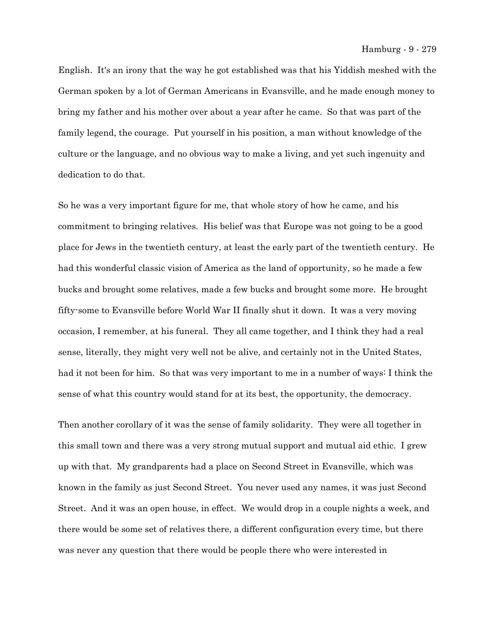English. It's an irony that the way he got established was that his Yiddish meshed with the German spoken by a lot of German Americans in Evansville, and he made enough money to bring my father and his mother over about a year after he came. So that was part of the family legend, the courage. Put yourself in his position, a man without knowledge of the culture or the language, and no obvious way to make a living, and yet such ingenuity and dedication to do that.

So he was a very important figure for me, that whole story of how he came, and his commitment to bringing relatives. His belief was that Europe was not going to be a good place for Jews in the twentieth century, at least the early part of the twentieth century. He had this wonderful classic vision of America as the land of opportunity, so he made a few bucks and brought some relatives, made a few bucks and brought some more. He brought fifty-some to Evansville before World War II finally shut it down. It was a very moving occasion, I remember, at his funeral. They all came together, and I think they had a real sense, literally, they might very well not be alive, and certainly not in the United States, had it not been for him. So that was very important to me in a number of ways: I think the sense of what this country would stand for at its best, the opportunity, the democracy.

Then another corollary of it was the sense of family solidarity. They were all together in this small town and there was a very strong mutual support and mutual aid ethic. I grew up with that. My grandparents had a place on Second Street in Evansville, which was known in the family as just Second Street. You never used any names, it was just Second Street. And it was an open house, in effect. We would drop in a couple nights a week, and there would be some set of relatives there, a different configuration every time, but there was never any question that there would be people there who were interested in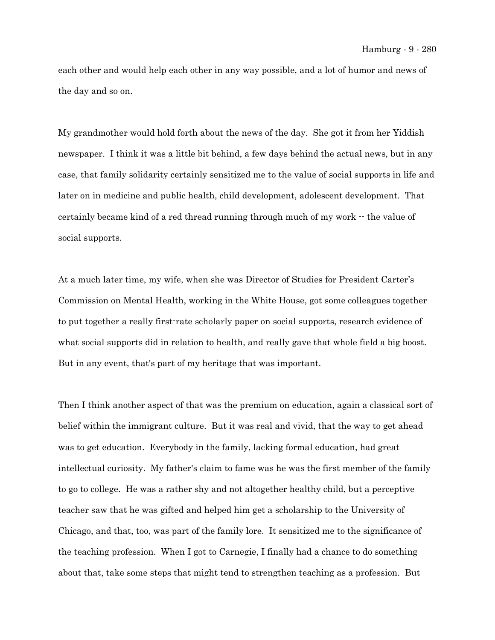each other and would help each other in any way possible, and a lot of humor and news of the day and so on.

My grandmother would hold forth about the news of the day. She got it from her Yiddish newspaper. I think it was a little bit behind, a few days behind the actual news, but in any case, that family solidarity certainly sensitized me to the value of social supports in life and later on in medicine and public health, child development, adolescent development. That certainly became kind of a red thread running through much of my work  $\cdot\cdot$  the value of social supports.

At a much later time, my wife, when she was Director of Studies for President Carter's Commission on Mental Health, working in the White House, got some colleagues together to put together a really first-rate scholarly paper on social supports, research evidence of what social supports did in relation to health, and really gave that whole field a big boost. But in any event, that's part of my heritage that was important.

Then I think another aspect of that was the premium on education, again a classical sort of belief within the immigrant culture. But it was real and vivid, that the way to get ahead was to get education. Everybody in the family, lacking formal education, had great intellectual curiosity. My father's claim to fame was he was the first member of the family to go to college. He was a rather shy and not altogether healthy child, but a perceptive teacher saw that he was gifted and helped him get a scholarship to the University of Chicago, and that, too, was part of the family lore. It sensitized me to the significance of the teaching profession. When I got to Carnegie, I finally had a chance to do something about that, take some steps that might tend to strengthen teaching as a profession. But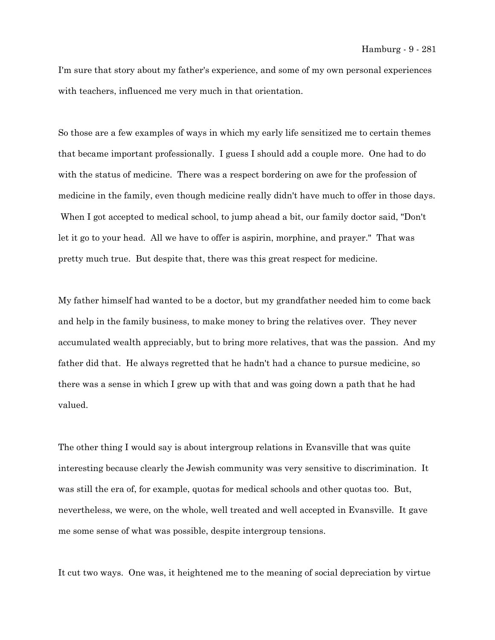I'm sure that story about my father's experience, and some of my own personal experiences with teachers, influenced me very much in that orientation.

So those are a few examples of ways in which my early life sensitized me to certain themes that became important professionally. I guess I should add a couple more. One had to do with the status of medicine. There was a respect bordering on awe for the profession of medicine in the family, even though medicine really didn't have much to offer in those days. When I got accepted to medical school, to jump ahead a bit, our family doctor said, "Don't let it go to your head. All we have to offer is aspirin, morphine, and prayer." That was pretty much true. But despite that, there was this great respect for medicine.

My father himself had wanted to be a doctor, but my grandfather needed him to come back and help in the family business, to make money to bring the relatives over. They never accumulated wealth appreciably, but to bring more relatives, that was the passion. And my father did that. He always regretted that he hadn't had a chance to pursue medicine, so there was a sense in which I grew up with that and was going down a path that he had valued.

The other thing I would say is about intergroup relations in Evansville that was quite interesting because clearly the Jewish community was very sensitive to discrimination. It was still the era of, for example, quotas for medical schools and other quotas too. But, nevertheless, we were, on the whole, well treated and well accepted in Evansville. It gave me some sense of what was possible, despite intergroup tensions.

It cut two ways. One was, it heightened me to the meaning of social depreciation by virtue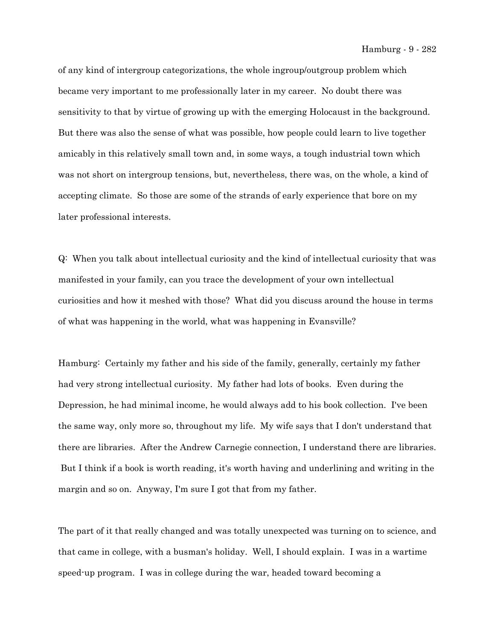of any kind of intergroup categorizations, the whole ingroup/outgroup problem which became very important to me professionally later in my career. No doubt there was sensitivity to that by virtue of growing up with the emerging Holocaust in the background. But there was also the sense of what was possible, how people could learn to live together amicably in this relatively small town and, in some ways, a tough industrial town which was not short on intergroup tensions, but, nevertheless, there was, on the whole, a kind of accepting climate. So those are some of the strands of early experience that bore on my later professional interests.

Q: When you talk about intellectual curiosity and the kind of intellectual curiosity that was manifested in your family, can you trace the development of your own intellectual curiosities and how it meshed with those? What did you discuss around the house in terms of what was happening in the world, what was happening in Evansville?

Hamburg: Certainly my father and his side of the family, generally, certainly my father had very strong intellectual curiosity. My father had lots of books. Even during the Depression, he had minimal income, he would always add to his book collection. I've been the same way, only more so, throughout my life. My wife says that I don't understand that there are libraries. After the Andrew Carnegie connection, I understand there are libraries. But I think if a book is worth reading, it's worth having and underlining and writing in the margin and so on. Anyway, I'm sure I got that from my father.

The part of it that really changed and was totally unexpected was turning on to science, and that came in college, with a busman's holiday. Well, I should explain. I was in a wartime speed-up program. I was in college during the war, headed toward becoming a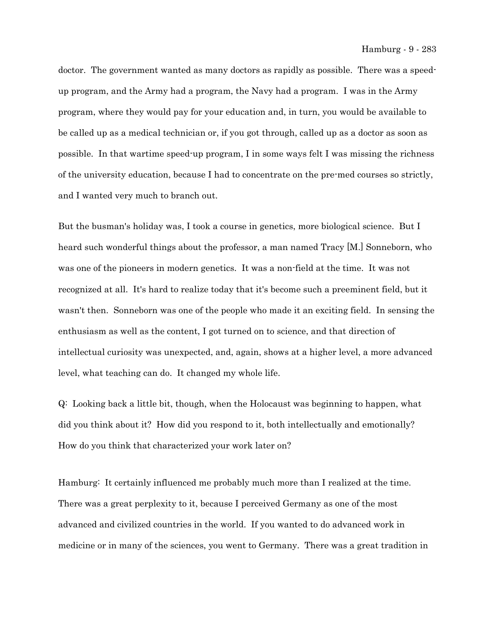doctor. The government wanted as many doctors as rapidly as possible. There was a speedup program, and the Army had a program, the Navy had a program. I was in the Army program, where they would pay for your education and, in turn, you would be available to be called up as a medical technician or, if you got through, called up as a doctor as soon as possible. In that wartime speed-up program, I in some ways felt I was missing the richness of the university education, because I had to concentrate on the pre-med courses so strictly, and I wanted very much to branch out.

But the busman's holiday was, I took a course in genetics, more biological science. But I heard such wonderful things about the professor, a man named Tracy [M.] Sonneborn, who was one of the pioneers in modern genetics. It was a non-field at the time. It was not recognized at all. It's hard to realize today that it's become such a preeminent field, but it wasn't then. Sonneborn was one of the people who made it an exciting field. In sensing the enthusiasm as well as the content, I got turned on to science, and that direction of intellectual curiosity was unexpected, and, again, shows at a higher level, a more advanced level, what teaching can do. It changed my whole life.

Q: Looking back a little bit, though, when the Holocaust was beginning to happen, what did you think about it? How did you respond to it, both intellectually and emotionally? How do you think that characterized your work later on?

Hamburg: It certainly influenced me probably much more than I realized at the time. There was a great perplexity to it, because I perceived Germany as one of the most advanced and civilized countries in the world. If you wanted to do advanced work in medicine or in many of the sciences, you went to Germany. There was a great tradition in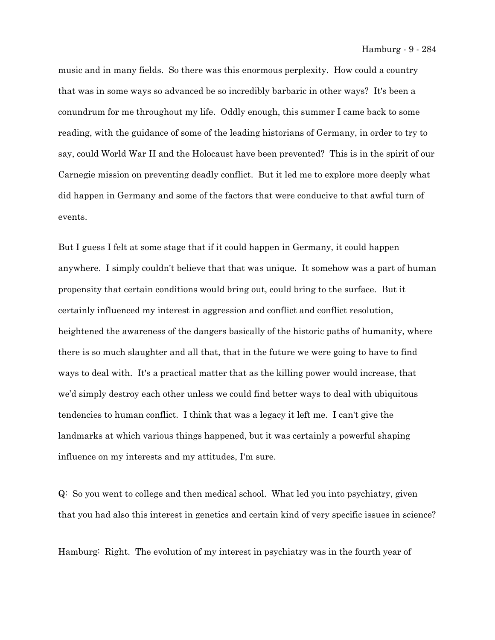music and in many fields. So there was this enormous perplexity. How could a country that was in some ways so advanced be so incredibly barbaric in other ways? It's been a conundrum for me throughout my life. Oddly enough, this summer I came back to some reading, with the guidance of some of the leading historians of Germany, in order to try to say, could World War II and the Holocaust have been prevented? This is in the spirit of our Carnegie mission on preventing deadly conflict. But it led me to explore more deeply what did happen in Germany and some of the factors that were conducive to that awful turn of events.

But I guess I felt at some stage that if it could happen in Germany, it could happen anywhere. I simply couldn't believe that that was unique. It somehow was a part of human propensity that certain conditions would bring out, could bring to the surface. But it certainly influenced my interest in aggression and conflict and conflict resolution, heightened the awareness of the dangers basically of the historic paths of humanity, where there is so much slaughter and all that, that in the future we were going to have to find ways to deal with. It's a practical matter that as the killing power would increase, that we'd simply destroy each other unless we could find better ways to deal with ubiquitous tendencies to human conflict. I think that was a legacy it left me. I can't give the landmarks at which various things happened, but it was certainly a powerful shaping influence on my interests and my attitudes, I'm sure.

Q: So you went to college and then medical school. What led you into psychiatry, given that you had also this interest in genetics and certain kind of very specific issues in science?

Hamburg: Right. The evolution of my interest in psychiatry was in the fourth year of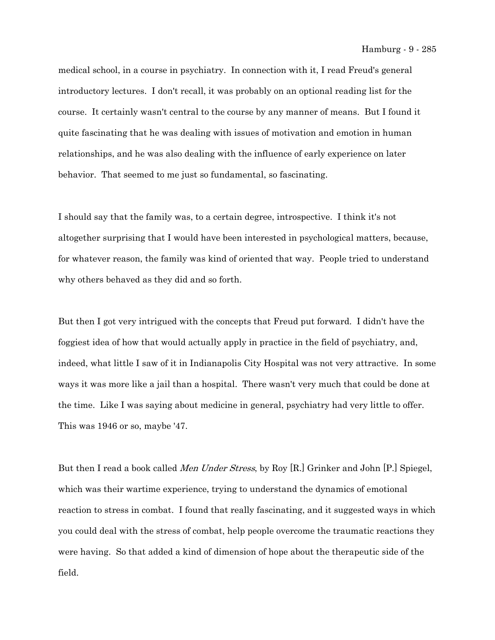medical school, in a course in psychiatry. In connection with it, I read Freud's general introductory lectures. I don't recall, it was probably on an optional reading list for the course. It certainly wasn't central to the course by any manner of means. But I found it quite fascinating that he was dealing with issues of motivation and emotion in human relationships, and he was also dealing with the influence of early experience on later behavior. That seemed to me just so fundamental, so fascinating.

I should say that the family was, to a certain degree, introspective. I think it's not altogether surprising that I would have been interested in psychological matters, because, for whatever reason, the family was kind of oriented that way. People tried to understand why others behaved as they did and so forth.

But then I got very intrigued with the concepts that Freud put forward. I didn't have the foggiest idea of how that would actually apply in practice in the field of psychiatry, and, indeed, what little I saw of it in Indianapolis City Hospital was not very attractive. In some ways it was more like a jail than a hospital. There wasn't very much that could be done at the time. Like I was saying about medicine in general, psychiatry had very little to offer. This was 1946 or so, maybe '47.

But then I read a book called Men Under Stress, by Roy [R.] Grinker and John [P.] Spiegel, which was their wartime experience, trying to understand the dynamics of emotional reaction to stress in combat. I found that really fascinating, and it suggested ways in which you could deal with the stress of combat, help people overcome the traumatic reactions they were having. So that added a kind of dimension of hope about the therapeutic side of the field.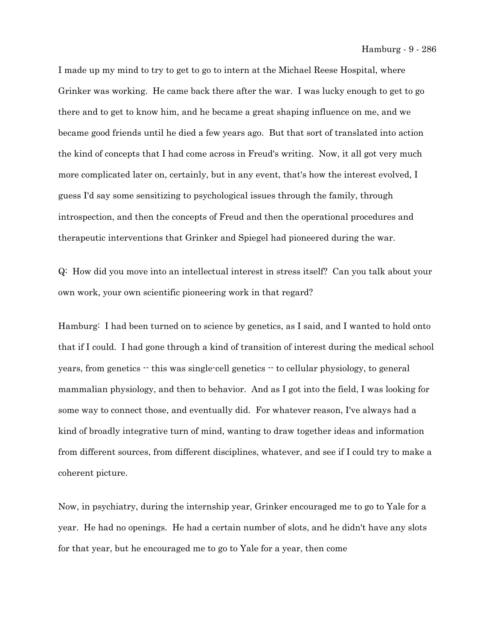Hamburg - 9 - 286

I made up my mind to try to get to go to intern at the Michael Reese Hospital, where Grinker was working. He came back there after the war. I was lucky enough to get to go there and to get to know him, and he became a great shaping influence on me, and we became good friends until he died a few years ago. But that sort of translated into action the kind of concepts that I had come across in Freud's writing. Now, it all got very much more complicated later on, certainly, but in any event, that's how the interest evolved, I guess I'd say some sensitizing to psychological issues through the family, through introspection, and then the concepts of Freud and then the operational procedures and therapeutic interventions that Grinker and Spiegel had pioneered during the war.

Q: How did you move into an intellectual interest in stress itself? Can you talk about your own work, your own scientific pioneering work in that regard?

Hamburg: I had been turned on to science by genetics, as I said, and I wanted to hold onto that if I could. I had gone through a kind of transition of interest during the medical school years, from genetics -- this was single-cell genetics -- to cellular physiology, to general mammalian physiology, and then to behavior. And as I got into the field, I was looking for some way to connect those, and eventually did. For whatever reason, I've always had a kind of broadly integrative turn of mind, wanting to draw together ideas and information from different sources, from different disciplines, whatever, and see if I could try to make a coherent picture.

Now, in psychiatry, during the internship year, Grinker encouraged me to go to Yale for a year. He had no openings. He had a certain number of slots, and he didn't have any slots for that year, but he encouraged me to go to Yale for a year, then come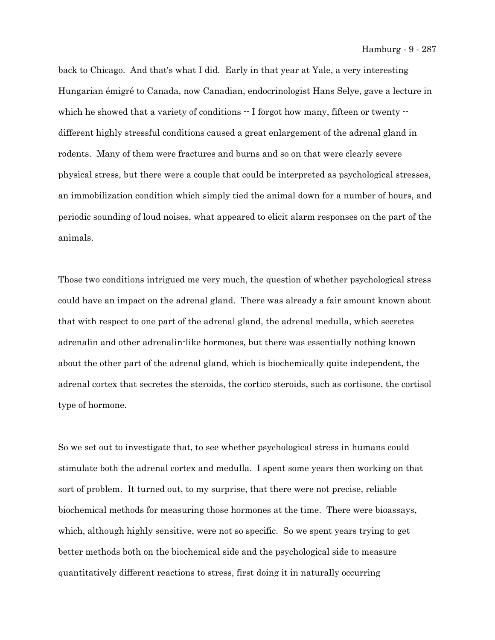Hamburg - 9 - 287

back to Chicago. And that's what I did. Early in that year at Yale, a very interesting Hungarian émigré to Canada, now Canadian, endocrinologist Hans Selye, gave a lecture in which he showed that a variety of conditions  $\cdot$  I forgot how many, fifteen or twenty  $\cdot$ different highly stressful conditions caused a great enlargement of the adrenal gland in rodents. Many of them were fractures and burns and so on that were clearly severe physical stress, but there were a couple that could be interpreted as psychological stresses, an immobilization condition which simply tied the animal down for a number of hours, and periodic sounding of loud noises, what appeared to elicit alarm responses on the part of the animals.

Those two conditions intrigued me very much, the question of whether psychological stress could have an impact on the adrenal gland. There was already a fair amount known about that with respect to one part of the adrenal gland, the adrenal medulla, which secretes adrenalin and other adrenalin-like hormones, but there was essentially nothing known about the other part of the adrenal gland, which is biochemically quite independent, the adrenal cortex that secretes the steroids, the cortico steroids, such as cortisone, the cortisol type of hormone.

So we set out to investigate that, to see whether psychological stress in humans could stimulate both the adrenal cortex and medulla. I spent some years then working on that sort of problem. It turned out, to my surprise, that there were not precise, reliable biochemical methods for measuring those hormones at the time. There were bioassays, which, although highly sensitive, were not so specific. So we spent years trying to get better methods both on the biochemical side and the psychological side to measure quantitatively different reactions to stress, first doing it in naturally occurring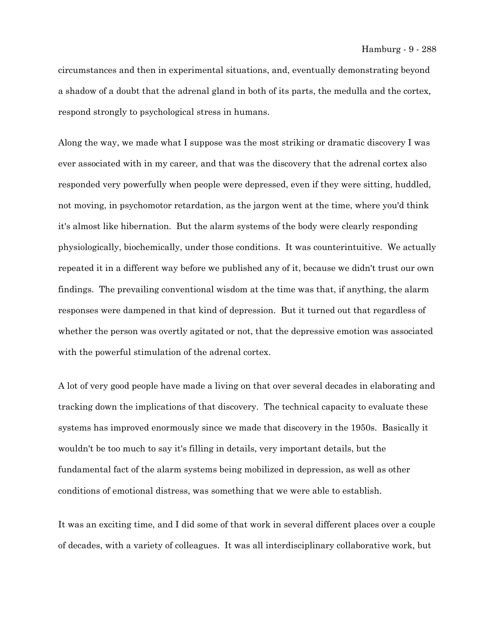circumstances and then in experimental situations, and, eventually demonstrating beyond a shadow of a doubt that the adrenal gland in both of its parts, the medulla and the cortex, respond strongly to psychological stress in humans.

Along the way, we made what I suppose was the most striking or dramatic discovery I was ever associated with in my career, and that was the discovery that the adrenal cortex also responded very powerfully when people were depressed, even if they were sitting, huddled, not moving, in psychomotor retardation, as the jargon went at the time, where you'd think it's almost like hibernation. But the alarm systems of the body were clearly responding physiologically, biochemically, under those conditions. It was counterintuitive. We actually repeated it in a different way before we published any of it, because we didn't trust our own findings. The prevailing conventional wisdom at the time was that, if anything, the alarm responses were dampened in that kind of depression. But it turned out that regardless of whether the person was overtly agitated or not, that the depressive emotion was associated with the powerful stimulation of the adrenal cortex.

A lot of very good people have made a living on that over several decades in elaborating and tracking down the implications of that discovery. The technical capacity to evaluate these systems has improved enormously since we made that discovery in the 1950s. Basically it wouldn't be too much to say it's filling in details, very important details, but the fundamental fact of the alarm systems being mobilized in depression, as well as other conditions of emotional distress, was something that we were able to establish.

It was an exciting time, and I did some of that work in several different places over a couple of decades, with a variety of colleagues. It was all interdisciplinary collaborative work, but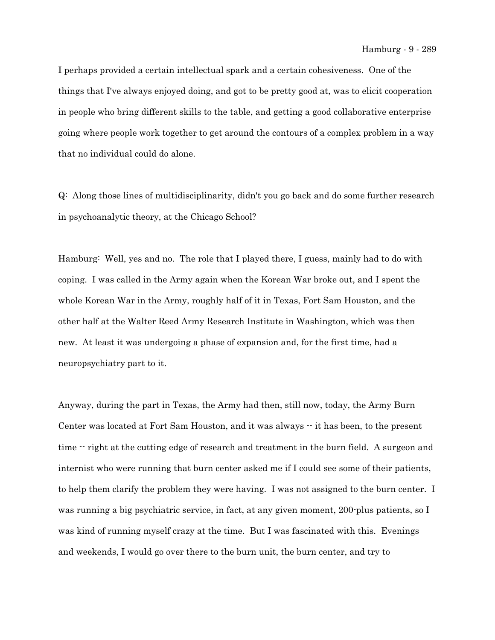I perhaps provided a certain intellectual spark and a certain cohesiveness. One of the things that I've always enjoyed doing, and got to be pretty good at, was to elicit cooperation in people who bring different skills to the table, and getting a good collaborative enterprise going where people work together to get around the contours of a complex problem in a way that no individual could do alone.

Q: Along those lines of multidisciplinarity, didn't you go back and do some further research in psychoanalytic theory, at the Chicago School?

Hamburg: Well, yes and no. The role that I played there, I guess, mainly had to do with coping. I was called in the Army again when the Korean War broke out, and I spent the whole Korean War in the Army, roughly half of it in Texas, Fort Sam Houston, and the other half at the Walter Reed Army Research Institute in Washington, which was then new. At least it was undergoing a phase of expansion and, for the first time, had a neuropsychiatry part to it.

Anyway, during the part in Texas, the Army had then, still now, today, the Army Burn Center was located at Fort Sam Houston, and it was always -- it has been, to the present time  $\cdot$  right at the cutting edge of research and treatment in the burn field. A surgeon and internist who were running that burn center asked me if I could see some of their patients, to help them clarify the problem they were having. I was not assigned to the burn center. I was running a big psychiatric service, in fact, at any given moment, 200-plus patients, so I was kind of running myself crazy at the time. But I was fascinated with this. Evenings and weekends, I would go over there to the burn unit, the burn center, and try to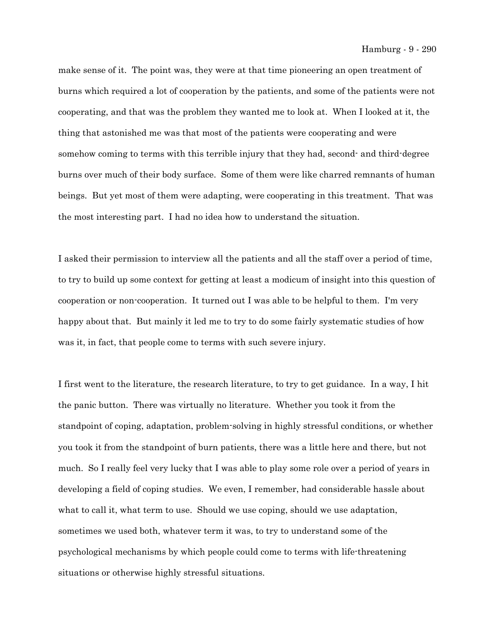Hamburg - 9 - 290

make sense of it. The point was, they were at that time pioneering an open treatment of burns which required a lot of cooperation by the patients, and some of the patients were not cooperating, and that was the problem they wanted me to look at. When I looked at it, the thing that astonished me was that most of the patients were cooperating and were somehow coming to terms with this terrible injury that they had, second- and third-degree burns over much of their body surface. Some of them were like charred remnants of human beings. But yet most of them were adapting, were cooperating in this treatment. That was the most interesting part. I had no idea how to understand the situation.

I asked their permission to interview all the patients and all the staff over a period of time, to try to build up some context for getting at least a modicum of insight into this question of cooperation or non-cooperation. It turned out I was able to be helpful to them. I'm very happy about that. But mainly it led me to try to do some fairly systematic studies of how was it, in fact, that people come to terms with such severe injury.

I first went to the literature, the research literature, to try to get guidance. In a way, I hit the panic button. There was virtually no literature. Whether you took it from the standpoint of coping, adaptation, problem-solving in highly stressful conditions, or whether you took it from the standpoint of burn patients, there was a little here and there, but not much. So I really feel very lucky that I was able to play some role over a period of years in developing a field of coping studies. We even, I remember, had considerable hassle about what to call it, what term to use. Should we use coping, should we use adaptation, sometimes we used both, whatever term it was, to try to understand some of the psychological mechanisms by which people could come to terms with life-threatening situations or otherwise highly stressful situations.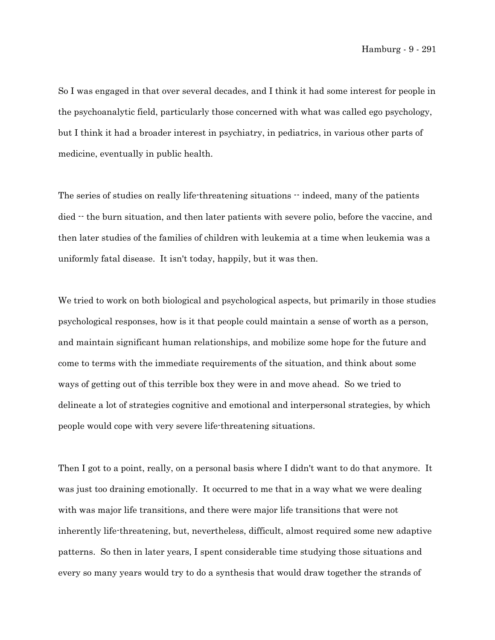So I was engaged in that over several decades, and I think it had some interest for people in the psychoanalytic field, particularly those concerned with what was called ego psychology, but I think it had a broader interest in psychiatry, in pediatrics, in various other parts of medicine, eventually in public health.

The series of studies on really life-threatening situations  $\cdot \cdot$  indeed, many of the patients died  $\cdot$  the burn situation, and then later patients with severe polio, before the vaccine, and then later studies of the families of children with leukemia at a time when leukemia was a uniformly fatal disease. It isn't today, happily, but it was then.

We tried to work on both biological and psychological aspects, but primarily in those studies psychological responses, how is it that people could maintain a sense of worth as a person, and maintain significant human relationships, and mobilize some hope for the future and come to terms with the immediate requirements of the situation, and think about some ways of getting out of this terrible box they were in and move ahead. So we tried to delineate a lot of strategies cognitive and emotional and interpersonal strategies, by which people would cope with very severe life-threatening situations.

Then I got to a point, really, on a personal basis where I didn't want to do that anymore. It was just too draining emotionally. It occurred to me that in a way what we were dealing with was major life transitions, and there were major life transitions that were not inherently life-threatening, but, nevertheless, difficult, almost required some new adaptive patterns. So then in later years, I spent considerable time studying those situations and every so many years would try to do a synthesis that would draw together the strands of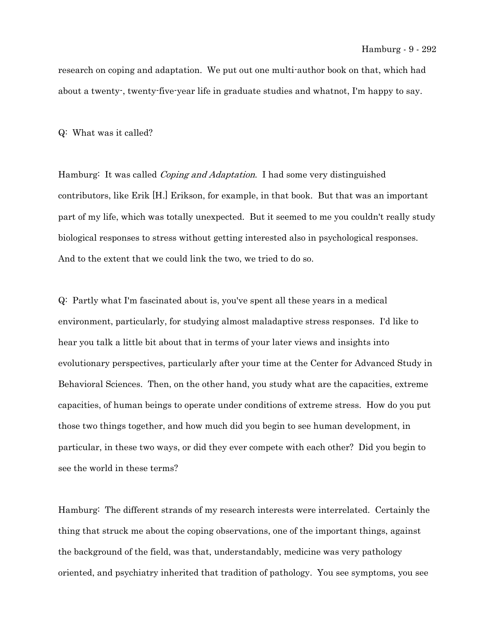research on coping and adaptation. We put out one multi-author book on that, which had about a twenty-, twenty-five-year life in graduate studies and whatnot, I'm happy to say.

Q: What was it called?

Hamburg: It was called *Coping and Adaptation*. I had some very distinguished contributors, like Erik [H.] Erikson, for example, in that book. But that was an important part of my life, which was totally unexpected. But it seemed to me you couldn't really study biological responses to stress without getting interested also in psychological responses. And to the extent that we could link the two, we tried to do so.

Q: Partly what I'm fascinated about is, you've spent all these years in a medical environment, particularly, for studying almost maladaptive stress responses. I'd like to hear you talk a little bit about that in terms of your later views and insights into evolutionary perspectives, particularly after your time at the Center for Advanced Study in Behavioral Sciences. Then, on the other hand, you study what are the capacities, extreme capacities, of human beings to operate under conditions of extreme stress. How do you put those two things together, and how much did you begin to see human development, in particular, in these two ways, or did they ever compete with each other? Did you begin to see the world in these terms?

Hamburg: The different strands of my research interests were interrelated. Certainly the thing that struck me about the coping observations, one of the important things, against the background of the field, was that, understandably, medicine was very pathology oriented, and psychiatry inherited that tradition of pathology. You see symptoms, you see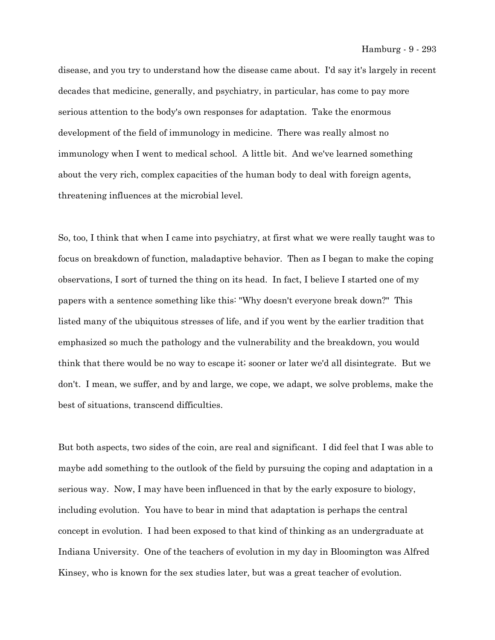disease, and you try to understand how the disease came about. I'd say it's largely in recent decades that medicine, generally, and psychiatry, in particular, has come to pay more serious attention to the body's own responses for adaptation. Take the enormous development of the field of immunology in medicine. There was really almost no immunology when I went to medical school. A little bit. And we've learned something about the very rich, complex capacities of the human body to deal with foreign agents, threatening influences at the microbial level.

So, too, I think that when I came into psychiatry, at first what we were really taught was to focus on breakdown of function, maladaptive behavior. Then as I began to make the coping observations, I sort of turned the thing on its head. In fact, I believe I started one of my papers with a sentence something like this: "Why doesn't everyone break down?" This listed many of the ubiquitous stresses of life, and if you went by the earlier tradition that emphasized so much the pathology and the vulnerability and the breakdown, you would think that there would be no way to escape it; sooner or later we'd all disintegrate. But we don't. I mean, we suffer, and by and large, we cope, we adapt, we solve problems, make the best of situations, transcend difficulties.

But both aspects, two sides of the coin, are real and significant. I did feel that I was able to maybe add something to the outlook of the field by pursuing the coping and adaptation in a serious way. Now, I may have been influenced in that by the early exposure to biology, including evolution. You have to bear in mind that adaptation is perhaps the central concept in evolution. I had been exposed to that kind of thinking as an undergraduate at Indiana University. One of the teachers of evolution in my day in Bloomington was Alfred Kinsey, who is known for the sex studies later, but was a great teacher of evolution.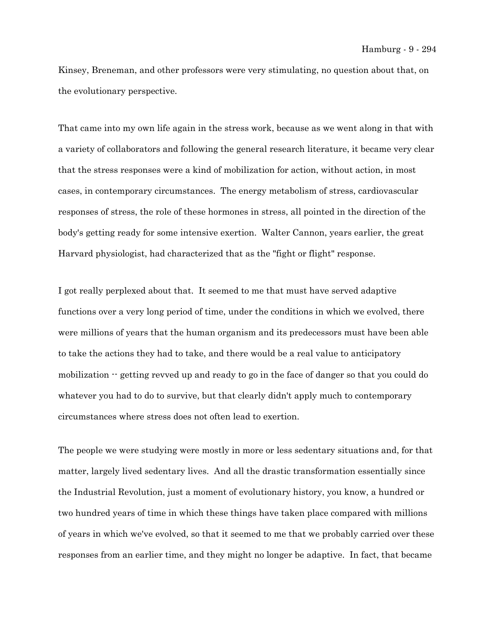Kinsey, Breneman, and other professors were very stimulating, no question about that, on the evolutionary perspective.

That came into my own life again in the stress work, because as we went along in that with a variety of collaborators and following the general research literature, it became very clear that the stress responses were a kind of mobilization for action, without action, in most cases, in contemporary circumstances. The energy metabolism of stress, cardiovascular responses of stress, the role of these hormones in stress, all pointed in the direction of the body's getting ready for some intensive exertion. Walter Cannon, years earlier, the great Harvard physiologist, had characterized that as the "fight or flight" response.

I got really perplexed about that. It seemed to me that must have served adaptive functions over a very long period of time, under the conditions in which we evolved, there were millions of years that the human organism and its predecessors must have been able to take the actions they had to take, and there would be a real value to anticipatory mobilization  $\cdot$  getting revved up and ready to go in the face of danger so that you could do whatever you had to do to survive, but that clearly didn't apply much to contemporary circumstances where stress does not often lead to exertion.

The people we were studying were mostly in more or less sedentary situations and, for that matter, largely lived sedentary lives. And all the drastic transformation essentially since the Industrial Revolution, just a moment of evolutionary history, you know, a hundred or two hundred years of time in which these things have taken place compared with millions of years in which we've evolved, so that it seemed to me that we probably carried over these responses from an earlier time, and they might no longer be adaptive. In fact, that became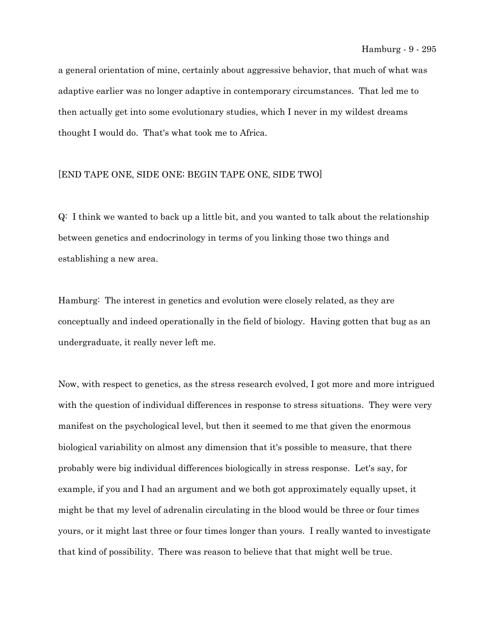a general orientation of mine, certainly about aggressive behavior, that much of what was adaptive earlier was no longer adaptive in contemporary circumstances. That led me to then actually get into some evolutionary studies, which I never in my wildest dreams thought I would do. That's what took me to Africa.

## [END TAPE ONE, SIDE ONE; BEGIN TAPE ONE, SIDE TWO]

Q: I think we wanted to back up a little bit, and you wanted to talk about the relationship between genetics and endocrinology in terms of you linking those two things and establishing a new area.

Hamburg: The interest in genetics and evolution were closely related, as they are conceptually and indeed operationally in the field of biology. Having gotten that bug as an undergraduate, it really never left me.

Now, with respect to genetics, as the stress research evolved, I got more and more intrigued with the question of individual differences in response to stress situations. They were very manifest on the psychological level, but then it seemed to me that given the enormous biological variability on almost any dimension that it's possible to measure, that there probably were big individual differences biologically in stress response. Let's say, for example, if you and I had an argument and we both got approximately equally upset, it might be that my level of adrenalin circulating in the blood would be three or four times yours, or it might last three or four times longer than yours. I really wanted to investigate that kind of possibility. There was reason to believe that that might well be true.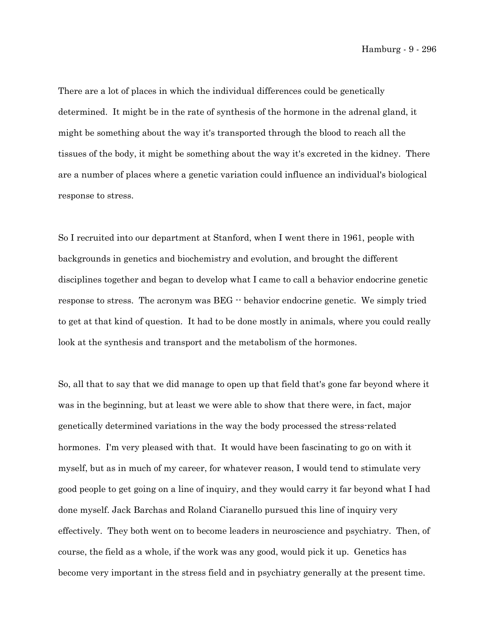Hamburg - 9 - 296

There are a lot of places in which the individual differences could be genetically determined. It might be in the rate of synthesis of the hormone in the adrenal gland, it might be something about the way it's transported through the blood to reach all the tissues of the body, it might be something about the way it's excreted in the kidney. There are a number of places where a genetic variation could influence an individual's biological response to stress.

So I recruited into our department at Stanford, when I went there in 1961, people with backgrounds in genetics and biochemistry and evolution, and brought the different disciplines together and began to develop what I came to call a behavior endocrine genetic response to stress. The acronym was BEG -- behavior endocrine genetic. We simply tried to get at that kind of question. It had to be done mostly in animals, where you could really look at the synthesis and transport and the metabolism of the hormones.

So, all that to say that we did manage to open up that field that's gone far beyond where it was in the beginning, but at least we were able to show that there were, in fact, major genetically determined variations in the way the body processed the stress-related hormones. I'm very pleased with that. It would have been fascinating to go on with it myself, but as in much of my career, for whatever reason, I would tend to stimulate very good people to get going on a line of inquiry, and they would carry it far beyond what I had done myself. Jack Barchas and Roland Ciaranello pursued this line of inquiry very effectively. They both went on to become leaders in neuroscience and psychiatry. Then, of course, the field as a whole, if the work was any good, would pick it up. Genetics has become very important in the stress field and in psychiatry generally at the present time.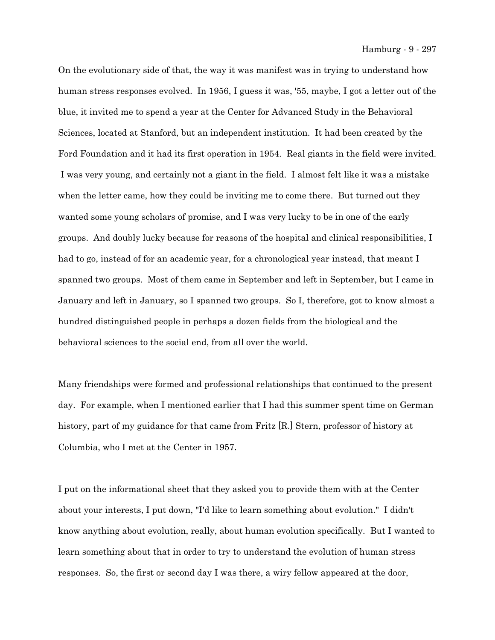On the evolutionary side of that, the way it was manifest was in trying to understand how human stress responses evolved. In 1956, I guess it was, '55, maybe, I got a letter out of the blue, it invited me to spend a year at the Center for Advanced Study in the Behavioral Sciences, located at Stanford, but an independent institution. It had been created by the Ford Foundation and it had its first operation in 1954. Real giants in the field were invited. I was very young, and certainly not a giant in the field. I almost felt like it was a mistake when the letter came, how they could be inviting me to come there. But turned out they wanted some young scholars of promise, and I was very lucky to be in one of the early groups. And doubly lucky because for reasons of the hospital and clinical responsibilities, I had to go, instead of for an academic year, for a chronological year instead, that meant I spanned two groups. Most of them came in September and left in September, but I came in January and left in January, so I spanned two groups. So I, therefore, got to know almost a hundred distinguished people in perhaps a dozen fields from the biological and the behavioral sciences to the social end, from all over the world.

Many friendships were formed and professional relationships that continued to the present day. For example, when I mentioned earlier that I had this summer spent time on German history, part of my guidance for that came from Fritz [R.] Stern, professor of history at Columbia, who I met at the Center in 1957.

I put on the informational sheet that they asked you to provide them with at the Center about your interests, I put down, "I'd like to learn something about evolution." I didn't know anything about evolution, really, about human evolution specifically. But I wanted to learn something about that in order to try to understand the evolution of human stress responses. So, the first or second day I was there, a wiry fellow appeared at the door,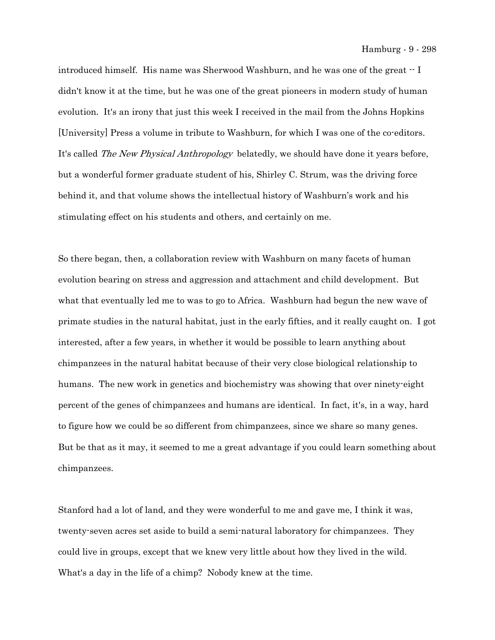Hamburg - 9 - 298

introduced himself. His name was Sherwood Washburn, and he was one of the great  $\cdot$  I didn't know it at the time, but he was one of the great pioneers in modern study of human evolution. It's an irony that just this week I received in the mail from the Johns Hopkins [University] Press a volume in tribute to Washburn, for which I was one of the co-editors. It's called The New Physical Anthropology belatedly, we should have done it years before, but a wonderful former graduate student of his, Shirley C. Strum, was the driving force behind it, and that volume shows the intellectual history of Washburn's work and his stimulating effect on his students and others, and certainly on me.

So there began, then, a collaboration review with Washburn on many facets of human evolution bearing on stress and aggression and attachment and child development. But what that eventually led me to was to go to Africa. Washburn had begun the new wave of primate studies in the natural habitat, just in the early fifties, and it really caught on. I got interested, after a few years, in whether it would be possible to learn anything about chimpanzees in the natural habitat because of their very close biological relationship to humans. The new work in genetics and biochemistry was showing that over ninety-eight percent of the genes of chimpanzees and humans are identical. In fact, it's, in a way, hard to figure how we could be so different from chimpanzees, since we share so many genes. But be that as it may, it seemed to me a great advantage if you could learn something about chimpanzees.

Stanford had a lot of land, and they were wonderful to me and gave me, I think it was, twenty-seven acres set aside to build a semi-natural laboratory for chimpanzees. They could live in groups, except that we knew very little about how they lived in the wild. What's a day in the life of a chimp? Nobody knew at the time.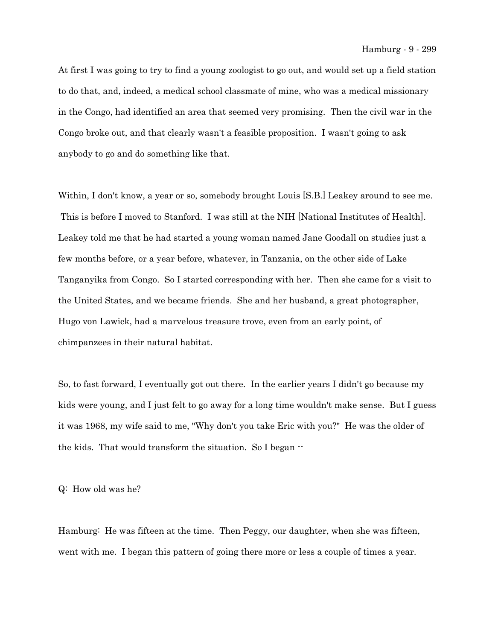At first I was going to try to find a young zoologist to go out, and would set up a field station to do that, and, indeed, a medical school classmate of mine, who was a medical missionary in the Congo, had identified an area that seemed very promising. Then the civil war in the Congo broke out, and that clearly wasn't a feasible proposition. I wasn't going to ask anybody to go and do something like that.

Within, I don't know, a year or so, somebody brought Louis [S.B.] Leakey around to see me. This is before I moved to Stanford. I was still at the NIH [National Institutes of Health]. Leakey told me that he had started a young woman named Jane Goodall on studies just a few months before, or a year before, whatever, in Tanzania, on the other side of Lake Tanganyika from Congo. So I started corresponding with her. Then she came for a visit to the United States, and we became friends. She and her husband, a great photographer, Hugo von Lawick, had a marvelous treasure trove, even from an early point, of chimpanzees in their natural habitat.

So, to fast forward, I eventually got out there. In the earlier years I didn't go because my kids were young, and I just felt to go away for a long time wouldn't make sense. But I guess it was 1968, my wife said to me, "Why don't you take Eric with you?" He was the older of the kids. That would transform the situation. So I began --

Q: How old was he?

Hamburg: He was fifteen at the time. Then Peggy, our daughter, when she was fifteen, went with me. I began this pattern of going there more or less a couple of times a year.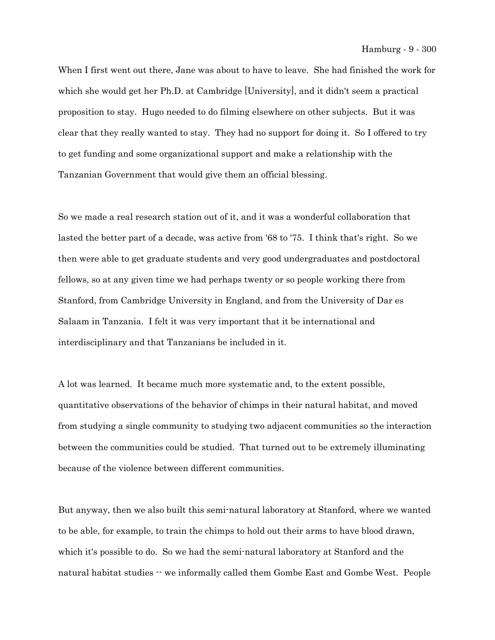When I first went out there, Jane was about to have to leave. She had finished the work for which she would get her Ph.D. at Cambridge [University], and it didn't seem a practical proposition to stay. Hugo needed to do filming elsewhere on other subjects. But it was clear that they really wanted to stay. They had no support for doing it. So I offered to try to get funding and some organizational support and make a relationship with the Tanzanian Government that would give them an official blessing.

So we made a real research station out of it, and it was a wonderful collaboration that lasted the better part of a decade, was active from '68 to '75. I think that's right. So we then were able to get graduate students and very good undergraduates and postdoctoral fellows, so at any given time we had perhaps twenty or so people working there from Stanford, from Cambridge University in England, and from the University of Dar es Salaam in Tanzania. I felt it was very important that it be international and interdisciplinary and that Tanzanians be included in it.

A lot was learned. It became much more systematic and, to the extent possible, quantitative observations of the behavior of chimps in their natural habitat, and moved from studying a single community to studying two adjacent communities so the interaction between the communities could be studied. That turned out to be extremely illuminating because of the violence between different communities.

But anyway, then we also built this semi-natural laboratory at Stanford, where we wanted to be able, for example, to train the chimps to hold out their arms to have blood drawn, which it's possible to do. So we had the semi-natural laboratory at Stanford and the natural habitat studies -- we informally called them Gombe East and Gombe West. People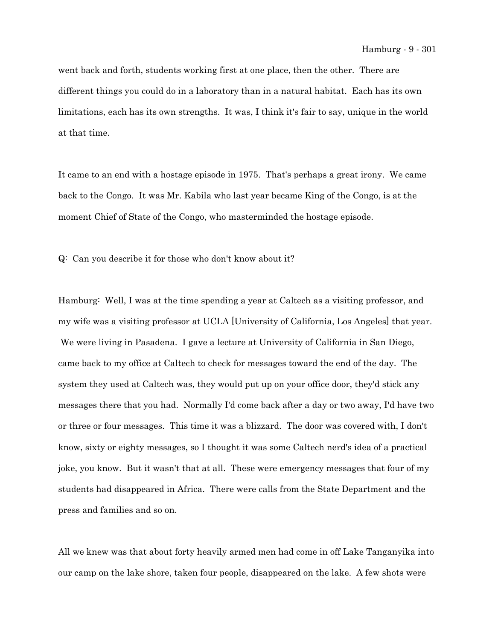went back and forth, students working first at one place, then the other. There are different things you could do in a laboratory than in a natural habitat. Each has its own limitations, each has its own strengths. It was, I think it's fair to say, unique in the world at that time.

It came to an end with a hostage episode in 1975. That's perhaps a great irony. We came back to the Congo. It was Mr. Kabila who last year became King of the Congo, is at the moment Chief of State of the Congo, who masterminded the hostage episode.

Q: Can you describe it for those who don't know about it?

Hamburg: Well, I was at the time spending a year at Caltech as a visiting professor, and my wife was a visiting professor at UCLA [University of California, Los Angeles] that year. We were living in Pasadena. I gave a lecture at University of California in San Diego, came back to my office at Caltech to check for messages toward the end of the day. The system they used at Caltech was, they would put up on your office door, they'd stick any messages there that you had. Normally I'd come back after a day or two away, I'd have two or three or four messages. This time it was a blizzard. The door was covered with, I don't know, sixty or eighty messages, so I thought it was some Caltech nerd's idea of a practical joke, you know. But it wasn't that at all. These were emergency messages that four of my students had disappeared in Africa. There were calls from the State Department and the press and families and so on.

All we knew was that about forty heavily armed men had come in off Lake Tanganyika into our camp on the lake shore, taken four people, disappeared on the lake. A few shots were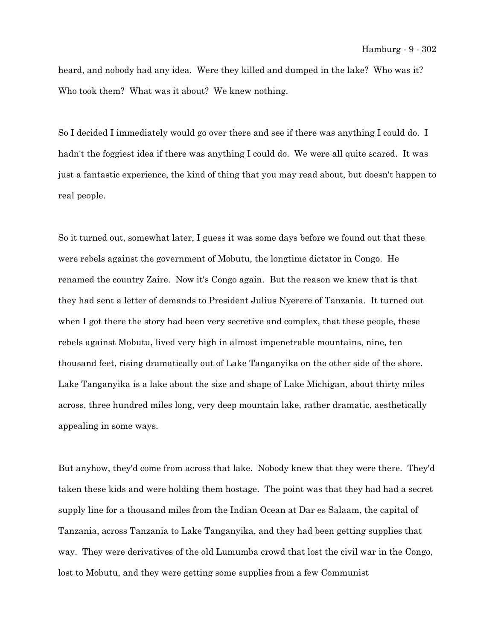heard, and nobody had any idea. Were they killed and dumped in the lake? Who was it? Who took them? What was it about? We knew nothing.

So I decided I immediately would go over there and see if there was anything I could do. I hadn't the foggiest idea if there was anything I could do. We were all quite scared. It was just a fantastic experience, the kind of thing that you may read about, but doesn't happen to real people.

So it turned out, somewhat later, I guess it was some days before we found out that these were rebels against the government of Mobutu, the longtime dictator in Congo. He renamed the country Zaire. Now it's Congo again. But the reason we knew that is that they had sent a letter of demands to President Julius Nyerere of Tanzania. It turned out when I got there the story had been very secretive and complex, that these people, these rebels against Mobutu, lived very high in almost impenetrable mountains, nine, ten thousand feet, rising dramatically out of Lake Tanganyika on the other side of the shore. Lake Tanganyika is a lake about the size and shape of Lake Michigan, about thirty miles across, three hundred miles long, very deep mountain lake, rather dramatic, aesthetically appealing in some ways.

But anyhow, they'd come from across that lake. Nobody knew that they were there. They'd taken these kids and were holding them hostage. The point was that they had had a secret supply line for a thousand miles from the Indian Ocean at Dar es Salaam, the capital of Tanzania, across Tanzania to Lake Tanganyika, and they had been getting supplies that way. They were derivatives of the old Lumumba crowd that lost the civil war in the Congo, lost to Mobutu, and they were getting some supplies from a few Communist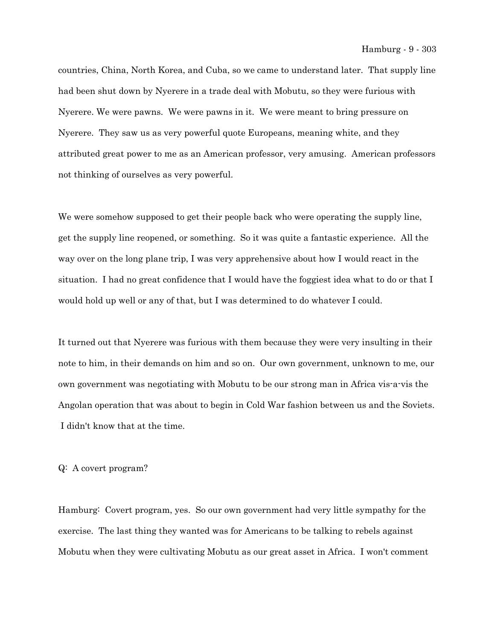countries, China, North Korea, and Cuba, so we came to understand later. That supply line had been shut down by Nyerere in a trade deal with Mobutu, so they were furious with Nyerere. We were pawns. We were pawns in it. We were meant to bring pressure on Nyerere. They saw us as very powerful quote Europeans, meaning white, and they attributed great power to me as an American professor, very amusing. American professors not thinking of ourselves as very powerful.

We were somehow supposed to get their people back who were operating the supply line, get the supply line reopened, or something. So it was quite a fantastic experience. All the way over on the long plane trip, I was very apprehensive about how I would react in the situation. I had no great confidence that I would have the foggiest idea what to do or that I would hold up well or any of that, but I was determined to do whatever I could.

It turned out that Nyerere was furious with them because they were very insulting in their note to him, in their demands on him and so on. Our own government, unknown to me, our own government was negotiating with Mobutu to be our strong man in Africa vis-a-vis the Angolan operation that was about to begin in Cold War fashion between us and the Soviets. I didn't know that at the time.

## Q: A covert program?

Hamburg: Covert program, yes. So our own government had very little sympathy for the exercise. The last thing they wanted was for Americans to be talking to rebels against Mobutu when they were cultivating Mobutu as our great asset in Africa. I won't comment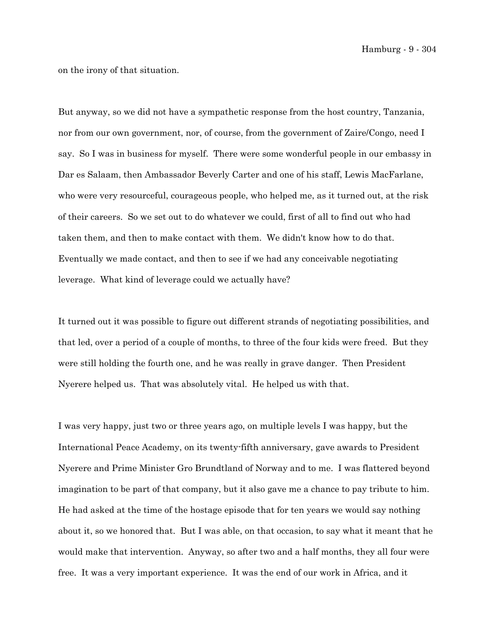Hamburg - 9 - 304

on the irony of that situation.

But anyway, so we did not have a sympathetic response from the host country, Tanzania, nor from our own government, nor, of course, from the government of Zaire/Congo, need I say. So I was in business for myself. There were some wonderful people in our embassy in Dar es Salaam, then Ambassador Beverly Carter and one of his staff, Lewis MacFarlane, who were very resourceful, courageous people, who helped me, as it turned out, at the risk of their careers. So we set out to do whatever we could, first of all to find out who had taken them, and then to make contact with them. We didn't know how to do that. Eventually we made contact, and then to see if we had any conceivable negotiating leverage. What kind of leverage could we actually have?

It turned out it was possible to figure out different strands of negotiating possibilities, and that led, over a period of a couple of months, to three of the four kids were freed. But they were still holding the fourth one, and he was really in grave danger. Then President Nyerere helped us. That was absolutely vital. He helped us with that.

I was very happy, just two or three years ago, on multiple levels I was happy, but the International Peace Academy, on its twenty-fifth anniversary, gave awards to President Nyerere and Prime Minister Gro Brundtland of Norway and to me. I was flattered beyond imagination to be part of that company, but it also gave me a chance to pay tribute to him. He had asked at the time of the hostage episode that for ten years we would say nothing about it, so we honored that. But I was able, on that occasion, to say what it meant that he would make that intervention. Anyway, so after two and a half months, they all four were free. It was a very important experience. It was the end of our work in Africa, and it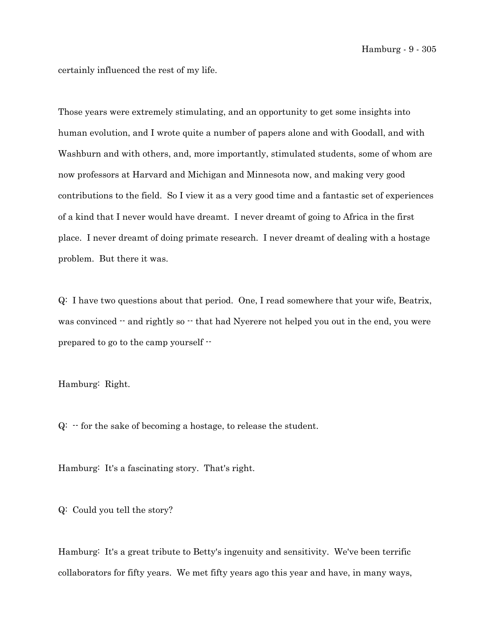certainly influenced the rest of my life.

Those years were extremely stimulating, and an opportunity to get some insights into human evolution, and I wrote quite a number of papers alone and with Goodall, and with Washburn and with others, and, more importantly, stimulated students, some of whom are now professors at Harvard and Michigan and Minnesota now, and making very good contributions to the field. So I view it as a very good time and a fantastic set of experiences of a kind that I never would have dreamt. I never dreamt of going to Africa in the first place. I never dreamt of doing primate research. I never dreamt of dealing with a hostage problem. But there it was.

Q: I have two questions about that period. One, I read somewhere that your wife, Beatrix, was convinced  $-$  and rightly so  $-$  that had Nyerere not helped you out in the end, you were prepared to go to the camp yourself --

Hamburg: Right.

 $Q:$   $\cdot$  for the sake of becoming a hostage, to release the student.

Hamburg: It's a fascinating story. That's right.

Q: Could you tell the story?

Hamburg: It's a great tribute to Betty's ingenuity and sensitivity. We've been terrific collaborators for fifty years. We met fifty years ago this year and have, in many ways,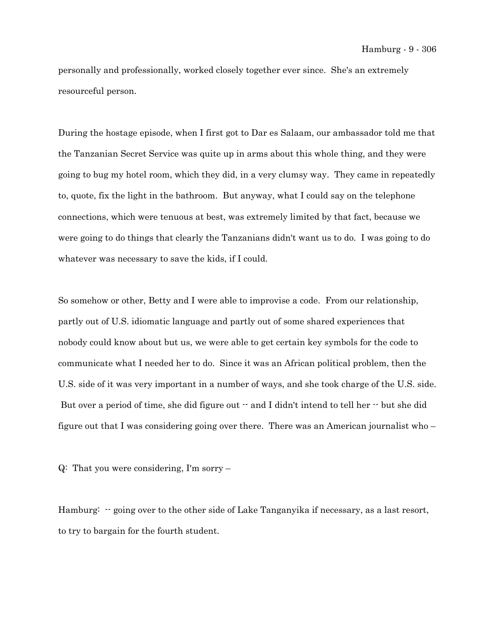personally and professionally, worked closely together ever since. She's an extremely resourceful person.

During the hostage episode, when I first got to Dar es Salaam, our ambassador told me that the Tanzanian Secret Service was quite up in arms about this whole thing, and they were going to bug my hotel room, which they did, in a very clumsy way. They came in repeatedly to, quote, fix the light in the bathroom. But anyway, what I could say on the telephone connections, which were tenuous at best, was extremely limited by that fact, because we were going to do things that clearly the Tanzanians didn't want us to do. I was going to do whatever was necessary to save the kids, if I could.

So somehow or other, Betty and I were able to improvise a code. From our relationship, partly out of U.S. idiomatic language and partly out of some shared experiences that nobody could know about but us, we were able to get certain key symbols for the code to communicate what I needed her to do. Since it was an African political problem, then the U.S. side of it was very important in a number of ways, and she took charge of the U.S. side. But over a period of time, she did figure out  $-$  and I didn't intend to tell her  $-$  but she did figure out that I was considering going over there. There was an American journalist who –

Q: That you were considering, I'm sorry –

Hamburg:  $-$  going over to the other side of Lake Tanganyika if necessary, as a last resort, to try to bargain for the fourth student.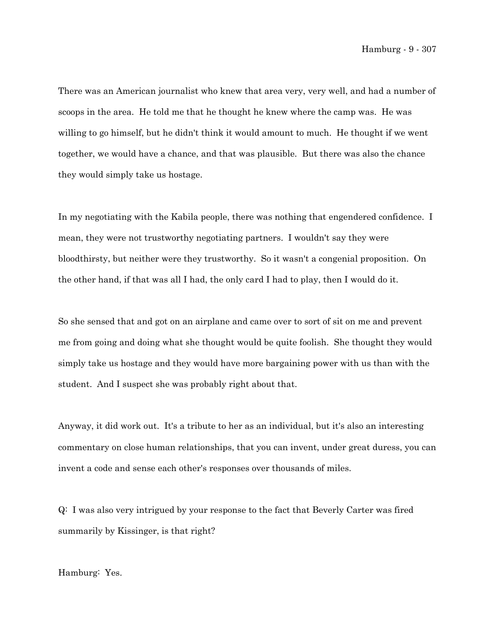There was an American journalist who knew that area very, very well, and had a number of scoops in the area. He told me that he thought he knew where the camp was. He was willing to go himself, but he didn't think it would amount to much. He thought if we went together, we would have a chance, and that was plausible. But there was also the chance they would simply take us hostage.

In my negotiating with the Kabila people, there was nothing that engendered confidence. I mean, they were not trustworthy negotiating partners. I wouldn't say they were bloodthirsty, but neither were they trustworthy. So it wasn't a congenial proposition. On the other hand, if that was all I had, the only card I had to play, then I would do it.

So she sensed that and got on an airplane and came over to sort of sit on me and prevent me from going and doing what she thought would be quite foolish. She thought they would simply take us hostage and they would have more bargaining power with us than with the student. And I suspect she was probably right about that.

Anyway, it did work out. It's a tribute to her as an individual, but it's also an interesting commentary on close human relationships, that you can invent, under great duress, you can invent a code and sense each other's responses over thousands of miles.

Q: I was also very intrigued by your response to the fact that Beverly Carter was fired summarily by Kissinger, is that right?

Hamburg: Yes.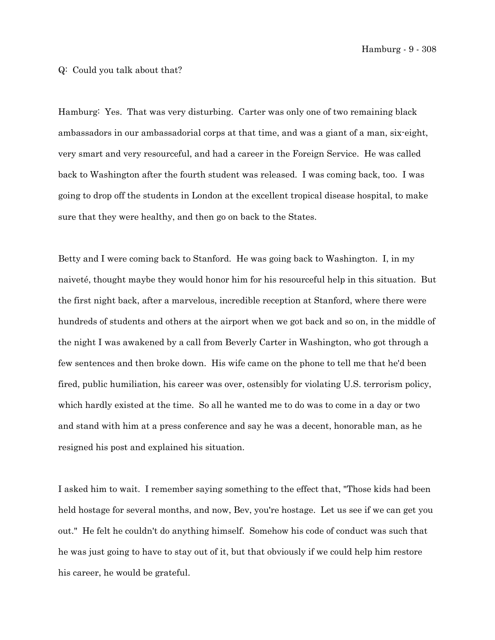Hamburg - 9 - 308

## Q: Could you talk about that?

Hamburg: Yes. That was very disturbing. Carter was only one of two remaining black ambassadors in our ambassadorial corps at that time, and was a giant of a man, six-eight, very smart and very resourceful, and had a career in the Foreign Service. He was called back to Washington after the fourth student was released. I was coming back, too. I was going to drop off the students in London at the excellent tropical disease hospital, to make sure that they were healthy, and then go on back to the States.

Betty and I were coming back to Stanford. He was going back to Washington. I, in my naiveté, thought maybe they would honor him for his resourceful help in this situation. But the first night back, after a marvelous, incredible reception at Stanford, where there were hundreds of students and others at the airport when we got back and so on, in the middle of the night I was awakened by a call from Beverly Carter in Washington, who got through a few sentences and then broke down. His wife came on the phone to tell me that he'd been fired, public humiliation, his career was over, ostensibly for violating U.S. terrorism policy, which hardly existed at the time. So all he wanted me to do was to come in a day or two and stand with him at a press conference and say he was a decent, honorable man, as he resigned his post and explained his situation.

I asked him to wait. I remember saying something to the effect that, "Those kids had been held hostage for several months, and now, Bev, you're hostage. Let us see if we can get you out." He felt he couldn't do anything himself. Somehow his code of conduct was such that he was just going to have to stay out of it, but that obviously if we could help him restore his career, he would be grateful.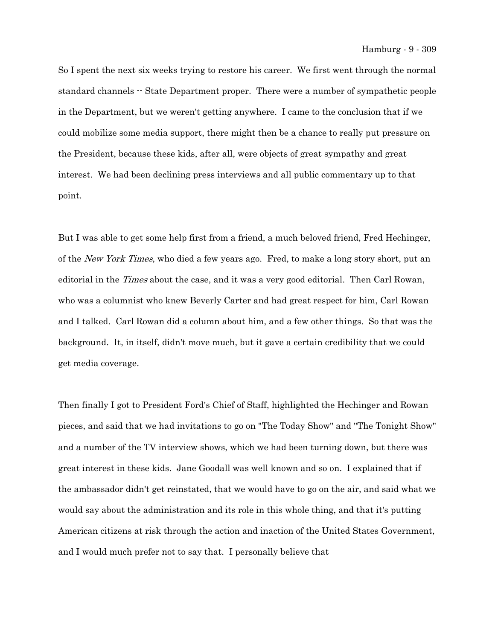So I spent the next six weeks trying to restore his career. We first went through the normal standard channels -- State Department proper. There were a number of sympathetic people in the Department, but we weren't getting anywhere. I came to the conclusion that if we could mobilize some media support, there might then be a chance to really put pressure on the President, because these kids, after all, were objects of great sympathy and great interest. We had been declining press interviews and all public commentary up to that point.

But I was able to get some help first from a friend, a much beloved friend, Fred Hechinger, of the New York Times, who died a few years ago. Fred, to make a long story short, put an editorial in the *Times* about the case, and it was a very good editorial. Then Carl Rowan, who was a columnist who knew Beverly Carter and had great respect for him, Carl Rowan and I talked. Carl Rowan did a column about him, and a few other things. So that was the background. It, in itself, didn't move much, but it gave a certain credibility that we could get media coverage.

Then finally I got to President Ford's Chief of Staff, highlighted the Hechinger and Rowan pieces, and said that we had invitations to go on "The Today Show" and "The Tonight Show" and a number of the TV interview shows, which we had been turning down, but there was great interest in these kids. Jane Goodall was well known and so on. I explained that if the ambassador didn't get reinstated, that we would have to go on the air, and said what we would say about the administration and its role in this whole thing, and that it's putting American citizens at risk through the action and inaction of the United States Government, and I would much prefer not to say that. I personally believe that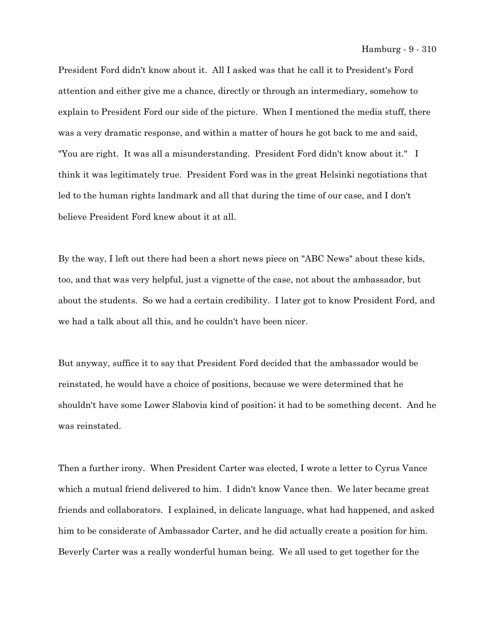President Ford didn't know about it. All I asked was that he call it to President's Ford attention and either give me a chance, directly or through an intermediary, somehow to explain to President Ford our side of the picture. When I mentioned the media stuff, there was a very dramatic response, and within a matter of hours he got back to me and said, "You are right. It was all a misunderstanding. President Ford didn't know about it." I think it was legitimately true. President Ford was in the great Helsinki negotiations that led to the human rights landmark and all that during the time of our case, and I don't believe President Ford knew about it at all.

By the way, I left out there had been a short news piece on "ABC News" about these kids, too, and that was very helpful, just a vignette of the case, not about the ambassador, but about the students. So we had a certain credibility. I later got to know President Ford, and we had a talk about all this, and he couldn't have been nicer.

But anyway, suffice it to say that President Ford decided that the ambassador would be reinstated, he would have a choice of positions, because we were determined that he shouldn't have some Lower Slabovia kind of position; it had to be something decent. And he was reinstated.

Then a further irony. When President Carter was elected, I wrote a letter to Cyrus Vance which a mutual friend delivered to him. I didn't know Vance then. We later became great friends and collaborators. I explained, in delicate language, what had happened, and asked him to be considerate of Ambassador Carter, and he did actually create a position for him. Beverly Carter was a really wonderful human being. We all used to get together for the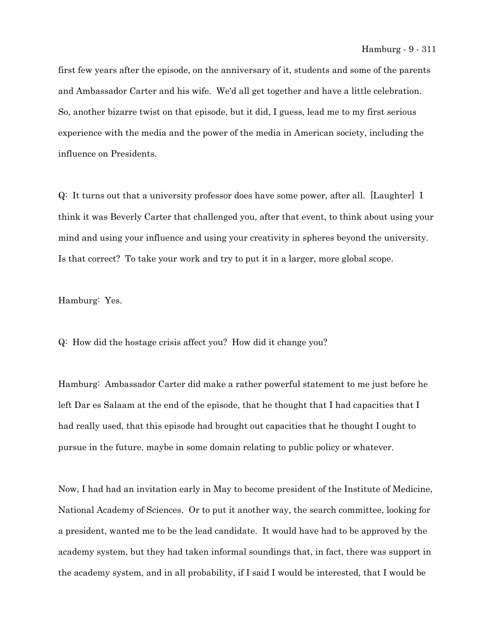first few years after the episode, on the anniversary of it, students and some of the parents and Ambassador Carter and his wife. We'd all get together and have a little celebration. So, another bizarre twist on that episode, but it did, I guess, lead me to my first serious experience with the media and the power of the media in American society, including the influence on Presidents.

Q: It turns out that a university professor does have some power, after all. [Laughter] I think it was Beverly Carter that challenged you, after that event, to think about using your mind and using your influence and using your creativity in spheres beyond the university. Is that correct? To take your work and try to put it in a larger, more global scope.

Hamburg: Yes.

Q: How did the hostage crisis affect you? How did it change you?

Hamburg: Ambassador Carter did make a rather powerful statement to me just before he left Dar es Salaam at the end of the episode, that he thought that I had capacities that I had really used, that this episode had brought out capacities that he thought I ought to pursue in the future, maybe in some domain relating to public policy or whatever.

Now, I had had an invitation early in May to become president of the Institute of Medicine, National Academy of Sciences. Or to put it another way, the search committee, looking for a president, wanted me to be the lead candidate. It would have had to be approved by the academy system, but they had taken informal soundings that, in fact, there was support in the academy system, and in all probability, if I said I would be interested, that I would be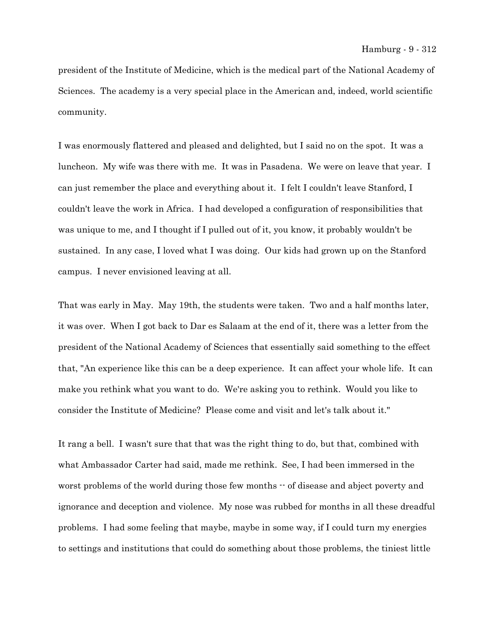president of the Institute of Medicine, which is the medical part of the National Academy of Sciences. The academy is a very special place in the American and, indeed, world scientific community.

I was enormously flattered and pleased and delighted, but I said no on the spot. It was a luncheon. My wife was there with me. It was in Pasadena. We were on leave that year. I can just remember the place and everything about it. I felt I couldn't leave Stanford, I couldn't leave the work in Africa. I had developed a configuration of responsibilities that was unique to me, and I thought if I pulled out of it, you know, it probably wouldn't be sustained. In any case, I loved what I was doing. Our kids had grown up on the Stanford campus. I never envisioned leaving at all.

That was early in May. May 19th, the students were taken. Two and a half months later, it was over. When I got back to Dar es Salaam at the end of it, there was a letter from the president of the National Academy of Sciences that essentially said something to the effect that, "An experience like this can be a deep experience. It can affect your whole life. It can make you rethink what you want to do. We're asking you to rethink. Would you like to consider the Institute of Medicine? Please come and visit and let's talk about it."

It rang a bell. I wasn't sure that that was the right thing to do, but that, combined with what Ambassador Carter had said, made me rethink. See, I had been immersed in the worst problems of the world during those few months  $\cdot \cdot$  of disease and abject poverty and ignorance and deception and violence. My nose was rubbed for months in all these dreadful problems. I had some feeling that maybe, maybe in some way, if I could turn my energies to settings and institutions that could do something about those problems, the tiniest little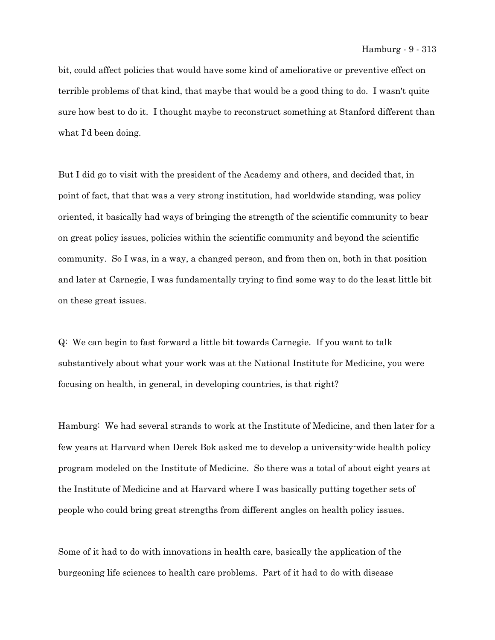bit, could affect policies that would have some kind of ameliorative or preventive effect on terrible problems of that kind, that maybe that would be a good thing to do. I wasn't quite sure how best to do it. I thought maybe to reconstruct something at Stanford different than what I'd been doing.

But I did go to visit with the president of the Academy and others, and decided that, in point of fact, that that was a very strong institution, had worldwide standing, was policy oriented, it basically had ways of bringing the strength of the scientific community to bear on great policy issues, policies within the scientific community and beyond the scientific community. So I was, in a way, a changed person, and from then on, both in that position and later at Carnegie, I was fundamentally trying to find some way to do the least little bit on these great issues.

Q: We can begin to fast forward a little bit towards Carnegie. If you want to talk substantively about what your work was at the National Institute for Medicine, you were focusing on health, in general, in developing countries, is that right?

Hamburg: We had several strands to work at the Institute of Medicine, and then later for a few years at Harvard when Derek Bok asked me to develop a university-wide health policy program modeled on the Institute of Medicine. So there was a total of about eight years at the Institute of Medicine and at Harvard where I was basically putting together sets of people who could bring great strengths from different angles on health policy issues.

Some of it had to do with innovations in health care, basically the application of the burgeoning life sciences to health care problems. Part of it had to do with disease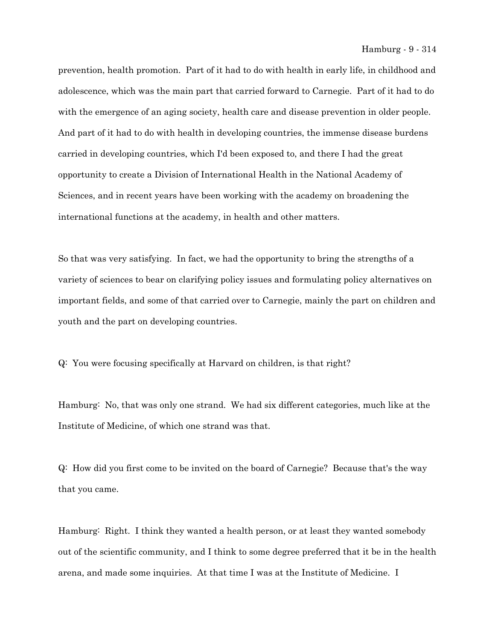prevention, health promotion. Part of it had to do with health in early life, in childhood and adolescence, which was the main part that carried forward to Carnegie. Part of it had to do with the emergence of an aging society, health care and disease prevention in older people. And part of it had to do with health in developing countries, the immense disease burdens carried in developing countries, which I'd been exposed to, and there I had the great opportunity to create a Division of International Health in the National Academy of Sciences, and in recent years have been working with the academy on broadening the international functions at the academy, in health and other matters.

So that was very satisfying. In fact, we had the opportunity to bring the strengths of a variety of sciences to bear on clarifying policy issues and formulating policy alternatives on important fields, and some of that carried over to Carnegie, mainly the part on children and youth and the part on developing countries.

Q: You were focusing specifically at Harvard on children, is that right?

Hamburg: No, that was only one strand. We had six different categories, much like at the Institute of Medicine, of which one strand was that.

Q: How did you first come to be invited on the board of Carnegie? Because that's the way that you came.

Hamburg: Right. I think they wanted a health person, or at least they wanted somebody out of the scientific community, and I think to some degree preferred that it be in the health arena, and made some inquiries. At that time I was at the Institute of Medicine. I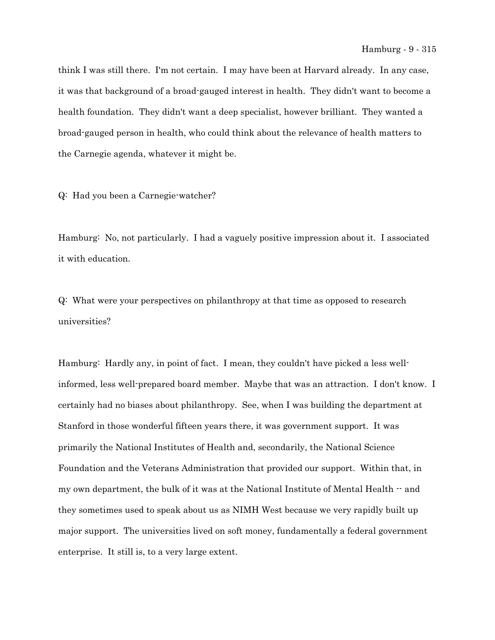think I was still there. I'm not certain. I may have been at Harvard already. In any case, it was that background of a broad-gauged interest in health. They didn't want to become a health foundation. They didn't want a deep specialist, however brilliant. They wanted a broad-gauged person in health, who could think about the relevance of health matters to the Carnegie agenda, whatever it might be.

Q: Had you been a Carnegie-watcher?

Hamburg: No, not particularly. I had a vaguely positive impression about it. I associated it with education.

Q: What were your perspectives on philanthropy at that time as opposed to research universities?

Hamburg: Hardly any, in point of fact. I mean, they couldn't have picked a less wellinformed, less well-prepared board member. Maybe that was an attraction. I don't know. I certainly had no biases about philanthropy. See, when I was building the department at Stanford in those wonderful fifteen years there, it was government support. It was primarily the National Institutes of Health and, secondarily, the National Science Foundation and the Veterans Administration that provided our support. Within that, in my own department, the bulk of it was at the National Institute of Mental Health -- and they sometimes used to speak about us as NIMH West because we very rapidly built up major support. The universities lived on soft money, fundamentally a federal government enterprise. It still is, to a very large extent.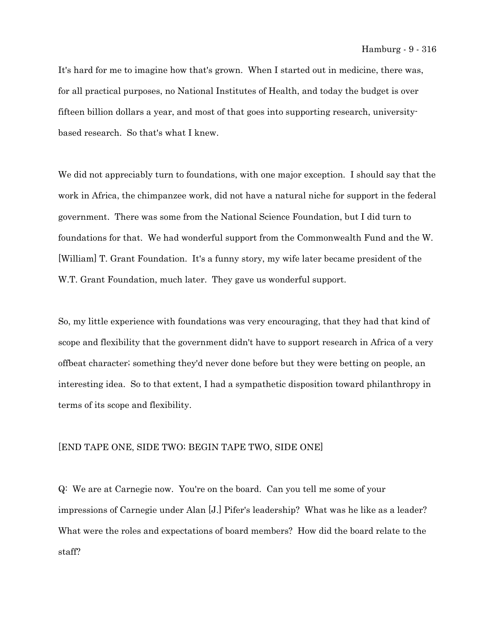It's hard for me to imagine how that's grown. When I started out in medicine, there was, for all practical purposes, no National Institutes of Health, and today the budget is over fifteen billion dollars a year, and most of that goes into supporting research, universitybased research. So that's what I knew.

We did not appreciably turn to foundations, with one major exception. I should say that the work in Africa, the chimpanzee work, did not have a natural niche for support in the federal government. There was some from the National Science Foundation, but I did turn to foundations for that. We had wonderful support from the Commonwealth Fund and the W. [William] T. Grant Foundation. It's a funny story, my wife later became president of the W.T. Grant Foundation, much later. They gave us wonderful support.

So, my little experience with foundations was very encouraging, that they had that kind of scope and flexibility that the government didn't have to support research in Africa of a very offbeat character; something they'd never done before but they were betting on people, an interesting idea. So to that extent, I had a sympathetic disposition toward philanthropy in terms of its scope and flexibility.

## [END TAPE ONE, SIDE TWO; BEGIN TAPE TWO, SIDE ONE]

Q: We are at Carnegie now. You're on the board. Can you tell me some of your impressions of Carnegie under Alan [J.] Pifer's leadership? What was he like as a leader? What were the roles and expectations of board members? How did the board relate to the staff?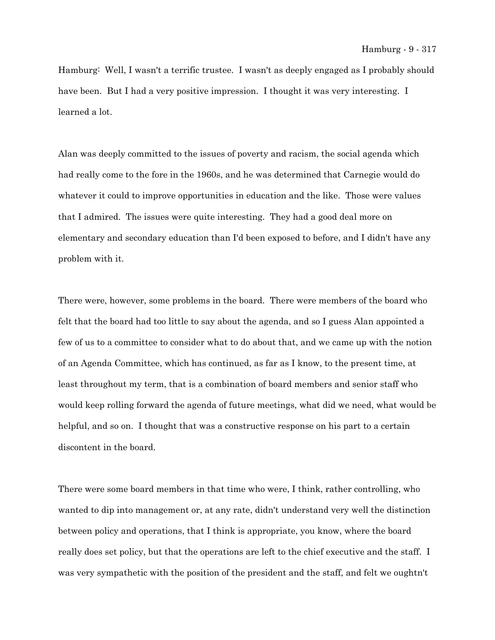Hamburg: Well, I wasn't a terrific trustee. I wasn't as deeply engaged as I probably should have been. But I had a very positive impression. I thought it was very interesting. I learned a lot.

Alan was deeply committed to the issues of poverty and racism, the social agenda which had really come to the fore in the 1960s, and he was determined that Carnegie would do whatever it could to improve opportunities in education and the like. Those were values that I admired. The issues were quite interesting. They had a good deal more on elementary and secondary education than I'd been exposed to before, and I didn't have any problem with it.

There were, however, some problems in the board. There were members of the board who felt that the board had too little to say about the agenda, and so I guess Alan appointed a few of us to a committee to consider what to do about that, and we came up with the notion of an Agenda Committee, which has continued, as far as I know, to the present time, at least throughout my term, that is a combination of board members and senior staff who would keep rolling forward the agenda of future meetings, what did we need, what would be helpful, and so on. I thought that was a constructive response on his part to a certain discontent in the board.

There were some board members in that time who were, I think, rather controlling, who wanted to dip into management or, at any rate, didn't understand very well the distinction between policy and operations, that I think is appropriate, you know, where the board really does set policy, but that the operations are left to the chief executive and the staff. I was very sympathetic with the position of the president and the staff, and felt we oughtn't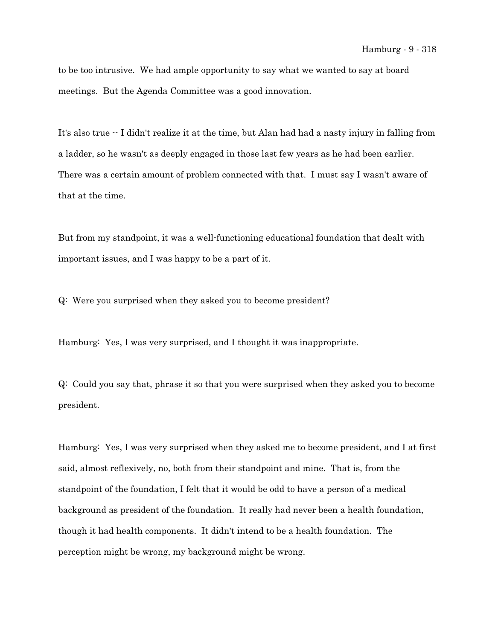to be too intrusive. We had ample opportunity to say what we wanted to say at board meetings. But the Agenda Committee was a good innovation.

It's also true -- I didn't realize it at the time, but Alan had had a nasty injury in falling from a ladder, so he wasn't as deeply engaged in those last few years as he had been earlier. There was a certain amount of problem connected with that. I must say I wasn't aware of that at the time.

But from my standpoint, it was a well-functioning educational foundation that dealt with important issues, and I was happy to be a part of it.

Q: Were you surprised when they asked you to become president?

Hamburg: Yes, I was very surprised, and I thought it was inappropriate.

Q: Could you say that, phrase it so that you were surprised when they asked you to become president.

Hamburg: Yes, I was very surprised when they asked me to become president, and I at first said, almost reflexively, no, both from their standpoint and mine. That is, from the standpoint of the foundation, I felt that it would be odd to have a person of a medical background as president of the foundation. It really had never been a health foundation, though it had health components. It didn't intend to be a health foundation. The perception might be wrong, my background might be wrong.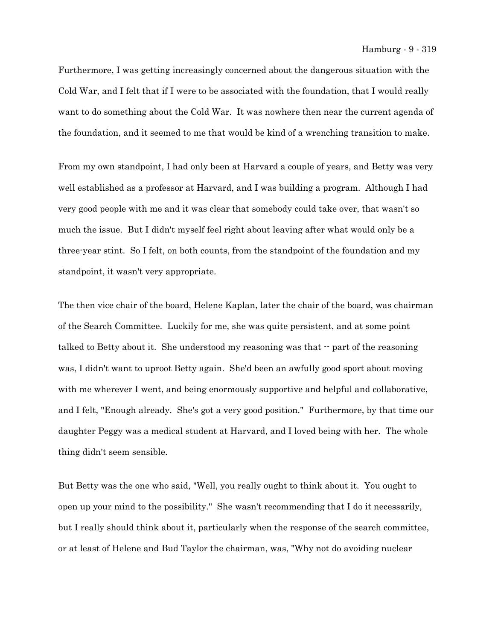Furthermore, I was getting increasingly concerned about the dangerous situation with the Cold War, and I felt that if I were to be associated with the foundation, that I would really want to do something about the Cold War. It was nowhere then near the current agenda of the foundation, and it seemed to me that would be kind of a wrenching transition to make.

From my own standpoint, I had only been at Harvard a couple of years, and Betty was very well established as a professor at Harvard, and I was building a program. Although I had very good people with me and it was clear that somebody could take over, that wasn't so much the issue. But I didn't myself feel right about leaving after what would only be a three-year stint. So I felt, on both counts, from the standpoint of the foundation and my standpoint, it wasn't very appropriate.

The then vice chair of the board, Helene Kaplan, later the chair of the board, was chairman of the Search Committee. Luckily for me, she was quite persistent, and at some point talked to Betty about it. She understood my reasoning was that  $\cdot$  part of the reasoning was, I didn't want to uproot Betty again. She'd been an awfully good sport about moving with me wherever I went, and being enormously supportive and helpful and collaborative, and I felt, "Enough already. She's got a very good position." Furthermore, by that time our daughter Peggy was a medical student at Harvard, and I loved being with her. The whole thing didn't seem sensible.

But Betty was the one who said, "Well, you really ought to think about it. You ought to open up your mind to the possibility." She wasn't recommending that I do it necessarily, but I really should think about it, particularly when the response of the search committee, or at least of Helene and Bud Taylor the chairman, was, "Why not do avoiding nuclear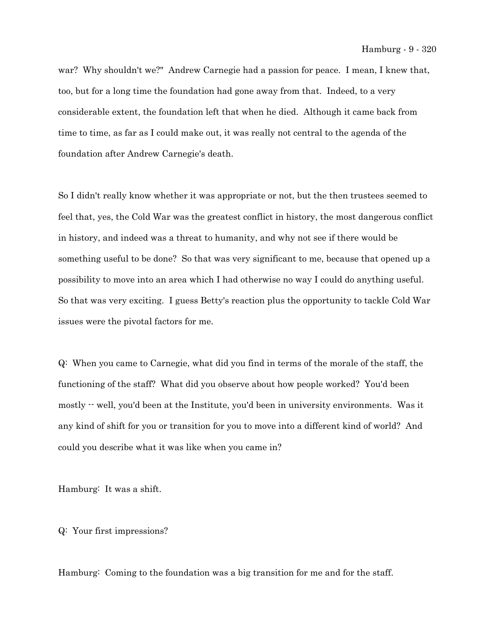war? Why shouldn't we?" Andrew Carnegie had a passion for peace. I mean, I knew that, too, but for a long time the foundation had gone away from that. Indeed, to a very considerable extent, the foundation left that when he died. Although it came back from time to time, as far as I could make out, it was really not central to the agenda of the foundation after Andrew Carnegie's death.

So I didn't really know whether it was appropriate or not, but the then trustees seemed to feel that, yes, the Cold War was the greatest conflict in history, the most dangerous conflict in history, and indeed was a threat to humanity, and why not see if there would be something useful to be done? So that was very significant to me, because that opened up a possibility to move into an area which I had otherwise no way I could do anything useful. So that was very exciting. I guess Betty's reaction plus the opportunity to tackle Cold War issues were the pivotal factors for me.

Q: When you came to Carnegie, what did you find in terms of the morale of the staff, the functioning of the staff? What did you observe about how people worked? You'd been mostly  $\cdot$  well, you'd been at the Institute, you'd been in university environments. Was it any kind of shift for you or transition for you to move into a different kind of world? And could you describe what it was like when you came in?

Hamburg: It was a shift.

Q: Your first impressions?

Hamburg: Coming to the foundation was a big transition for me and for the staff.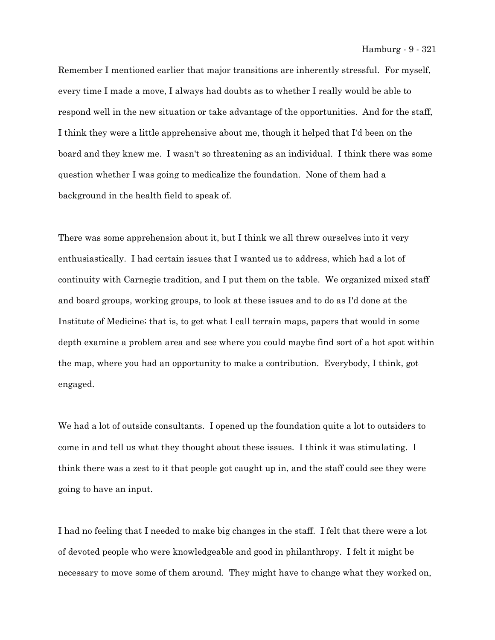Remember I mentioned earlier that major transitions are inherently stressful. For myself, every time I made a move, I always had doubts as to whether I really would be able to respond well in the new situation or take advantage of the opportunities. And for the staff, I think they were a little apprehensive about me, though it helped that I'd been on the board and they knew me. I wasn't so threatening as an individual. I think there was some question whether I was going to medicalize the foundation. None of them had a background in the health field to speak of.

There was some apprehension about it, but I think we all threw ourselves into it very enthusiastically. I had certain issues that I wanted us to address, which had a lot of continuity with Carnegie tradition, and I put them on the table. We organized mixed staff and board groups, working groups, to look at these issues and to do as I'd done at the Institute of Medicine; that is, to get what I call terrain maps, papers that would in some depth examine a problem area and see where you could maybe find sort of a hot spot within the map, where you had an opportunity to make a contribution. Everybody, I think, got engaged.

We had a lot of outside consultants. I opened up the foundation quite a lot to outsiders to come in and tell us what they thought about these issues. I think it was stimulating. I think there was a zest to it that people got caught up in, and the staff could see they were going to have an input.

I had no feeling that I needed to make big changes in the staff. I felt that there were a lot of devoted people who were knowledgeable and good in philanthropy. I felt it might be necessary to move some of them around. They might have to change what they worked on,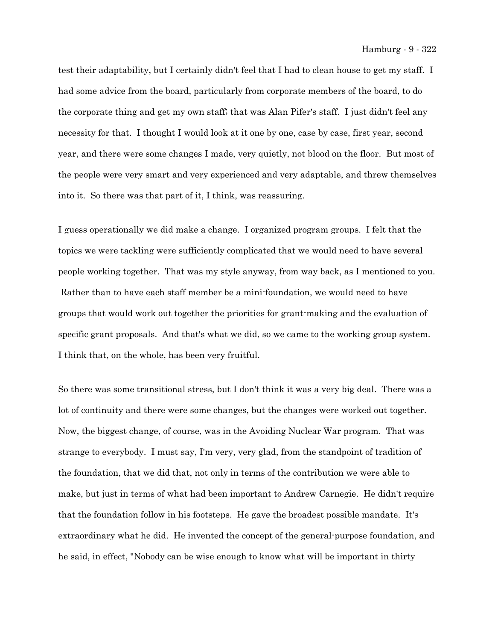test their adaptability, but I certainly didn't feel that I had to clean house to get my staff. I had some advice from the board, particularly from corporate members of the board, to do the corporate thing and get my own staff; that was Alan Pifer's staff. I just didn't feel any necessity for that. I thought I would look at it one by one, case by case, first year, second year, and there were some changes I made, very quietly, not blood on the floor. But most of the people were very smart and very experienced and very adaptable, and threw themselves into it. So there was that part of it, I think, was reassuring.

I guess operationally we did make a change. I organized program groups. I felt that the topics we were tackling were sufficiently complicated that we would need to have several people working together. That was my style anyway, from way back, as I mentioned to you. Rather than to have each staff member be a mini-foundation, we would need to have groups that would work out together the priorities for grant-making and the evaluation of specific grant proposals. And that's what we did, so we came to the working group system. I think that, on the whole, has been very fruitful.

So there was some transitional stress, but I don't think it was a very big deal. There was a lot of continuity and there were some changes, but the changes were worked out together. Now, the biggest change, of course, was in the Avoiding Nuclear War program. That was strange to everybody. I must say, I'm very, very glad, from the standpoint of tradition of the foundation, that we did that, not only in terms of the contribution we were able to make, but just in terms of what had been important to Andrew Carnegie. He didn't require that the foundation follow in his footsteps. He gave the broadest possible mandate. It's extraordinary what he did. He invented the concept of the general-purpose foundation, and he said, in effect, "Nobody can be wise enough to know what will be important in thirty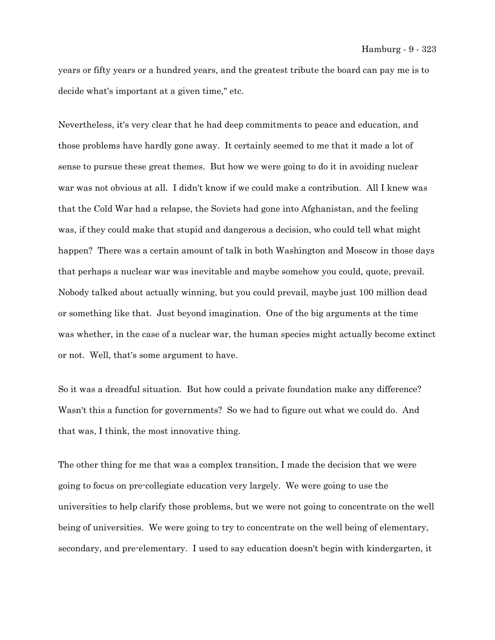years or fifty years or a hundred years, and the greatest tribute the board can pay me is to decide what's important at a given time," etc.

Nevertheless, it's very clear that he had deep commitments to peace and education, and those problems have hardly gone away. It certainly seemed to me that it made a lot of sense to pursue these great themes. But how we were going to do it in avoiding nuclear war was not obvious at all. I didn't know if we could make a contribution. All I knew was that the Cold War had a relapse, the Soviets had gone into Afghanistan, and the feeling was, if they could make that stupid and dangerous a decision, who could tell what might happen? There was a certain amount of talk in both Washington and Moscow in those days that perhaps a nuclear war was inevitable and maybe somehow you could, quote, prevail. Nobody talked about actually winning, but you could prevail, maybe just 100 million dead or something like that. Just beyond imagination. One of the big arguments at the time was whether, in the case of a nuclear war, the human species might actually become extinct or not. Well, that's some argument to have.

So it was a dreadful situation. But how could a private foundation make any difference? Wasn't this a function for governments? So we had to figure out what we could do. And that was, I think, the most innovative thing.

The other thing for me that was a complex transition, I made the decision that we were going to focus on pre-collegiate education very largely. We were going to use the universities to help clarify those problems, but we were not going to concentrate on the well being of universities. We were going to try to concentrate on the well being of elementary, secondary, and pre-elementary. I used to say education doesn't begin with kindergarten, it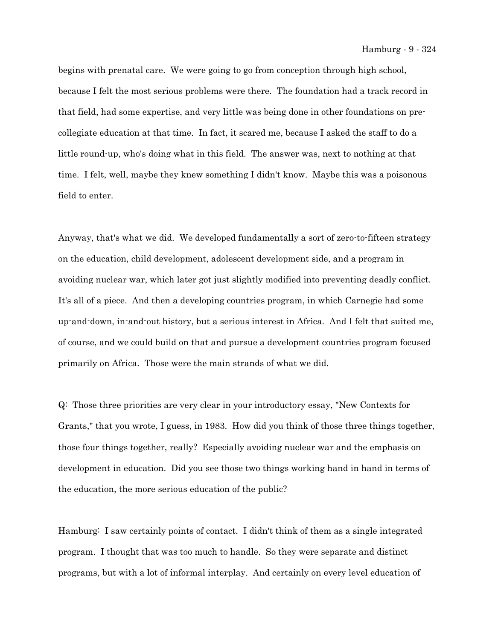begins with prenatal care. We were going to go from conception through high school, because I felt the most serious problems were there. The foundation had a track record in that field, had some expertise, and very little was being done in other foundations on precollegiate education at that time. In fact, it scared me, because I asked the staff to do a little round-up, who's doing what in this field. The answer was, next to nothing at that time. I felt, well, maybe they knew something I didn't know. Maybe this was a poisonous field to enter.

Anyway, that's what we did. We developed fundamentally a sort of zero-to-fifteen strategy on the education, child development, adolescent development side, and a program in avoiding nuclear war, which later got just slightly modified into preventing deadly conflict. It's all of a piece. And then a developing countries program, in which Carnegie had some up-and-down, in-and-out history, but a serious interest in Africa. And I felt that suited me, of course, and we could build on that and pursue a development countries program focused primarily on Africa. Those were the main strands of what we did.

Q: Those three priorities are very clear in your introductory essay, "New Contexts for Grants," that you wrote, I guess, in 1983. How did you think of those three things together, those four things together, really? Especially avoiding nuclear war and the emphasis on development in education. Did you see those two things working hand in hand in terms of the education, the more serious education of the public?

Hamburg: I saw certainly points of contact. I didn't think of them as a single integrated program. I thought that was too much to handle. So they were separate and distinct programs, but with a lot of informal interplay. And certainly on every level education of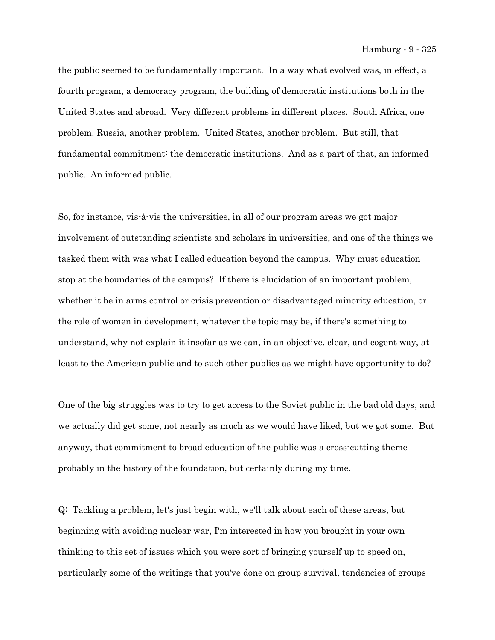the public seemed to be fundamentally important. In a way what evolved was, in effect, a fourth program, a democracy program, the building of democratic institutions both in the United States and abroad. Very different problems in different places. South Africa, one problem. Russia, another problem. United States, another problem. But still, that fundamental commitment: the democratic institutions. And as a part of that, an informed public. An informed public.

So, for instance, vis-à-vis the universities, in all of our program areas we got major involvement of outstanding scientists and scholars in universities, and one of the things we tasked them with was what I called education beyond the campus. Why must education stop at the boundaries of the campus? If there is elucidation of an important problem, whether it be in arms control or crisis prevention or disadvantaged minority education, or the role of women in development, whatever the topic may be, if there's something to understand, why not explain it insofar as we can, in an objective, clear, and cogent way, at least to the American public and to such other publics as we might have opportunity to do?

One of the big struggles was to try to get access to the Soviet public in the bad old days, and we actually did get some, not nearly as much as we would have liked, but we got some. But anyway, that commitment to broad education of the public was a cross-cutting theme probably in the history of the foundation, but certainly during my time.

Q: Tackling a problem, let's just begin with, we'll talk about each of these areas, but beginning with avoiding nuclear war, I'm interested in how you brought in your own thinking to this set of issues which you were sort of bringing yourself up to speed on, particularly some of the writings that you've done on group survival, tendencies of groups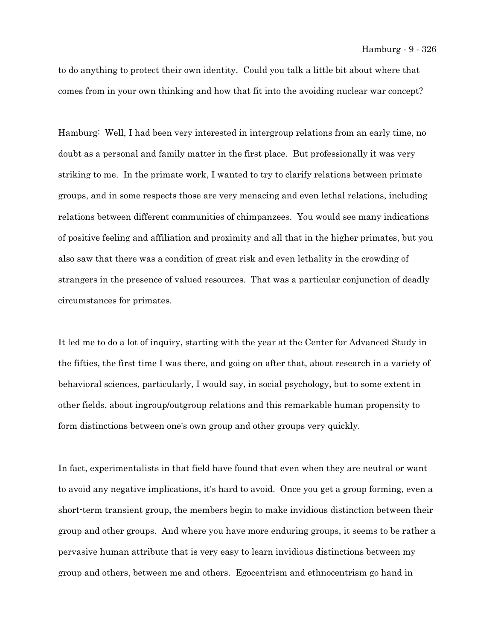to do anything to protect their own identity. Could you talk a little bit about where that comes from in your own thinking and how that fit into the avoiding nuclear war concept?

Hamburg: Well, I had been very interested in intergroup relations from an early time, no doubt as a personal and family matter in the first place. But professionally it was very striking to me. In the primate work, I wanted to try to clarify relations between primate groups, and in some respects those are very menacing and even lethal relations, including relations between different communities of chimpanzees. You would see many indications of positive feeling and affiliation and proximity and all that in the higher primates, but you also saw that there was a condition of great risk and even lethality in the crowding of strangers in the presence of valued resources. That was a particular conjunction of deadly circumstances for primates.

It led me to do a lot of inquiry, starting with the year at the Center for Advanced Study in the fifties, the first time I was there, and going on after that, about research in a variety of behavioral sciences, particularly, I would say, in social psychology, but to some extent in other fields, about ingroup/outgroup relations and this remarkable human propensity to form distinctions between one's own group and other groups very quickly.

In fact, experimentalists in that field have found that even when they are neutral or want to avoid any negative implications, it's hard to avoid. Once you get a group forming, even a short-term transient group, the members begin to make invidious distinction between their group and other groups. And where you have more enduring groups, it seems to be rather a pervasive human attribute that is very easy to learn invidious distinctions between my group and others, between me and others. Egocentrism and ethnocentrism go hand in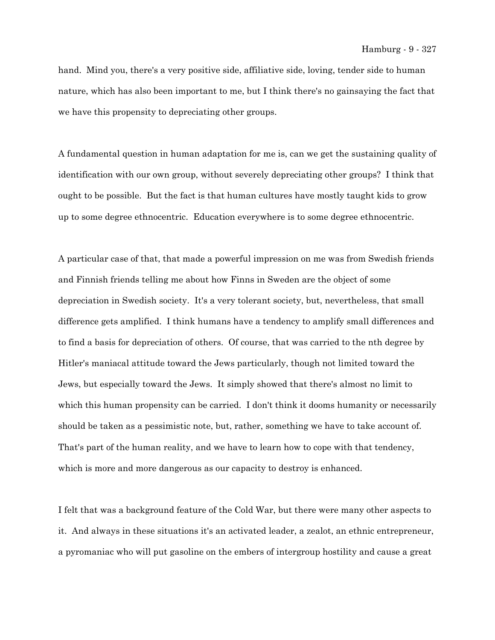hand. Mind you, there's a very positive side, affiliative side, loving, tender side to human nature, which has also been important to me, but I think there's no gainsaying the fact that we have this propensity to depreciating other groups.

A fundamental question in human adaptation for me is, can we get the sustaining quality of identification with our own group, without severely depreciating other groups? I think that ought to be possible. But the fact is that human cultures have mostly taught kids to grow up to some degree ethnocentric. Education everywhere is to some degree ethnocentric.

A particular case of that, that made a powerful impression on me was from Swedish friends and Finnish friends telling me about how Finns in Sweden are the object of some depreciation in Swedish society. It's a very tolerant society, but, nevertheless, that small difference gets amplified. I think humans have a tendency to amplify small differences and to find a basis for depreciation of others. Of course, that was carried to the nth degree by Hitler's maniacal attitude toward the Jews particularly, though not limited toward the Jews, but especially toward the Jews. It simply showed that there's almost no limit to which this human propensity can be carried. I don't think it dooms humanity or necessarily should be taken as a pessimistic note, but, rather, something we have to take account of. That's part of the human reality, and we have to learn how to cope with that tendency, which is more and more dangerous as our capacity to destroy is enhanced.

I felt that was a background feature of the Cold War, but there were many other aspects to it. And always in these situations it's an activated leader, a zealot, an ethnic entrepreneur, a pyromaniac who will put gasoline on the embers of intergroup hostility and cause a great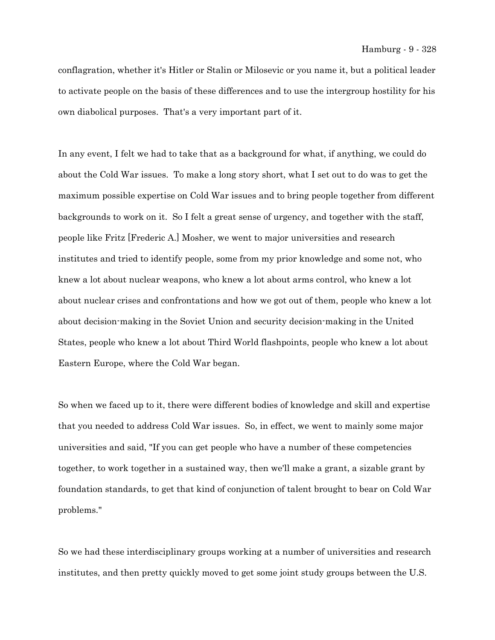conflagration, whether it's Hitler or Stalin or Milosevic or you name it, but a political leader to activate people on the basis of these differences and to use the intergroup hostility for his own diabolical purposes. That's a very important part of it.

In any event, I felt we had to take that as a background for what, if anything, we could do about the Cold War issues. To make a long story short, what I set out to do was to get the maximum possible expertise on Cold War issues and to bring people together from different backgrounds to work on it. So I felt a great sense of urgency, and together with the staff, people like Fritz [Frederic A.] Mosher, we went to major universities and research institutes and tried to identify people, some from my prior knowledge and some not, who knew a lot about nuclear weapons, who knew a lot about arms control, who knew a lot about nuclear crises and confrontations and how we got out of them, people who knew a lot about decision-making in the Soviet Union and security decision-making in the United States, people who knew a lot about Third World flashpoints, people who knew a lot about Eastern Europe, where the Cold War began.

So when we faced up to it, there were different bodies of knowledge and skill and expertise that you needed to address Cold War issues. So, in effect, we went to mainly some major universities and said, "If you can get people who have a number of these competencies together, to work together in a sustained way, then we'll make a grant, a sizable grant by foundation standards, to get that kind of conjunction of talent brought to bear on Cold War problems."

So we had these interdisciplinary groups working at a number of universities and research institutes, and then pretty quickly moved to get some joint study groups between the U.S.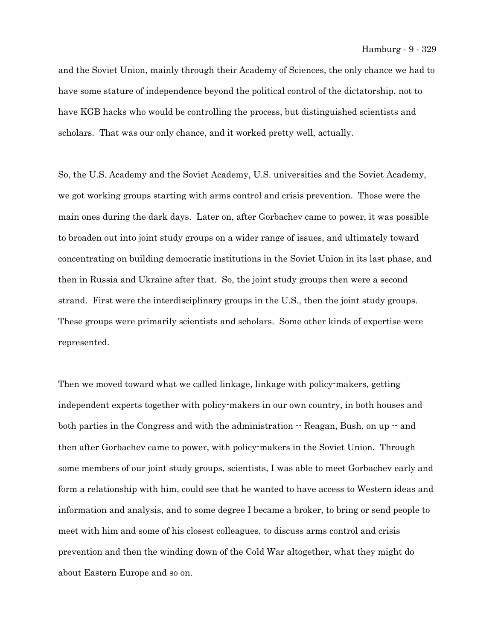and the Soviet Union, mainly through their Academy of Sciences, the only chance we had to have some stature of independence beyond the political control of the dictatorship, not to have KGB hacks who would be controlling the process, but distinguished scientists and scholars. That was our only chance, and it worked pretty well, actually.

So, the U.S. Academy and the Soviet Academy, U.S. universities and the Soviet Academy, we got working groups starting with arms control and crisis prevention. Those were the main ones during the dark days. Later on, after Gorbachev came to power, it was possible to broaden out into joint study groups on a wider range of issues, and ultimately toward concentrating on building democratic institutions in the Soviet Union in its last phase, and then in Russia and Ukraine after that. So, the joint study groups then were a second strand. First were the interdisciplinary groups in the U.S., then the joint study groups. These groups were primarily scientists and scholars. Some other kinds of expertise were represented.

Then we moved toward what we called linkage, linkage with policy-makers, getting independent experts together with policy-makers in our own country, in both houses and both parties in the Congress and with the administration  $-$  Reagan, Bush, on up  $-$  and then after Gorbachev came to power, with policy-makers in the Soviet Union. Through some members of our joint study groups, scientists, I was able to meet Gorbachev early and form a relationship with him, could see that he wanted to have access to Western ideas and information and analysis, and to some degree I became a broker, to bring or send people to meet with him and some of his closest colleagues, to discuss arms control and crisis prevention and then the winding down of the Cold War altogether, what they might do about Eastern Europe and so on.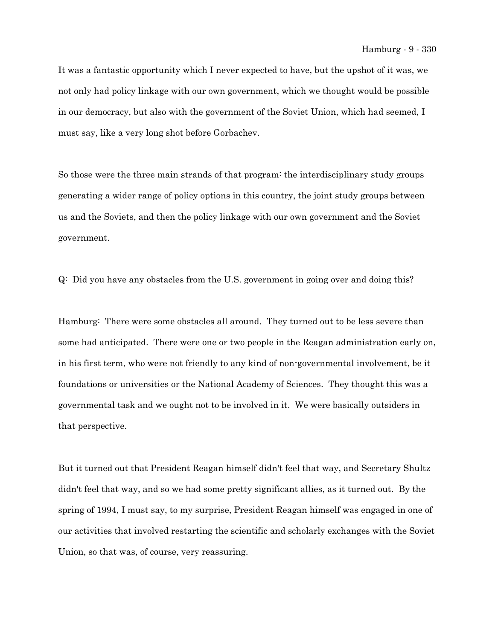It was a fantastic opportunity which I never expected to have, but the upshot of it was, we not only had policy linkage with our own government, which we thought would be possible in our democracy, but also with the government of the Soviet Union, which had seemed, I must say, like a very long shot before Gorbachev.

So those were the three main strands of that program: the interdisciplinary study groups generating a wider range of policy options in this country, the joint study groups between us and the Soviets, and then the policy linkage with our own government and the Soviet government.

Q: Did you have any obstacles from the U.S. government in going over and doing this?

Hamburg: There were some obstacles all around. They turned out to be less severe than some had anticipated. There were one or two people in the Reagan administration early on, in his first term, who were not friendly to any kind of non-governmental involvement, be it foundations or universities or the National Academy of Sciences. They thought this was a governmental task and we ought not to be involved in it. We were basically outsiders in that perspective.

But it turned out that President Reagan himself didn't feel that way, and Secretary Shultz didn't feel that way, and so we had some pretty significant allies, as it turned out. By the spring of 1994, I must say, to my surprise, President Reagan himself was engaged in one of our activities that involved restarting the scientific and scholarly exchanges with the Soviet Union, so that was, of course, very reassuring.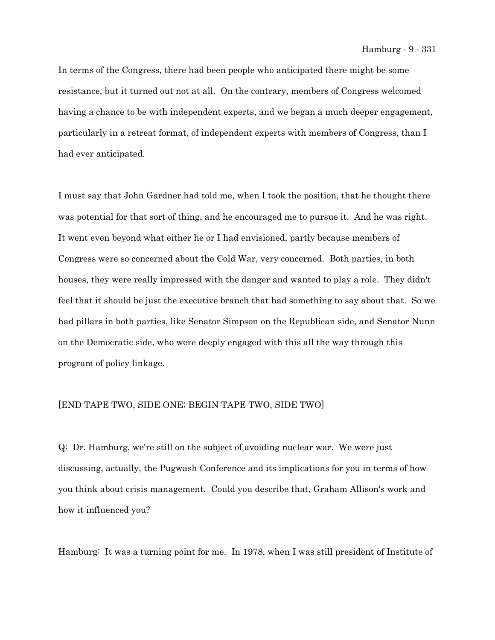In terms of the Congress, there had been people who anticipated there might be some resistance, but it turned out not at all. On the contrary, members of Congress welcomed having a chance to be with independent experts, and we began a much deeper engagement, particularly in a retreat format, of independent experts with members of Congress, than I had ever anticipated.

I must say that John Gardner had told me, when I took the position, that he thought there was potential for that sort of thing, and he encouraged me to pursue it. And he was right. It went even beyond what either he or I had envisioned, partly because members of Congress were so concerned about the Cold War, very concerned. Both parties, in both houses, they were really impressed with the danger and wanted to play a role. They didn't feel that it should be just the executive branch that had something to say about that. So we had pillars in both parties, like Senator Simpson on the Republican side, and Senator Nunn on the Democratic side, who were deeply engaged with this all the way through this program of policy linkage.

## [END TAPE TWO, SIDE ONE; BEGIN TAPE TWO, SIDE TWO]

Q: Dr. Hamburg, we're still on the subject of avoiding nuclear war. We were just discussing, actually, the Pugwash Conference and its implications for you in terms of how you think about crisis management. Could you describe that, Graham Allison's work and how it influenced you?

Hamburg: It was a turning point for me. In 1978, when I was still president of Institute of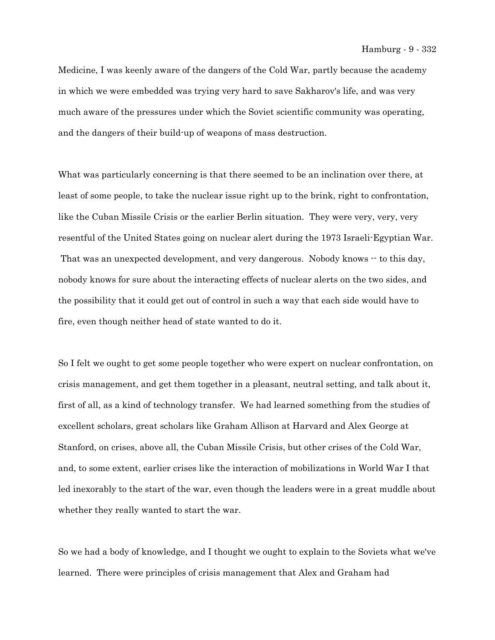Medicine, I was keenly aware of the dangers of the Cold War, partly because the academy in which we were embedded was trying very hard to save Sakharov's life, and was very much aware of the pressures under which the Soviet scientific community was operating, and the dangers of their build-up of weapons of mass destruction.

What was particularly concerning is that there seemed to be an inclination over there, at least of some people, to take the nuclear issue right up to the brink, right to confrontation, like the Cuban Missile Crisis or the earlier Berlin situation. They were very, very, very resentful of the United States going on nuclear alert during the 1973 Israeli-Egyptian War. That was an unexpected development, and very dangerous. Nobody knows  $\cdot$  to this day, nobody knows for sure about the interacting effects of nuclear alerts on the two sides, and the possibility that it could get out of control in such a way that each side would have to fire, even though neither head of state wanted to do it.

So I felt we ought to get some people together who were expert on nuclear confrontation, on crisis management, and get them together in a pleasant, neutral setting, and talk about it, first of all, as a kind of technology transfer. We had learned something from the studies of excellent scholars, great scholars like Graham Allison at Harvard and Alex George at Stanford, on crises, above all, the Cuban Missile Crisis, but other crises of the Cold War, and, to some extent, earlier crises like the interaction of mobilizations in World War I that led inexorably to the start of the war, even though the leaders were in a great muddle about whether they really wanted to start the war.

So we had a body of knowledge, and I thought we ought to explain to the Soviets what we've learned. There were principles of crisis management that Alex and Graham had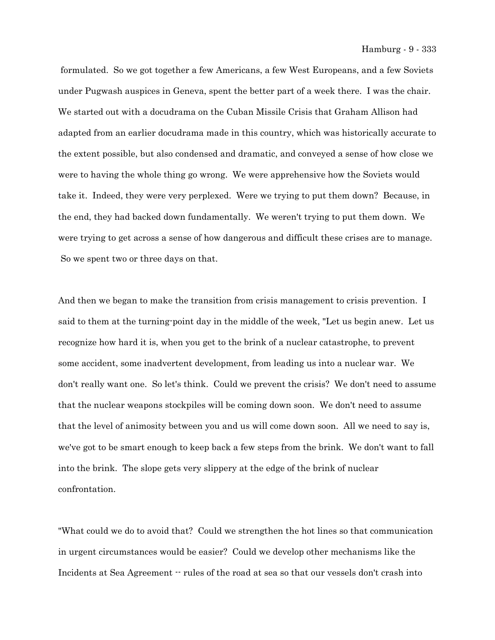formulated. So we got together a few Americans, a few West Europeans, and a few Soviets under Pugwash auspices in Geneva, spent the better part of a week there. I was the chair. We started out with a docudrama on the Cuban Missile Crisis that Graham Allison had adapted from an earlier docudrama made in this country, which was historically accurate to the extent possible, but also condensed and dramatic, and conveyed a sense of how close we were to having the whole thing go wrong. We were apprehensive how the Soviets would take it. Indeed, they were very perplexed. Were we trying to put them down? Because, in the end, they had backed down fundamentally. We weren't trying to put them down. We were trying to get across a sense of how dangerous and difficult these crises are to manage. So we spent two or three days on that.

And then we began to make the transition from crisis management to crisis prevention. I said to them at the turning-point day in the middle of the week, "Let us begin anew. Let us recognize how hard it is, when you get to the brink of a nuclear catastrophe, to prevent some accident, some inadvertent development, from leading us into a nuclear war. We don't really want one. So let's think. Could we prevent the crisis? We don't need to assume that the nuclear weapons stockpiles will be coming down soon. We don't need to assume that the level of animosity between you and us will come down soon. All we need to say is, we've got to be smart enough to keep back a few steps from the brink. We don't want to fall into the brink. The slope gets very slippery at the edge of the brink of nuclear confrontation.

"What could we do to avoid that? Could we strengthen the hot lines so that communication in urgent circumstances would be easier? Could we develop other mechanisms like the Incidents at Sea Agreement  $\cdot\cdot$  rules of the road at sea so that our vessels don't crash into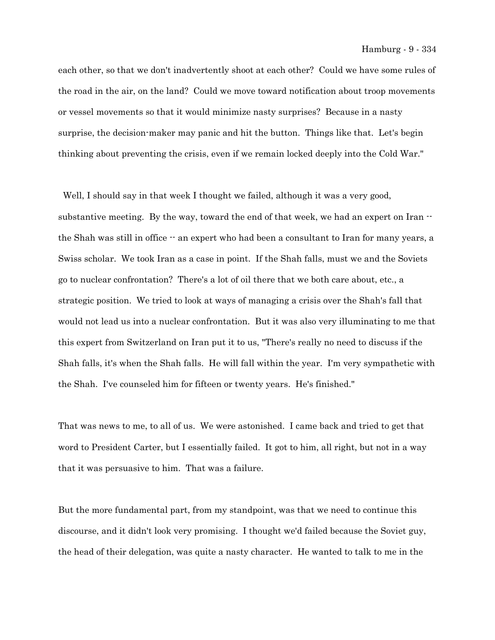each other, so that we don't inadvertently shoot at each other? Could we have some rules of the road in the air, on the land? Could we move toward notification about troop movements or vessel movements so that it would minimize nasty surprises? Because in a nasty surprise, the decision-maker may panic and hit the button. Things like that. Let's begin thinking about preventing the crisis, even if we remain locked deeply into the Cold War."

Well, I should say in that week I thought we failed, although it was a very good, substantive meeting. By the way, toward the end of that week, we had an expert on Iran  $$ the Shah was still in office  $\cdot$  an expert who had been a consultant to Iran for many years, a Swiss scholar. We took Iran as a case in point. If the Shah falls, must we and the Soviets go to nuclear confrontation? There's a lot of oil there that we both care about, etc., a strategic position. We tried to look at ways of managing a crisis over the Shah's fall that would not lead us into a nuclear confrontation. But it was also very illuminating to me that this expert from Switzerland on Iran put it to us, "There's really no need to discuss if the Shah falls, it's when the Shah falls. He will fall within the year. I'm very sympathetic with the Shah. I've counseled him for fifteen or twenty years. He's finished."

That was news to me, to all of us. We were astonished. I came back and tried to get that word to President Carter, but I essentially failed. It got to him, all right, but not in a way that it was persuasive to him. That was a failure.

But the more fundamental part, from my standpoint, was that we need to continue this discourse, and it didn't look very promising. I thought we'd failed because the Soviet guy, the head of their delegation, was quite a nasty character. He wanted to talk to me in the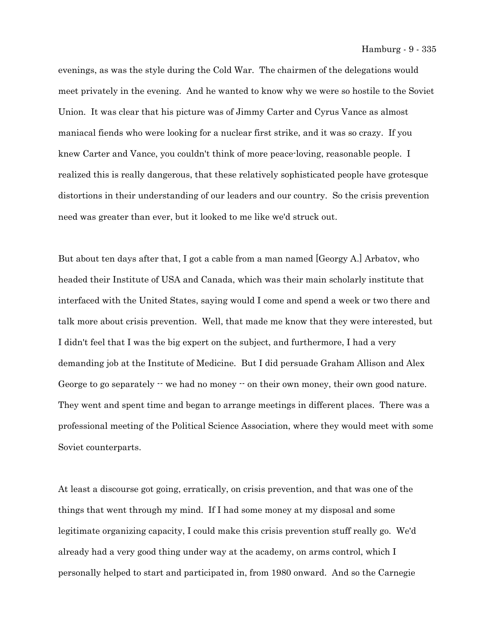Hamburg - 9 - 335

evenings, as was the style during the Cold War. The chairmen of the delegations would meet privately in the evening. And he wanted to know why we were so hostile to the Soviet Union. It was clear that his picture was of Jimmy Carter and Cyrus Vance as almost maniacal fiends who were looking for a nuclear first strike, and it was so crazy. If you knew Carter and Vance, you couldn't think of more peace-loving, reasonable people. I realized this is really dangerous, that these relatively sophisticated people have grotesque distortions in their understanding of our leaders and our country. So the crisis prevention need was greater than ever, but it looked to me like we'd struck out.

But about ten days after that, I got a cable from a man named [Georgy A.] Arbatov, who headed their Institute of USA and Canada, which was their main scholarly institute that interfaced with the United States, saying would I come and spend a week or two there and talk more about crisis prevention. Well, that made me know that they were interested, but I didn't feel that I was the big expert on the subject, and furthermore, I had a very demanding job at the Institute of Medicine. But I did persuade Graham Allison and Alex George to go separately  $\cdot\cdot$  we had no money  $\cdot\cdot$  on their own money, their own good nature. They went and spent time and began to arrange meetings in different places. There was a professional meeting of the Political Science Association, where they would meet with some Soviet counterparts.

At least a discourse got going, erratically, on crisis prevention, and that was one of the things that went through my mind. If I had some money at my disposal and some legitimate organizing capacity, I could make this crisis prevention stuff really go. We'd already had a very good thing under way at the academy, on arms control, which I personally helped to start and participated in, from 1980 onward. And so the Carnegie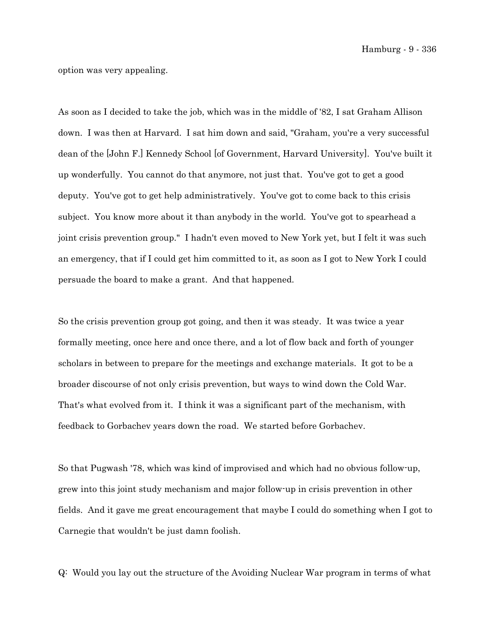Hamburg - 9 - 336

option was very appealing.

As soon as I decided to take the job, which was in the middle of '82, I sat Graham Allison down. I was then at Harvard. I sat him down and said, "Graham, you're a very successful dean of the [John F.] Kennedy School [of Government, Harvard University]. You've built it up wonderfully. You cannot do that anymore, not just that. You've got to get a good deputy. You've got to get help administratively. You've got to come back to this crisis subject. You know more about it than anybody in the world. You've got to spearhead a joint crisis prevention group." I hadn't even moved to New York yet, but I felt it was such an emergency, that if I could get him committed to it, as soon as I got to New York I could persuade the board to make a grant. And that happened.

So the crisis prevention group got going, and then it was steady. It was twice a year formally meeting, once here and once there, and a lot of flow back and forth of younger scholars in between to prepare for the meetings and exchange materials. It got to be a broader discourse of not only crisis prevention, but ways to wind down the Cold War. That's what evolved from it. I think it was a significant part of the mechanism, with feedback to Gorbachev years down the road. We started before Gorbachev.

So that Pugwash '78, which was kind of improvised and which had no obvious follow-up, grew into this joint study mechanism and major follow-up in crisis prevention in other fields. And it gave me great encouragement that maybe I could do something when I got to Carnegie that wouldn't be just damn foolish.

Q: Would you lay out the structure of the Avoiding Nuclear War program in terms of what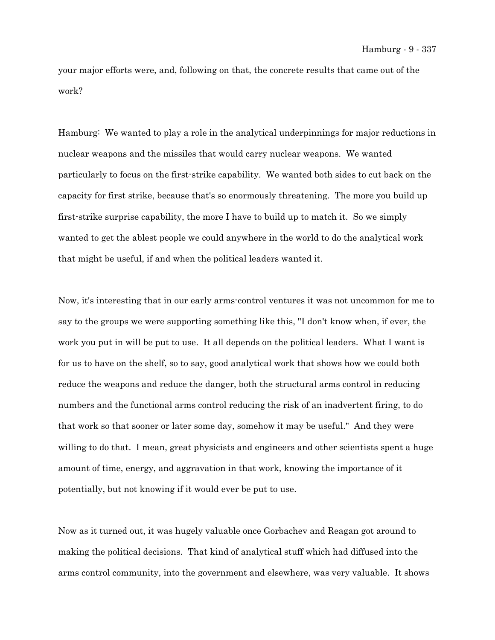your major efforts were, and, following on that, the concrete results that came out of the work?

Hamburg: We wanted to play a role in the analytical underpinnings for major reductions in nuclear weapons and the missiles that would carry nuclear weapons. We wanted particularly to focus on the first-strike capability. We wanted both sides to cut back on the capacity for first strike, because that's so enormously threatening. The more you build up first-strike surprise capability, the more I have to build up to match it. So we simply wanted to get the ablest people we could anywhere in the world to do the analytical work that might be useful, if and when the political leaders wanted it.

Now, it's interesting that in our early arms-control ventures it was not uncommon for me to say to the groups we were supporting something like this, "I don't know when, if ever, the work you put in will be put to use. It all depends on the political leaders. What I want is for us to have on the shelf, so to say, good analytical work that shows how we could both reduce the weapons and reduce the danger, both the structural arms control in reducing numbers and the functional arms control reducing the risk of an inadvertent firing, to do that work so that sooner or later some day, somehow it may be useful." And they were willing to do that. I mean, great physicists and engineers and other scientists spent a huge amount of time, energy, and aggravation in that work, knowing the importance of it potentially, but not knowing if it would ever be put to use.

Now as it turned out, it was hugely valuable once Gorbachev and Reagan got around to making the political decisions. That kind of analytical stuff which had diffused into the arms control community, into the government and elsewhere, was very valuable. It shows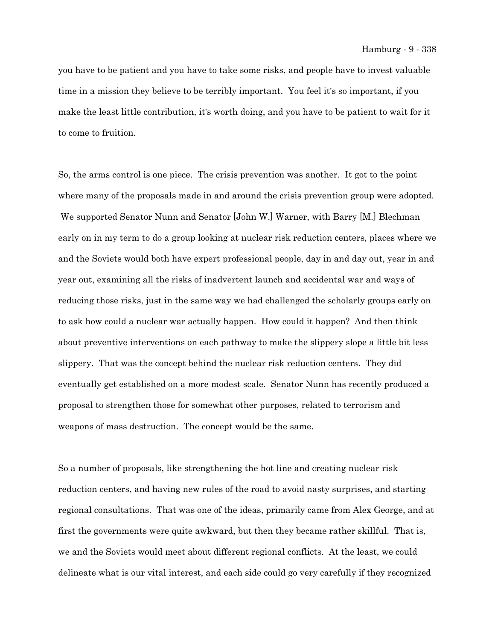you have to be patient and you have to take some risks, and people have to invest valuable time in a mission they believe to be terribly important. You feel it's so important, if you make the least little contribution, it's worth doing, and you have to be patient to wait for it to come to fruition.

So, the arms control is one piece. The crisis prevention was another. It got to the point where many of the proposals made in and around the crisis prevention group were adopted. We supported Senator Nunn and Senator [John W.] Warner, with Barry [M.] Blechman early on in my term to do a group looking at nuclear risk reduction centers, places where we and the Soviets would both have expert professional people, day in and day out, year in and year out, examining all the risks of inadvertent launch and accidental war and ways of reducing those risks, just in the same way we had challenged the scholarly groups early on to ask how could a nuclear war actually happen. How could it happen? And then think about preventive interventions on each pathway to make the slippery slope a little bit less slippery. That was the concept behind the nuclear risk reduction centers. They did eventually get established on a more modest scale. Senator Nunn has recently produced a proposal to strengthen those for somewhat other purposes, related to terrorism and weapons of mass destruction. The concept would be the same.

So a number of proposals, like strengthening the hot line and creating nuclear risk reduction centers, and having new rules of the road to avoid nasty surprises, and starting regional consultations. That was one of the ideas, primarily came from Alex George, and at first the governments were quite awkward, but then they became rather skillful. That is, we and the Soviets would meet about different regional conflicts. At the least, we could delineate what is our vital interest, and each side could go very carefully if they recognized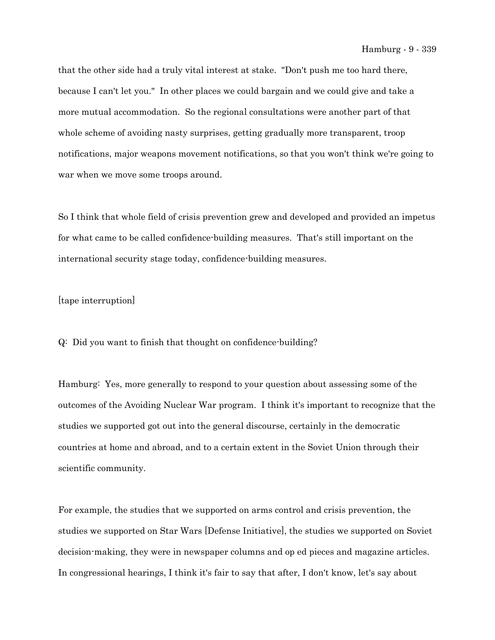that the other side had a truly vital interest at stake. "Don't push me too hard there, because I can't let you." In other places we could bargain and we could give and take a more mutual accommodation. So the regional consultations were another part of that whole scheme of avoiding nasty surprises, getting gradually more transparent, troop notifications, major weapons movement notifications, so that you won't think we're going to war when we move some troops around.

So I think that whole field of crisis prevention grew and developed and provided an impetus for what came to be called confidence-building measures. That's still important on the international security stage today, confidence-building measures.

## [tape interruption]

Q: Did you want to finish that thought on confidence-building?

Hamburg: Yes, more generally to respond to your question about assessing some of the outcomes of the Avoiding Nuclear War program. I think it's important to recognize that the studies we supported got out into the general discourse, certainly in the democratic countries at home and abroad, and to a certain extent in the Soviet Union through their scientific community.

For example, the studies that we supported on arms control and crisis prevention, the studies we supported on Star Wars [Defense Initiative], the studies we supported on Soviet decision-making, they were in newspaper columns and op ed pieces and magazine articles. In congressional hearings, I think it's fair to say that after, I don't know, let's say about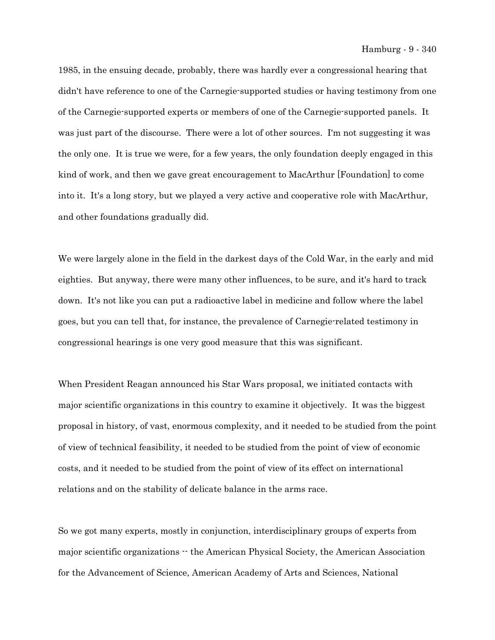1985, in the ensuing decade, probably, there was hardly ever a congressional hearing that didn't have reference to one of the Carnegie-supported studies or having testimony from one of the Carnegie-supported experts or members of one of the Carnegie-supported panels. It was just part of the discourse. There were a lot of other sources. I'm not suggesting it was the only one. It is true we were, for a few years, the only foundation deeply engaged in this kind of work, and then we gave great encouragement to MacArthur [Foundation] to come into it. It's a long story, but we played a very active and cooperative role with MacArthur, and other foundations gradually did.

We were largely alone in the field in the darkest days of the Cold War, in the early and mid eighties. But anyway, there were many other influences, to be sure, and it's hard to track down. It's not like you can put a radioactive label in medicine and follow where the label goes, but you can tell that, for instance, the prevalence of Carnegie-related testimony in congressional hearings is one very good measure that this was significant.

When President Reagan announced his Star Wars proposal, we initiated contacts with major scientific organizations in this country to examine it objectively. It was the biggest proposal in history, of vast, enormous complexity, and it needed to be studied from the point of view of technical feasibility, it needed to be studied from the point of view of economic costs, and it needed to be studied from the point of view of its effect on international relations and on the stability of delicate balance in the arms race.

So we got many experts, mostly in conjunction, interdisciplinary groups of experts from major scientific organizations -- the American Physical Society, the American Association for the Advancement of Science, American Academy of Arts and Sciences, National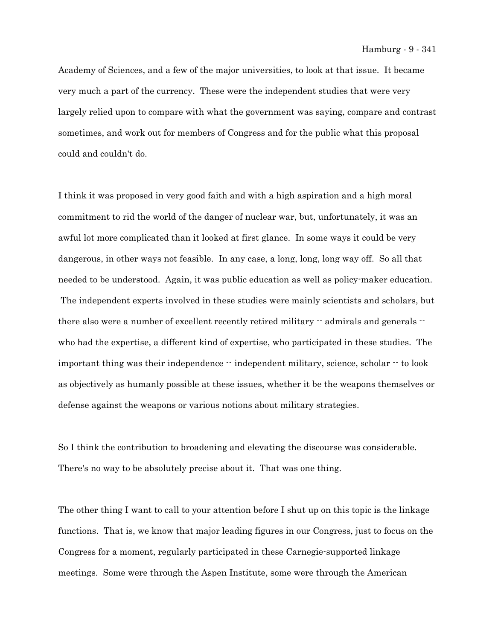Academy of Sciences, and a few of the major universities, to look at that issue. It became very much a part of the currency. These were the independent studies that were very largely relied upon to compare with what the government was saying, compare and contrast sometimes, and work out for members of Congress and for the public what this proposal could and couldn't do.

I think it was proposed in very good faith and with a high aspiration and a high moral commitment to rid the world of the danger of nuclear war, but, unfortunately, it was an awful lot more complicated than it looked at first glance. In some ways it could be very dangerous, in other ways not feasible. In any case, a long, long, long way off. So all that needed to be understood. Again, it was public education as well as policy-maker education. The independent experts involved in these studies were mainly scientists and scholars, but there also were a number of excellent recently retired military  $\cdot$  admirals and generals  $\cdot$ who had the expertise, a different kind of expertise, who participated in these studies. The important thing was their independence  $\cdot \cdot$  independent military, science, scholar  $\cdot \cdot$  to look as objectively as humanly possible at these issues, whether it be the weapons themselves or defense against the weapons or various notions about military strategies.

So I think the contribution to broadening and elevating the discourse was considerable. There's no way to be absolutely precise about it. That was one thing.

The other thing I want to call to your attention before I shut up on this topic is the linkage functions. That is, we know that major leading figures in our Congress, just to focus on the Congress for a moment, regularly participated in these Carnegie-supported linkage meetings. Some were through the Aspen Institute, some were through the American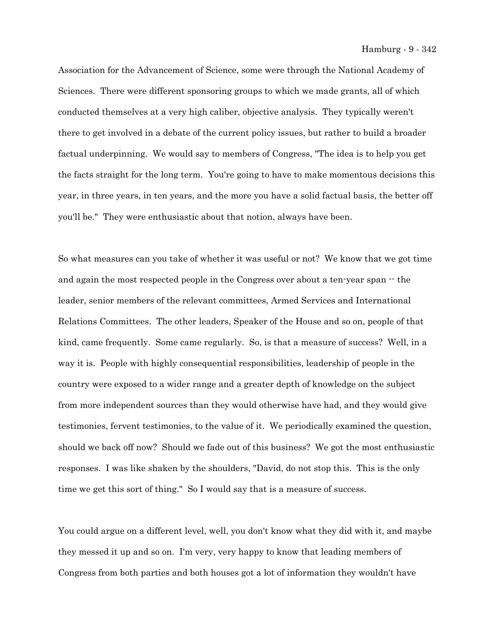Association for the Advancement of Science, some were through the National Academy of Sciences. There were different sponsoring groups to which we made grants, all of which conducted themselves at a very high caliber, objective analysis. They typically weren't there to get involved in a debate of the current policy issues, but rather to build a broader factual underpinning. We would say to members of Congress, "The idea is to help you get the facts straight for the long term. You're going to have to make momentous decisions this year, in three years, in ten years, and the more you have a solid factual basis, the better off you'll be." They were enthusiastic about that notion, always have been.

So what measures can you take of whether it was useful or not? We know that we got time and again the most respected people in the Congress over about a ten-year span  $\cdot$  the leader, senior members of the relevant committees, Armed Services and International Relations Committees. The other leaders, Speaker of the House and so on, people of that kind, came frequently. Some came regularly. So, is that a measure of success? Well, in a way it is. People with highly consequential responsibilities, leadership of people in the country were exposed to a wider range and a greater depth of knowledge on the subject from more independent sources than they would otherwise have had, and they would give testimonies, fervent testimonies, to the value of it. We periodically examined the question, should we back off now? Should we fade out of this business? We got the most enthusiastic responses. I was like shaken by the shoulders, "David, do not stop this. This is the only time we get this sort of thing." So I would say that is a measure of success.

You could argue on a different level, well, you don't know what they did with it, and maybe they messed it up and so on. I'm very, very happy to know that leading members of Congress from both parties and both houses got a lot of information they wouldn't have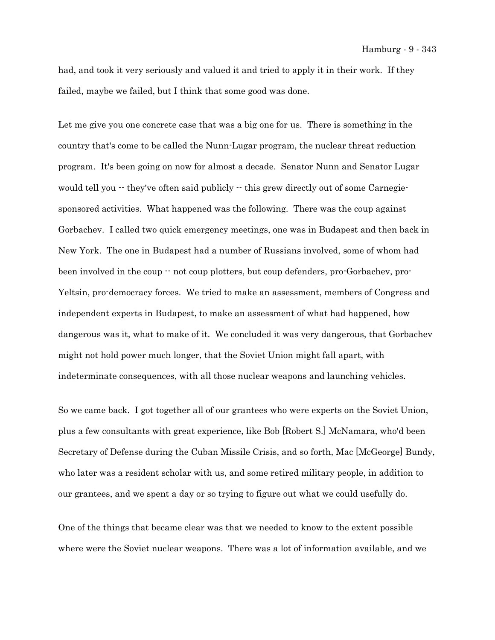had, and took it very seriously and valued it and tried to apply it in their work. If they failed, maybe we failed, but I think that some good was done.

Let me give you one concrete case that was a big one for us. There is something in the country that's come to be called the Nunn-Lugar program, the nuclear threat reduction program. It's been going on now for almost a decade. Senator Nunn and Senator Lugar would tell you  $\cdot$  they've often said publicly  $\cdot$  this grew directly out of some Carnegiesponsored activities. What happened was the following. There was the coup against Gorbachev. I called two quick emergency meetings, one was in Budapest and then back in New York. The one in Budapest had a number of Russians involved, some of whom had been involved in the coup  $\cdot$  not coup plotters, but coup defenders, pro-Gorbachev, pro-Yeltsin, pro-democracy forces. We tried to make an assessment, members of Congress and independent experts in Budapest, to make an assessment of what had happened, how dangerous was it, what to make of it. We concluded it was very dangerous, that Gorbachev might not hold power much longer, that the Soviet Union might fall apart, with indeterminate consequences, with all those nuclear weapons and launching vehicles.

So we came back. I got together all of our grantees who were experts on the Soviet Union, plus a few consultants with great experience, like Bob [Robert S.] McNamara, who'd been Secretary of Defense during the Cuban Missile Crisis, and so forth, Mac [McGeorge] Bundy, who later was a resident scholar with us, and some retired military people, in addition to our grantees, and we spent a day or so trying to figure out what we could usefully do.

One of the things that became clear was that we needed to know to the extent possible where were the Soviet nuclear weapons. There was a lot of information available, and we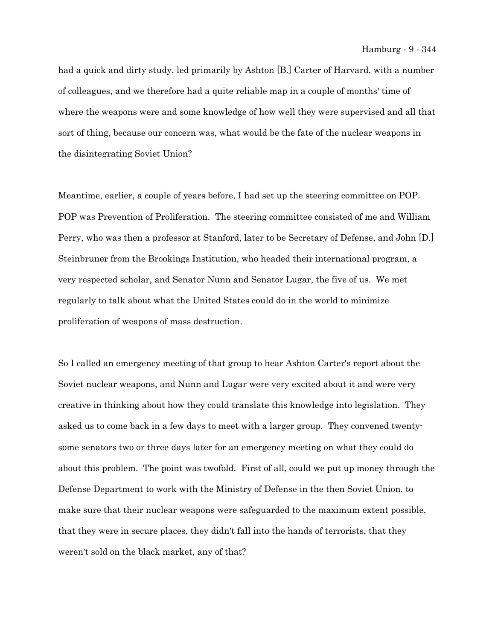had a quick and dirty study, led primarily by Ashton [B.] Carter of Harvard, with a number of colleagues, and we therefore had a quite reliable map in a couple of months' time of where the weapons were and some knowledge of how well they were supervised and all that sort of thing, because our concern was, what would be the fate of the nuclear weapons in the disintegrating Soviet Union?

Meantime, earlier, a couple of years before, I had set up the steering committee on POP. POP was Prevention of Proliferation. The steering committee consisted of me and William Perry, who was then a professor at Stanford, later to be Secretary of Defense, and John [D.] Steinbruner from the Brookings Institution, who headed their international program, a very respected scholar, and Senator Nunn and Senator Lugar, the five of us. We met regularly to talk about what the United States could do in the world to minimize proliferation of weapons of mass destruction.

So I called an emergency meeting of that group to hear Ashton Carter's report about the Soviet nuclear weapons, and Nunn and Lugar were very excited about it and were very creative in thinking about how they could translate this knowledge into legislation. They asked us to come back in a few days to meet with a larger group. They convened twentysome senators two or three days later for an emergency meeting on what they could do about this problem. The point was twofold. First of all, could we put up money through the Defense Department to work with the Ministry of Defense in the then Soviet Union, to make sure that their nuclear weapons were safeguarded to the maximum extent possible, that they were in secure places, they didn't fall into the hands of terrorists, that they weren't sold on the black market, any of that?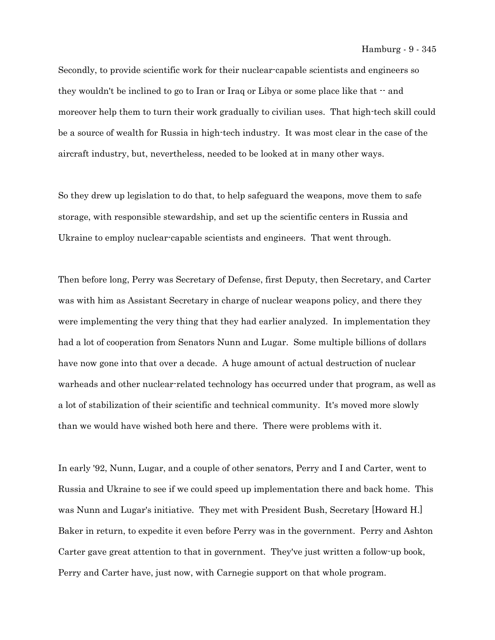Secondly, to provide scientific work for their nuclear-capable scientists and engineers so they wouldn't be inclined to go to Iran or Iraq or Libya or some place like that  $\cdot$  and moreover help them to turn their work gradually to civilian uses. That high-tech skill could be a source of wealth for Russia in high-tech industry. It was most clear in the case of the aircraft industry, but, nevertheless, needed to be looked at in many other ways.

So they drew up legislation to do that, to help safeguard the weapons, move them to safe storage, with responsible stewardship, and set up the scientific centers in Russia and Ukraine to employ nuclear-capable scientists and engineers. That went through.

Then before long, Perry was Secretary of Defense, first Deputy, then Secretary, and Carter was with him as Assistant Secretary in charge of nuclear weapons policy, and there they were implementing the very thing that they had earlier analyzed. In implementation they had a lot of cooperation from Senators Nunn and Lugar. Some multiple billions of dollars have now gone into that over a decade. A huge amount of actual destruction of nuclear warheads and other nuclear-related technology has occurred under that program, as well as a lot of stabilization of their scientific and technical community. It's moved more slowly than we would have wished both here and there. There were problems with it.

In early '92, Nunn, Lugar, and a couple of other senators, Perry and I and Carter, went to Russia and Ukraine to see if we could speed up implementation there and back home. This was Nunn and Lugar's initiative. They met with President Bush, Secretary [Howard H.] Baker in return, to expedite it even before Perry was in the government. Perry and Ashton Carter gave great attention to that in government. They've just written a follow-up book, Perry and Carter have, just now, with Carnegie support on that whole program.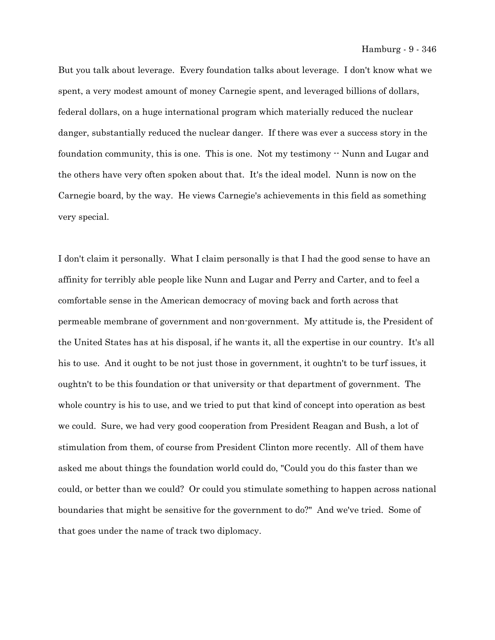But you talk about leverage. Every foundation talks about leverage. I don't know what we spent, a very modest amount of money Carnegie spent, and leveraged billions of dollars, federal dollars, on a huge international program which materially reduced the nuclear danger, substantially reduced the nuclear danger. If there was ever a success story in the foundation community, this is one. This is one. Not my testimony  $\cdot$  Nunn and Lugar and the others have very often spoken about that. It's the ideal model. Nunn is now on the Carnegie board, by the way. He views Carnegie's achievements in this field as something very special.

I don't claim it personally. What I claim personally is that I had the good sense to have an affinity for terribly able people like Nunn and Lugar and Perry and Carter, and to feel a comfortable sense in the American democracy of moving back and forth across that permeable membrane of government and non-government. My attitude is, the President of the United States has at his disposal, if he wants it, all the expertise in our country. It's all his to use. And it ought to be not just those in government, it oughtn't to be turf issues, it oughtn't to be this foundation or that university or that department of government. The whole country is his to use, and we tried to put that kind of concept into operation as best we could. Sure, we had very good cooperation from President Reagan and Bush, a lot of stimulation from them, of course from President Clinton more recently. All of them have asked me about things the foundation world could do, "Could you do this faster than we could, or better than we could? Or could you stimulate something to happen across national boundaries that might be sensitive for the government to do?" And we've tried. Some of that goes under the name of track two diplomacy.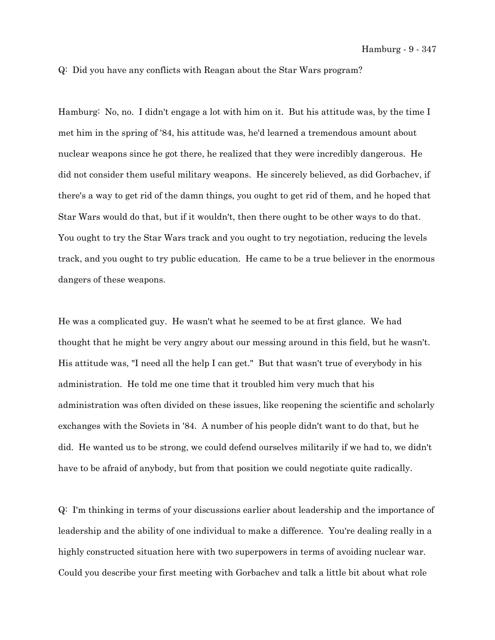Q: Did you have any conflicts with Reagan about the Star Wars program?

Hamburg: No, no. I didn't engage a lot with him on it. But his attitude was, by the time I met him in the spring of '84, his attitude was, he'd learned a tremendous amount about nuclear weapons since he got there, he realized that they were incredibly dangerous. He did not consider them useful military weapons. He sincerely believed, as did Gorbachev, if there's a way to get rid of the damn things, you ought to get rid of them, and he hoped that Star Wars would do that, but if it wouldn't, then there ought to be other ways to do that. You ought to try the Star Wars track and you ought to try negotiation, reducing the levels track, and you ought to try public education. He came to be a true believer in the enormous dangers of these weapons.

He was a complicated guy. He wasn't what he seemed to be at first glance. We had thought that he might be very angry about our messing around in this field, but he wasn't. His attitude was, "I need all the help I can get." But that wasn't true of everybody in his administration. He told me one time that it troubled him very much that his administration was often divided on these issues, like reopening the scientific and scholarly exchanges with the Soviets in '84. A number of his people didn't want to do that, but he did. He wanted us to be strong, we could defend ourselves militarily if we had to, we didn't have to be afraid of anybody, but from that position we could negotiate quite radically.

Q: I'm thinking in terms of your discussions earlier about leadership and the importance of leadership and the ability of one individual to make a difference. You're dealing really in a highly constructed situation here with two superpowers in terms of avoiding nuclear war. Could you describe your first meeting with Gorbachev and talk a little bit about what role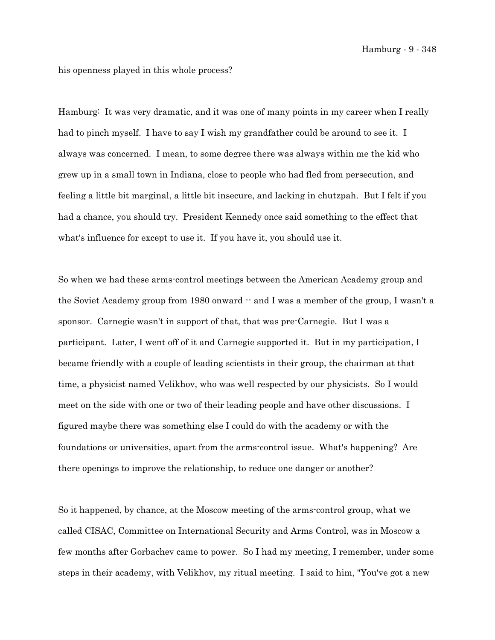his openness played in this whole process?

Hamburg: It was very dramatic, and it was one of many points in my career when I really had to pinch myself. I have to say I wish my grandfather could be around to see it. I always was concerned. I mean, to some degree there was always within me the kid who grew up in a small town in Indiana, close to people who had fled from persecution, and feeling a little bit marginal, a little bit insecure, and lacking in chutzpah. But I felt if you had a chance, you should try. President Kennedy once said something to the effect that what's influence for except to use it. If you have it, you should use it.

So when we had these arms-control meetings between the American Academy group and the Soviet Academy group from 1980 onward  $\cdot$  and I was a member of the group, I wasn't a sponsor. Carnegie wasn't in support of that, that was pre-Carnegie. But I was a participant. Later, I went off of it and Carnegie supported it. But in my participation, I became friendly with a couple of leading scientists in their group, the chairman at that time, a physicist named Velikhov, who was well respected by our physicists. So I would meet on the side with one or two of their leading people and have other discussions. I figured maybe there was something else I could do with the academy or with the foundations or universities, apart from the arms-control issue. What's happening? Are there openings to improve the relationship, to reduce one danger or another?

So it happened, by chance, at the Moscow meeting of the arms-control group, what we called CISAC, Committee on International Security and Arms Control, was in Moscow a few months after Gorbachev came to power. So I had my meeting, I remember, under some steps in their academy, with Velikhov, my ritual meeting. I said to him, "You've got a new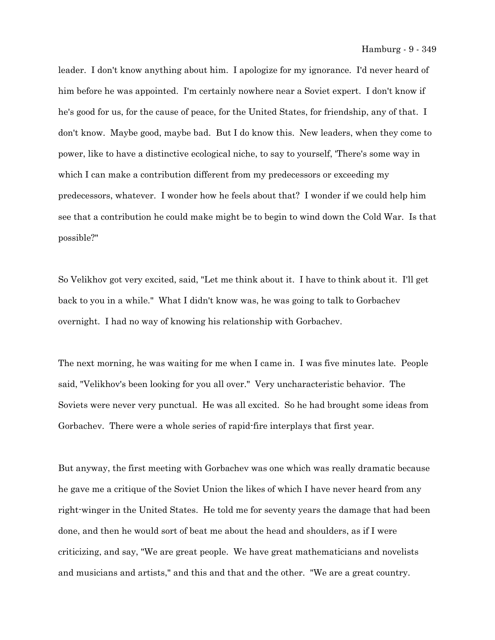leader. I don't know anything about him. I apologize for my ignorance. I'd never heard of him before he was appointed. I'm certainly nowhere near a Soviet expert. I don't know if he's good for us, for the cause of peace, for the United States, for friendship, any of that. I don't know. Maybe good, maybe bad. But I do know this. New leaders, when they come to power, like to have a distinctive ecological niche, to say to yourself, 'There's some way in which I can make a contribution different from my predecessors or exceeding my predecessors, whatever. I wonder how he feels about that? I wonder if we could help him see that a contribution he could make might be to begin to wind down the Cold War. Is that possible?"

So Velikhov got very excited, said, "Let me think about it. I have to think about it. I'll get back to you in a while." What I didn't know was, he was going to talk to Gorbachev overnight. I had no way of knowing his relationship with Gorbachev.

The next morning, he was waiting for me when I came in. I was five minutes late. People said, "Velikhov's been looking for you all over." Very uncharacteristic behavior. The Soviets were never very punctual. He was all excited. So he had brought some ideas from Gorbachev. There were a whole series of rapid-fire interplays that first year.

But anyway, the first meeting with Gorbachev was one which was really dramatic because he gave me a critique of the Soviet Union the likes of which I have never heard from any right-winger in the United States. He told me for seventy years the damage that had been done, and then he would sort of beat me about the head and shoulders, as if I were criticizing, and say, "We are great people. We have great mathematicians and novelists and musicians and artists," and this and that and the other. "We are a great country.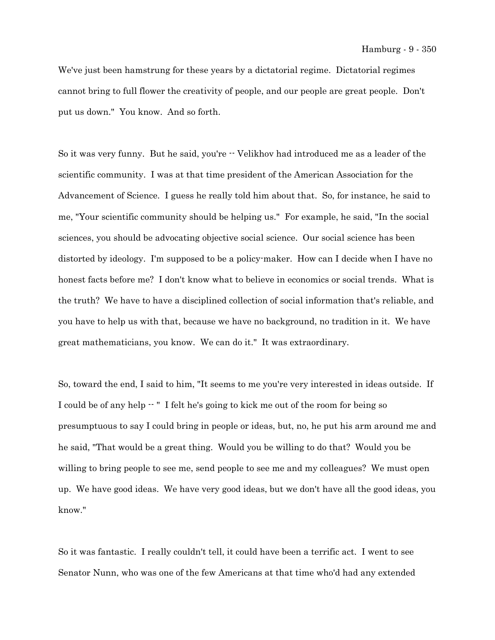We've just been hamstrung for these years by a dictatorial regime. Dictatorial regimes cannot bring to full flower the creativity of people, and our people are great people. Don't put us down." You know. And so forth.

So it was very funny. But he said, you're  $\cdot$  Velikhov had introduced me as a leader of the scientific community. I was at that time president of the American Association for the Advancement of Science. I guess he really told him about that. So, for instance, he said to me, "Your scientific community should be helping us." For example, he said, "In the social sciences, you should be advocating objective social science. Our social science has been distorted by ideology. I'm supposed to be a policy-maker. How can I decide when I have no honest facts before me? I don't know what to believe in economics or social trends. What is the truth? We have to have a disciplined collection of social information that's reliable, and you have to help us with that, because we have no background, no tradition in it. We have great mathematicians, you know. We can do it." It was extraordinary.

So, toward the end, I said to him, "It seems to me you're very interested in ideas outside. If I could be of any help -- " I felt he's going to kick me out of the room for being so presumptuous to say I could bring in people or ideas, but, no, he put his arm around me and he said, "That would be a great thing. Would you be willing to do that? Would you be willing to bring people to see me, send people to see me and my colleagues? We must open up. We have good ideas. We have very good ideas, but we don't have all the good ideas, you know."

So it was fantastic. I really couldn't tell, it could have been a terrific act. I went to see Senator Nunn, who was one of the few Americans at that time who'd had any extended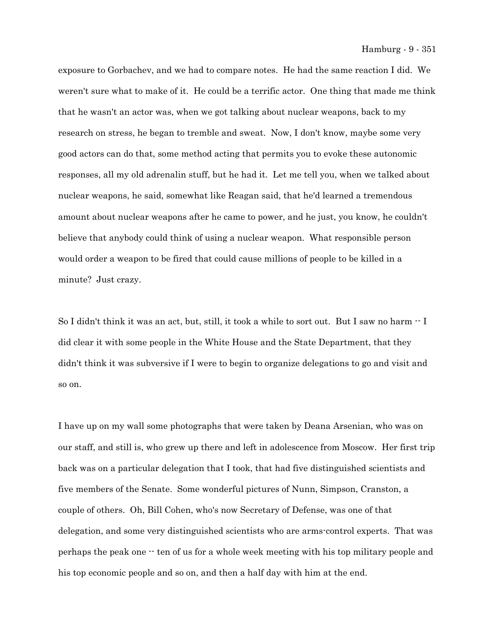Hamburg - 9 - 351

exposure to Gorbachev, and we had to compare notes. He had the same reaction I did. We weren't sure what to make of it. He could be a terrific actor. One thing that made me think that he wasn't an actor was, when we got talking about nuclear weapons, back to my research on stress, he began to tremble and sweat. Now, I don't know, maybe some very good actors can do that, some method acting that permits you to evoke these autonomic responses, all my old adrenalin stuff, but he had it. Let me tell you, when we talked about nuclear weapons, he said, somewhat like Reagan said, that he'd learned a tremendous amount about nuclear weapons after he came to power, and he just, you know, he couldn't believe that anybody could think of using a nuclear weapon. What responsible person would order a weapon to be fired that could cause millions of people to be killed in a minute? Just crazy.

So I didn't think it was an act, but, still, it took a while to sort out. But I saw no harm -- I did clear it with some people in the White House and the State Department, that they didn't think it was subversive if I were to begin to organize delegations to go and visit and so on.

I have up on my wall some photographs that were taken by Deana Arsenian, who was on our staff, and still is, who grew up there and left in adolescence from Moscow. Her first trip back was on a particular delegation that I took, that had five distinguished scientists and five members of the Senate. Some wonderful pictures of Nunn, Simpson, Cranston, a couple of others. Oh, Bill Cohen, who's now Secretary of Defense, was one of that delegation, and some very distinguished scientists who are arms-control experts. That was perhaps the peak one -- ten of us for a whole week meeting with his top military people and his top economic people and so on, and then a half day with him at the end.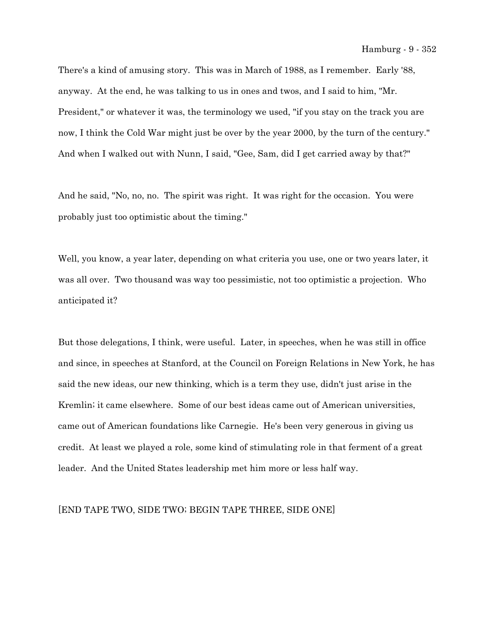There's a kind of amusing story. This was in March of 1988, as I remember. Early '88, anyway. At the end, he was talking to us in ones and twos, and I said to him, "Mr. President," or whatever it was, the terminology we used, "if you stay on the track you are now, I think the Cold War might just be over by the year 2000, by the turn of the century." And when I walked out with Nunn, I said, "Gee, Sam, did I get carried away by that?"

And he said, "No, no, no. The spirit was right. It was right for the occasion. You were probably just too optimistic about the timing."

Well, you know, a year later, depending on what criteria you use, one or two years later, it was all over. Two thousand was way too pessimistic, not too optimistic a projection. Who anticipated it?

But those delegations, I think, were useful. Later, in speeches, when he was still in office and since, in speeches at Stanford, at the Council on Foreign Relations in New York, he has said the new ideas, our new thinking, which is a term they use, didn't just arise in the Kremlin; it came elsewhere. Some of our best ideas came out of American universities, came out of American foundations like Carnegie. He's been very generous in giving us credit. At least we played a role, some kind of stimulating role in that ferment of a great leader. And the United States leadership met him more or less half way.

## [END TAPE TWO, SIDE TWO; BEGIN TAPE THREE, SIDE ONE]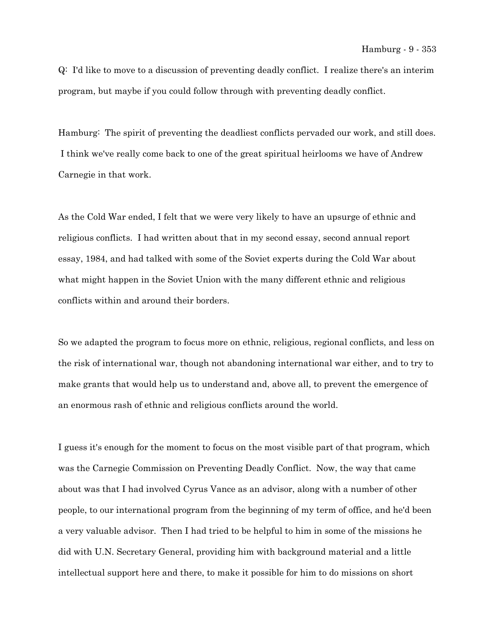Q: I'd like to move to a discussion of preventing deadly conflict. I realize there's an interim program, but maybe if you could follow through with preventing deadly conflict.

Hamburg: The spirit of preventing the deadliest conflicts pervaded our work, and still does. I think we've really come back to one of the great spiritual heirlooms we have of Andrew Carnegie in that work.

As the Cold War ended, I felt that we were very likely to have an upsurge of ethnic and religious conflicts. I had written about that in my second essay, second annual report essay, 1984, and had talked with some of the Soviet experts during the Cold War about what might happen in the Soviet Union with the many different ethnic and religious conflicts within and around their borders.

So we adapted the program to focus more on ethnic, religious, regional conflicts, and less on the risk of international war, though not abandoning international war either, and to try to make grants that would help us to understand and, above all, to prevent the emergence of an enormous rash of ethnic and religious conflicts around the world.

I guess it's enough for the moment to focus on the most visible part of that program, which was the Carnegie Commission on Preventing Deadly Conflict. Now, the way that came about was that I had involved Cyrus Vance as an advisor, along with a number of other people, to our international program from the beginning of my term of office, and he'd been a very valuable advisor. Then I had tried to be helpful to him in some of the missions he did with U.N. Secretary General, providing him with background material and a little intellectual support here and there, to make it possible for him to do missions on short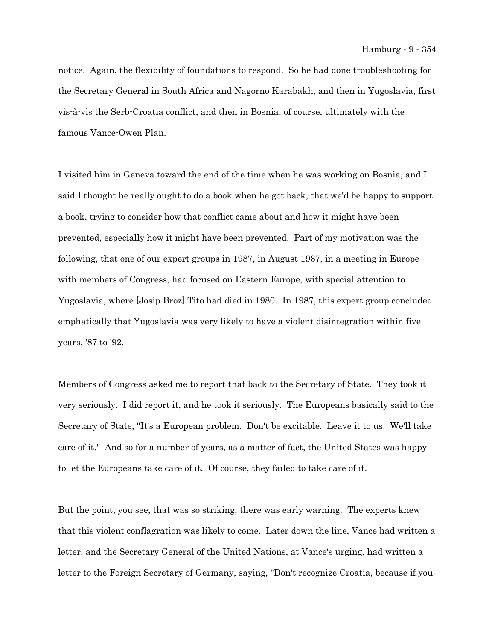notice. Again, the flexibility of foundations to respond. So he had done troubleshooting for the Secretary General in South Africa and Nagorno Karabakh, and then in Yugoslavia, first vis-à-vis the Serb-Croatia conflict, and then in Bosnia, of course, ultimately with the famous Vance-Owen Plan.

I visited him in Geneva toward the end of the time when he was working on Bosnia, and I said I thought he really ought to do a book when he got back, that we'd be happy to support a book, trying to consider how that conflict came about and how it might have been prevented, especially how it might have been prevented. Part of my motivation was the following, that one of our expert groups in 1987, in August 1987, in a meeting in Europe with members of Congress, had focused on Eastern Europe, with special attention to Yugoslavia, where [Josip Broz] Tito had died in 1980. In 1987, this expert group concluded emphatically that Yugoslavia was very likely to have a violent disintegration within five years, '87 to '92.

Members of Congress asked me to report that back to the Secretary of State. They took it very seriously. I did report it, and he took it seriously. The Europeans basically said to the Secretary of State, "It's a European problem. Don't be excitable. Leave it to us. We'll take care of it." And so for a number of years, as a matter of fact, the United States was happy to let the Europeans take care of it. Of course, they failed to take care of it.

But the point, you see, that was so striking, there was early warning. The experts knew that this violent conflagration was likely to come. Later down the line, Vance had written a letter, and the Secretary General of the United Nations, at Vance's urging, had written a letter to the Foreign Secretary of Germany, saying, "Don't recognize Croatia, because if you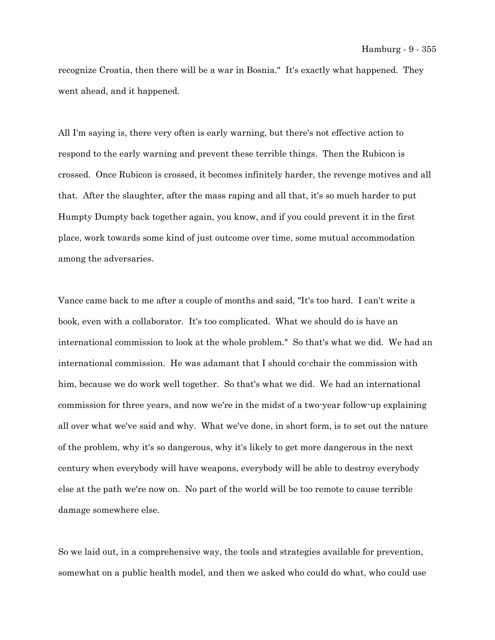recognize Croatia, then there will be a war in Bosnia." It's exactly what happened. They went ahead, and it happened.

All I'm saying is, there very often is early warning, but there's not effective action to respond to the early warning and prevent these terrible things. Then the Rubicon is crossed. Once Rubicon is crossed, it becomes infinitely harder, the revenge motives and all that. After the slaughter, after the mass raping and all that, it's so much harder to put Humpty Dumpty back together again, you know, and if you could prevent it in the first place, work towards some kind of just outcome over time, some mutual accommodation among the adversaries.

Vance came back to me after a couple of months and said, "It's too hard. I can't write a book, even with a collaborator. It's too complicated. What we should do is have an international commission to look at the whole problem." So that's what we did. We had an international commission. He was adamant that I should co-chair the commission with him, because we do work well together. So that's what we did. We had an international commission for three years, and now we're in the midst of a two-year follow-up explaining all over what we've said and why. What we've done, in short form, is to set out the nature of the problem, why it's so dangerous, why it's likely to get more dangerous in the next century when everybody will have weapons, everybody will be able to destroy everybody else at the path we're now on. No part of the world will be too remote to cause terrible damage somewhere else.

So we laid out, in a comprehensive way, the tools and strategies available for prevention, somewhat on a public health model, and then we asked who could do what, who could use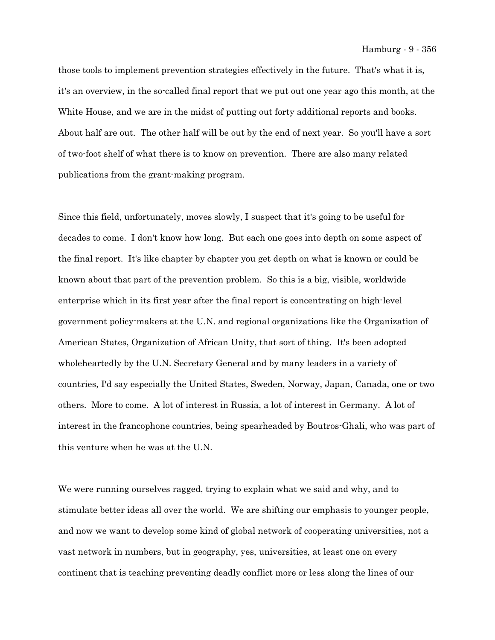those tools to implement prevention strategies effectively in the future. That's what it is, it's an overview, in the so-called final report that we put out one year ago this month, at the White House, and we are in the midst of putting out forty additional reports and books. About half are out. The other half will be out by the end of next year. So you'll have a sort of two-foot shelf of what there is to know on prevention. There are also many related publications from the grant-making program.

Since this field, unfortunately, moves slowly, I suspect that it's going to be useful for decades to come. I don't know how long. But each one goes into depth on some aspect of the final report. It's like chapter by chapter you get depth on what is known or could be known about that part of the prevention problem. So this is a big, visible, worldwide enterprise which in its first year after the final report is concentrating on high-level government policy-makers at the U.N. and regional organizations like the Organization of American States, Organization of African Unity, that sort of thing. It's been adopted wholeheartedly by the U.N. Secretary General and by many leaders in a variety of countries, I'd say especially the United States, Sweden, Norway, Japan, Canada, one or two others. More to come. A lot of interest in Russia, a lot of interest in Germany. A lot of interest in the francophone countries, being spearheaded by Boutros-Ghali, who was part of this venture when he was at the U.N.

We were running ourselves ragged, trying to explain what we said and why, and to stimulate better ideas all over the world. We are shifting our emphasis to younger people, and now we want to develop some kind of global network of cooperating universities, not a vast network in numbers, but in geography, yes, universities, at least one on every continent that is teaching preventing deadly conflict more or less along the lines of our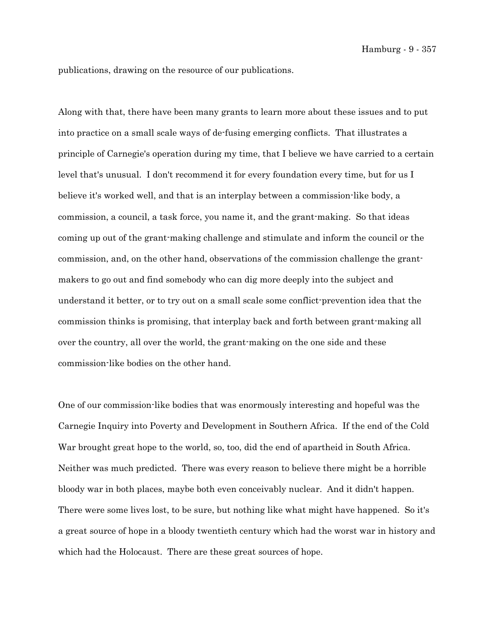publications, drawing on the resource of our publications.

Along with that, there have been many grants to learn more about these issues and to put into practice on a small scale ways of de-fusing emerging conflicts. That illustrates a principle of Carnegie's operation during my time, that I believe we have carried to a certain level that's unusual. I don't recommend it for every foundation every time, but for us I believe it's worked well, and that is an interplay between a commission-like body, a commission, a council, a task force, you name it, and the grant-making. So that ideas coming up out of the grant-making challenge and stimulate and inform the council or the commission, and, on the other hand, observations of the commission challenge the grantmakers to go out and find somebody who can dig more deeply into the subject and understand it better, or to try out on a small scale some conflict-prevention idea that the commission thinks is promising, that interplay back and forth between grant-making all over the country, all over the world, the grant-making on the one side and these commission-like bodies on the other hand.

One of our commission-like bodies that was enormously interesting and hopeful was the Carnegie Inquiry into Poverty and Development in Southern Africa. If the end of the Cold War brought great hope to the world, so, too, did the end of apartheid in South Africa. Neither was much predicted. There was every reason to believe there might be a horrible bloody war in both places, maybe both even conceivably nuclear. And it didn't happen. There were some lives lost, to be sure, but nothing like what might have happened. So it's a great source of hope in a bloody twentieth century which had the worst war in history and which had the Holocaust. There are these great sources of hope.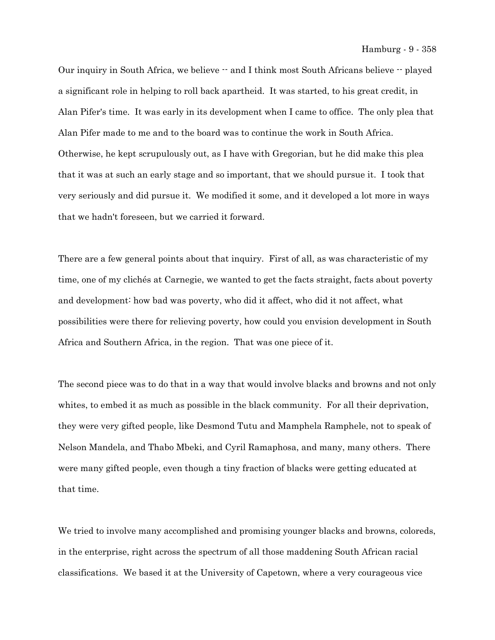Our inquiry in South Africa, we believe  $-$  and I think most South Africans believe  $-$  played a significant role in helping to roll back apartheid. It was started, to his great credit, in Alan Pifer's time. It was early in its development when I came to office. The only plea that Alan Pifer made to me and to the board was to continue the work in South Africa. Otherwise, he kept scrupulously out, as I have with Gregorian, but he did make this plea that it was at such an early stage and so important, that we should pursue it. I took that very seriously and did pursue it. We modified it some, and it developed a lot more in ways that we hadn't foreseen, but we carried it forward.

There are a few general points about that inquiry. First of all, as was characteristic of my time, one of my clichés at Carnegie, we wanted to get the facts straight, facts about poverty and development: how bad was poverty, who did it affect, who did it not affect, what possibilities were there for relieving poverty, how could you envision development in South Africa and Southern Africa, in the region. That was one piece of it.

The second piece was to do that in a way that would involve blacks and browns and not only whites, to embed it as much as possible in the black community. For all their deprivation, they were very gifted people, like Desmond Tutu and Mamphela Ramphele, not to speak of Nelson Mandela, and Thabo Mbeki, and Cyril Ramaphosa, and many, many others. There were many gifted people, even though a tiny fraction of blacks were getting educated at that time.

We tried to involve many accomplished and promising younger blacks and browns, coloreds, in the enterprise, right across the spectrum of all those maddening South African racial classifications. We based it at the University of Capetown, where a very courageous vice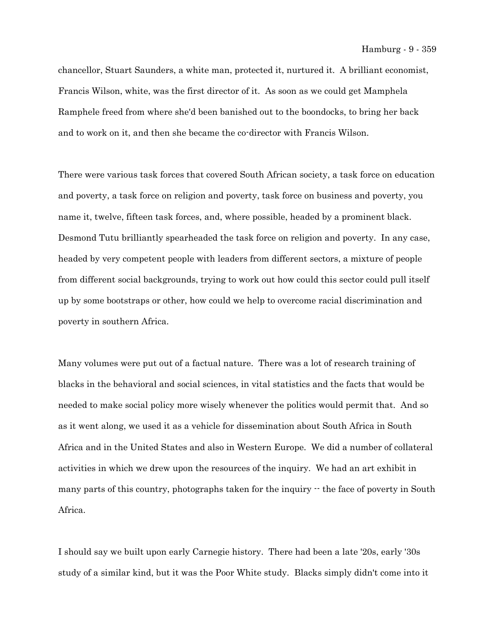chancellor, Stuart Saunders, a white man, protected it, nurtured it. A brilliant economist, Francis Wilson, white, was the first director of it. As soon as we could get Mamphela Ramphele freed from where she'd been banished out to the boondocks, to bring her back and to work on it, and then she became the co-director with Francis Wilson.

There were various task forces that covered South African society, a task force on education and poverty, a task force on religion and poverty, task force on business and poverty, you name it, twelve, fifteen task forces, and, where possible, headed by a prominent black. Desmond Tutu brilliantly spearheaded the task force on religion and poverty. In any case, headed by very competent people with leaders from different sectors, a mixture of people from different social backgrounds, trying to work out how could this sector could pull itself up by some bootstraps or other, how could we help to overcome racial discrimination and poverty in southern Africa.

Many volumes were put out of a factual nature. There was a lot of research training of blacks in the behavioral and social sciences, in vital statistics and the facts that would be needed to make social policy more wisely whenever the politics would permit that. And so as it went along, we used it as a vehicle for dissemination about South Africa in South Africa and in the United States and also in Western Europe. We did a number of collateral activities in which we drew upon the resources of the inquiry. We had an art exhibit in many parts of this country, photographs taken for the inquiry  $\cdot$  the face of poverty in South Africa.

I should say we built upon early Carnegie history. There had been a late '20s, early '30s study of a similar kind, but it was the Poor White study. Blacks simply didn't come into it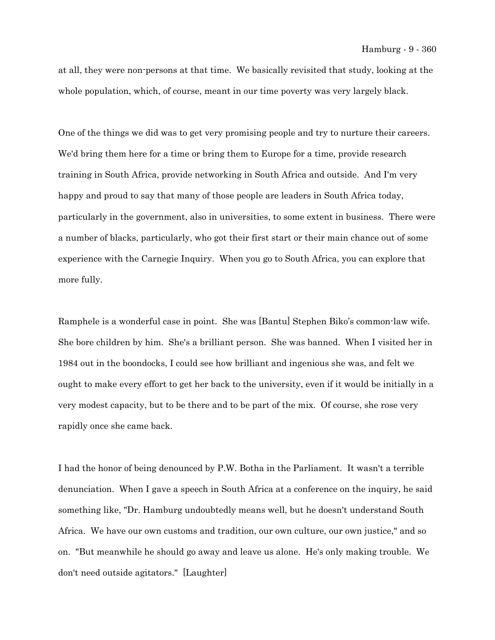at all, they were non-persons at that time. We basically revisited that study, looking at the whole population, which, of course, meant in our time poverty was very largely black.

One of the things we did was to get very promising people and try to nurture their careers. We'd bring them here for a time or bring them to Europe for a time, provide research training in South Africa, provide networking in South Africa and outside. And I'm very happy and proud to say that many of those people are leaders in South Africa today, particularly in the government, also in universities, to some extent in business. There were a number of blacks, particularly, who got their first start or their main chance out of some experience with the Carnegie Inquiry. When you go to South Africa, you can explore that more fully.

Ramphele is a wonderful case in point. She was [Bantu] Stephen Biko's common-law wife. She bore children by him. She's a brilliant person. She was banned. When I visited her in 1984 out in the boondocks, I could see how brilliant and ingenious she was, and felt we ought to make every effort to get her back to the university, even if it would be initially in a very modest capacity, but to be there and to be part of the mix. Of course, she rose very rapidly once she came back.

I had the honor of being denounced by P.W. Botha in the Parliament. It wasn't a terrible denunciation. When I gave a speech in South Africa at a conference on the inquiry, he said something like, "Dr. Hamburg undoubtedly means well, but he doesn't understand South Africa. We have our own customs and tradition, our own culture, our own justice," and so on. "But meanwhile he should go away and leave us alone. He's only making trouble. We don't need outside agitators." [Laughter]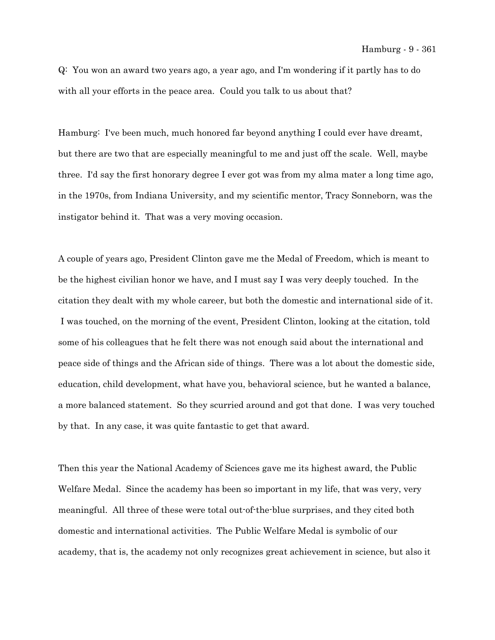Q: You won an award two years ago, a year ago, and I'm wondering if it partly has to do with all your efforts in the peace area. Could you talk to us about that?

Hamburg: I've been much, much honored far beyond anything I could ever have dreamt, but there are two that are especially meaningful to me and just off the scale. Well, maybe three. I'd say the first honorary degree I ever got was from my alma mater a long time ago, in the 1970s, from Indiana University, and my scientific mentor, Tracy Sonneborn, was the instigator behind it. That was a very moving occasion.

A couple of years ago, President Clinton gave me the Medal of Freedom, which is meant to be the highest civilian honor we have, and I must say I was very deeply touched. In the citation they dealt with my whole career, but both the domestic and international side of it. I was touched, on the morning of the event, President Clinton, looking at the citation, told some of his colleagues that he felt there was not enough said about the international and peace side of things and the African side of things. There was a lot about the domestic side, education, child development, what have you, behavioral science, but he wanted a balance, a more balanced statement. So they scurried around and got that done. I was very touched by that. In any case, it was quite fantastic to get that award.

Then this year the National Academy of Sciences gave me its highest award, the Public Welfare Medal. Since the academy has been so important in my life, that was very, very meaningful. All three of these were total out-of-the-blue surprises, and they cited both domestic and international activities. The Public Welfare Medal is symbolic of our academy, that is, the academy not only recognizes great achievement in science, but also it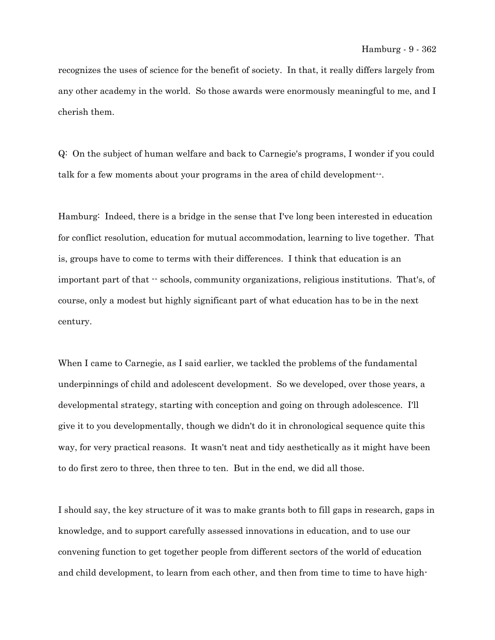recognizes the uses of science for the benefit of society. In that, it really differs largely from any other academy in the world. So those awards were enormously meaningful to me, and I cherish them.

Q: On the subject of human welfare and back to Carnegie's programs, I wonder if you could talk for a few moments about your programs in the area of child development--.

Hamburg: Indeed, there is a bridge in the sense that I've long been interested in education for conflict resolution, education for mutual accommodation, learning to live together. That is, groups have to come to terms with their differences. I think that education is an important part of that  $\cdot$  schools, community organizations, religious institutions. That's, of course, only a modest but highly significant part of what education has to be in the next century.

When I came to Carnegie, as I said earlier, we tackled the problems of the fundamental underpinnings of child and adolescent development. So we developed, over those years, a developmental strategy, starting with conception and going on through adolescence. I'll give it to you developmentally, though we didn't do it in chronological sequence quite this way, for very practical reasons. It wasn't neat and tidy aesthetically as it might have been to do first zero to three, then three to ten. But in the end, we did all those.

I should say, the key structure of it was to make grants both to fill gaps in research, gaps in knowledge, and to support carefully assessed innovations in education, and to use our convening function to get together people from different sectors of the world of education and child development, to learn from each other, and then from time to time to have high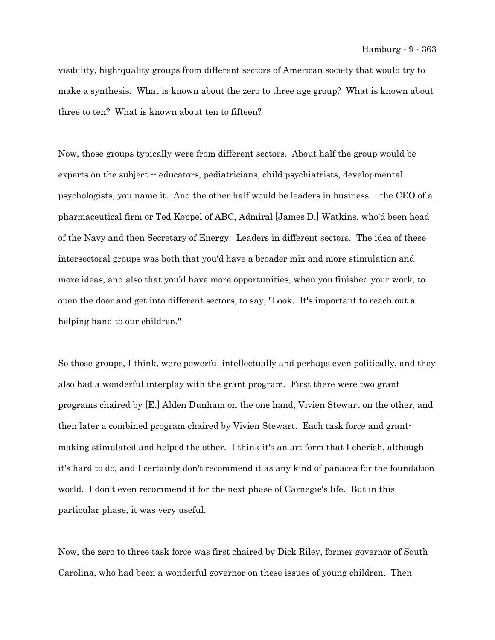visibility, high-quality groups from different sectors of American society that would try to make a synthesis. What is known about the zero to three age group? What is known about three to ten? What is known about ten to fifteen?

Now, those groups typically were from different sectors. About half the group would be experts on the subject -- educators, pediatricians, child psychiatrists, developmental psychologists, you name it. And the other half would be leaders in business  $\cdot$  the CEO of a pharmaceutical firm or Ted Koppel of ABC, Admiral [James D.] Watkins, who'd been head of the Navy and then Secretary of Energy. Leaders in different sectors. The idea of these intersectoral groups was both that you'd have a broader mix and more stimulation and more ideas, and also that you'd have more opportunities, when you finished your work, to open the door and get into different sectors, to say, "Look. It's important to reach out a helping hand to our children."

So those groups, I think, were powerful intellectually and perhaps even politically, and they also had a wonderful interplay with the grant program. First there were two grant programs chaired by [E.] Alden Dunham on the one hand, Vivien Stewart on the other, and then later a combined program chaired by Vivien Stewart. Each task force and grantmaking stimulated and helped the other. I think it's an art form that I cherish, although it's hard to do, and I certainly don't recommend it as any kind of panacea for the foundation world. I don't even recommend it for the next phase of Carnegie's life. But in this particular phase, it was very useful.

Now, the zero to three task force was first chaired by Dick Riley, former governor of South Carolina, who had been a wonderful governor on these issues of young children. Then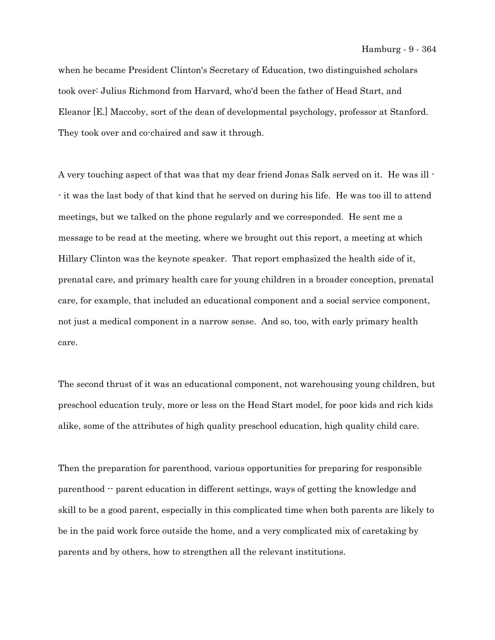when he became President Clinton's Secretary of Education, two distinguished scholars took over: Julius Richmond from Harvard, who'd been the father of Head Start, and Eleanor [E.] Maccoby, sort of the dean of developmental psychology, professor at Stanford. They took over and co-chaired and saw it through.

A very touching aspect of that was that my dear friend Jonas Salk served on it. He was ill - - it was the last body of that kind that he served on during his life. He was too ill to attend meetings, but we talked on the phone regularly and we corresponded. He sent me a message to be read at the meeting, where we brought out this report, a meeting at which Hillary Clinton was the keynote speaker. That report emphasized the health side of it, prenatal care, and primary health care for young children in a broader conception, prenatal care, for example, that included an educational component and a social service component, not just a medical component in a narrow sense. And so, too, with early primary health care.

The second thrust of it was an educational component, not warehousing young children, but preschool education truly, more or less on the Head Start model, for poor kids and rich kids alike, some of the attributes of high quality preschool education, high quality child care.

Then the preparation for parenthood, various opportunities for preparing for responsible parenthood -- parent education in different settings, ways of getting the knowledge and skill to be a good parent, especially in this complicated time when both parents are likely to be in the paid work force outside the home, and a very complicated mix of caretaking by parents and by others, how to strengthen all the relevant institutions.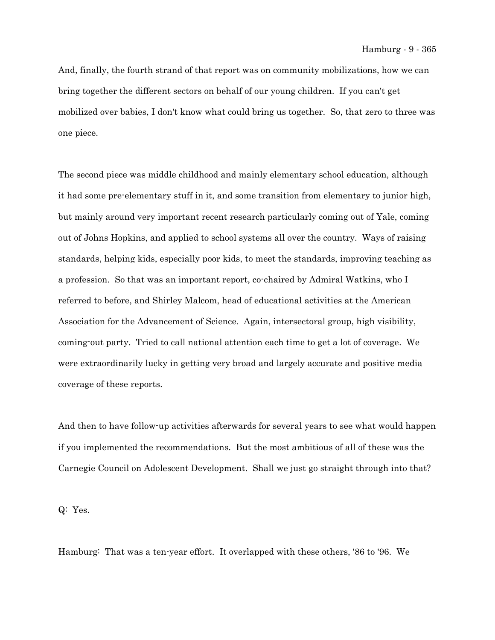And, finally, the fourth strand of that report was on community mobilizations, how we can bring together the different sectors on behalf of our young children. If you can't get mobilized over babies, I don't know what could bring us together. So, that zero to three was one piece.

The second piece was middle childhood and mainly elementary school education, although it had some pre-elementary stuff in it, and some transition from elementary to junior high, but mainly around very important recent research particularly coming out of Yale, coming out of Johns Hopkins, and applied to school systems all over the country. Ways of raising standards, helping kids, especially poor kids, to meet the standards, improving teaching as a profession. So that was an important report, co-chaired by Admiral Watkins, who I referred to before, and Shirley Malcom, head of educational activities at the American Association for the Advancement of Science. Again, intersectoral group, high visibility, coming-out party. Tried to call national attention each time to get a lot of coverage. We were extraordinarily lucky in getting very broad and largely accurate and positive media coverage of these reports.

And then to have follow-up activities afterwards for several years to see what would happen if you implemented the recommendations. But the most ambitious of all of these was the Carnegie Council on Adolescent Development. Shall we just go straight through into that?

Q: Yes.

Hamburg: That was a ten-year effort. It overlapped with these others, '86 to '96. We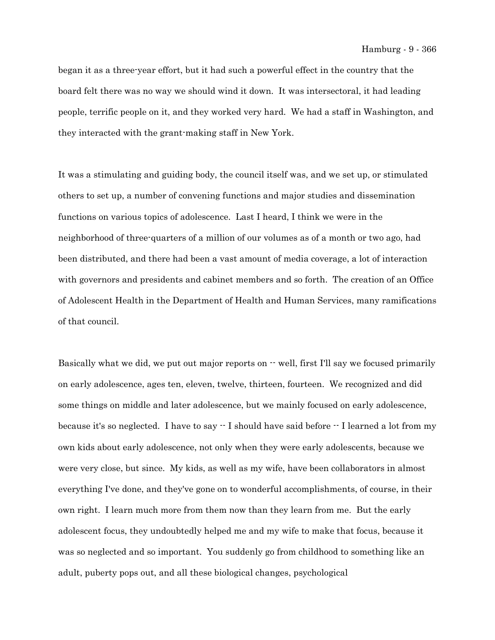began it as a three-year effort, but it had such a powerful effect in the country that the board felt there was no way we should wind it down. It was intersectoral, it had leading people, terrific people on it, and they worked very hard. We had a staff in Washington, and they interacted with the grant-making staff in New York.

It was a stimulating and guiding body, the council itself was, and we set up, or stimulated others to set up, a number of convening functions and major studies and dissemination functions on various topics of adolescence. Last I heard, I think we were in the neighborhood of three-quarters of a million of our volumes as of a month or two ago, had been distributed, and there had been a vast amount of media coverage, a lot of interaction with governors and presidents and cabinet members and so forth. The creation of an Office of Adolescent Health in the Department of Health and Human Services, many ramifications of that council.

Basically what we did, we put out major reports on  $\cdot$  well, first I'll say we focused primarily on early adolescence, ages ten, eleven, twelve, thirteen, fourteen. We recognized and did some things on middle and later adolescence, but we mainly focused on early adolescence, because it's so neglected. I have to say  $-$  I should have said before  $-$  I learned a lot from my own kids about early adolescence, not only when they were early adolescents, because we were very close, but since. My kids, as well as my wife, have been collaborators in almost everything I've done, and they've gone on to wonderful accomplishments, of course, in their own right. I learn much more from them now than they learn from me. But the early adolescent focus, they undoubtedly helped me and my wife to make that focus, because it was so neglected and so important. You suddenly go from childhood to something like an adult, puberty pops out, and all these biological changes, psychological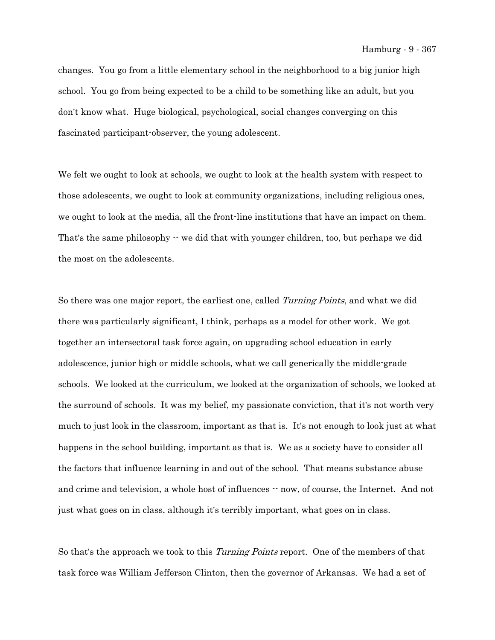changes. You go from a little elementary school in the neighborhood to a big junior high school. You go from being expected to be a child to be something like an adult, but you don't know what. Huge biological, psychological, social changes converging on this fascinated participant-observer, the young adolescent.

We felt we ought to look at schools, we ought to look at the health system with respect to those adolescents, we ought to look at community organizations, including religious ones, we ought to look at the media, all the front-line institutions that have an impact on them. That's the same philosophy  $\cdot \cdot$  we did that with younger children, too, but perhaps we did the most on the adolescents.

So there was one major report, the earliest one, called *Turning Points*, and what we did there was particularly significant, I think, perhaps as a model for other work. We got together an intersectoral task force again, on upgrading school education in early adolescence, junior high or middle schools, what we call generically the middle-grade schools. We looked at the curriculum, we looked at the organization of schools, we looked at the surround of schools. It was my belief, my passionate conviction, that it's not worth very much to just look in the classroom, important as that is. It's not enough to look just at what happens in the school building, important as that is. We as a society have to consider all the factors that influence learning in and out of the school. That means substance abuse and crime and television, a whole host of influences  $-$  now, of course, the Internet. And not just what goes on in class, although it's terribly important, what goes on in class.

So that's the approach we took to this *Turning Points* report. One of the members of that task force was William Jefferson Clinton, then the governor of Arkansas. We had a set of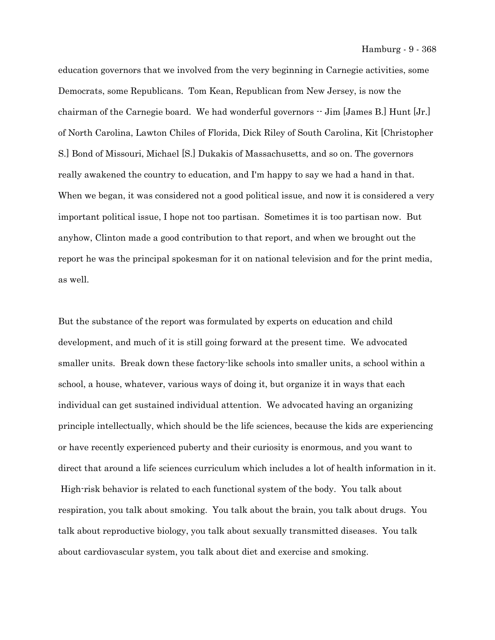education governors that we involved from the very beginning in Carnegie activities, some Democrats, some Republicans. Tom Kean, Republican from New Jersey, is now the chairman of the Carnegie board. We had wonderful governors  $-$  Jim [James B.] Hunt [Jr.] of North Carolina, Lawton Chiles of Florida, Dick Riley of South Carolina, Kit [Christopher S.] Bond of Missouri, Michael [S.] Dukakis of Massachusetts, and so on. The governors really awakened the country to education, and I'm happy to say we had a hand in that. When we began, it was considered not a good political issue, and now it is considered a very important political issue, I hope not too partisan. Sometimes it is too partisan now. But anyhow, Clinton made a good contribution to that report, and when we brought out the report he was the principal spokesman for it on national television and for the print media, as well.

But the substance of the report was formulated by experts on education and child development, and much of it is still going forward at the present time. We advocated smaller units. Break down these factory-like schools into smaller units, a school within a school, a house, whatever, various ways of doing it, but organize it in ways that each individual can get sustained individual attention. We advocated having an organizing principle intellectually, which should be the life sciences, because the kids are experiencing or have recently experienced puberty and their curiosity is enormous, and you want to direct that around a life sciences curriculum which includes a lot of health information in it. High-risk behavior is related to each functional system of the body. You talk about respiration, you talk about smoking. You talk about the brain, you talk about drugs. You talk about reproductive biology, you talk about sexually transmitted diseases. You talk about cardiovascular system, you talk about diet and exercise and smoking.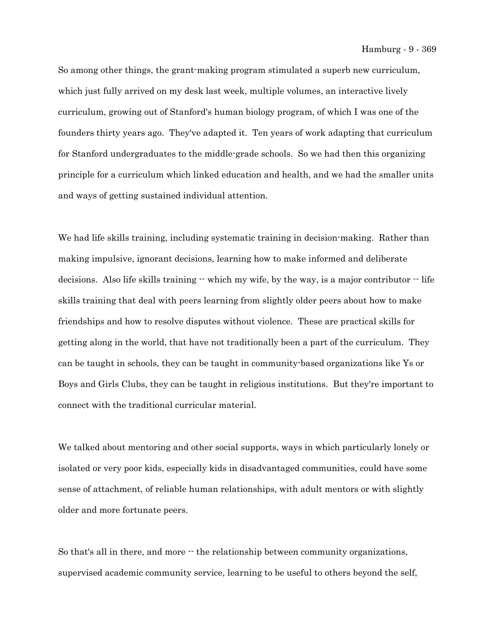So among other things, the grant-making program stimulated a superb new curriculum, which just fully arrived on my desk last week, multiple volumes, an interactive lively curriculum, growing out of Stanford's human biology program, of which I was one of the founders thirty years ago. They've adapted it. Ten years of work adapting that curriculum for Stanford undergraduates to the middle-grade schools. So we had then this organizing principle for a curriculum which linked education and health, and we had the smaller units and ways of getting sustained individual attention.

We had life skills training, including systematic training in decision-making. Rather than making impulsive, ignorant decisions, learning how to make informed and deliberate decisions. Also life skills training  $-$  which my wife, by the way, is a major contributor  $-$  life skills training that deal with peers learning from slightly older peers about how to make friendships and how to resolve disputes without violence. These are practical skills for getting along in the world, that have not traditionally been a part of the curriculum. They can be taught in schools, they can be taught in community-based organizations like Ys or Boys and Girls Clubs, they can be taught in religious institutions. But they're important to connect with the traditional curricular material.

We talked about mentoring and other social supports, ways in which particularly lonely or isolated or very poor kids, especially kids in disadvantaged communities, could have some sense of attachment, of reliable human relationships, with adult mentors or with slightly older and more fortunate peers.

So that's all in there, and more  $\cdot$  the relationship between community organizations, supervised academic community service, learning to be useful to others beyond the self,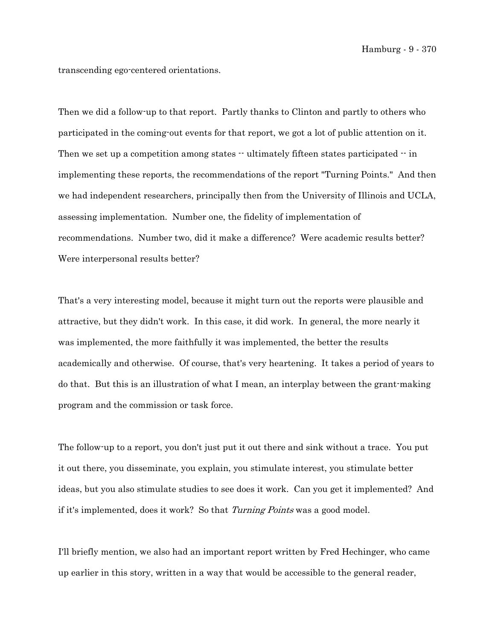transcending ego-centered orientations.

Then we did a follow-up to that report. Partly thanks to Clinton and partly to others who participated in the coming-out events for that report, we got a lot of public attention on it. Then we set up a competition among states  $-$  ultimately fifteen states participated  $-$  in implementing these reports, the recommendations of the report "Turning Points." And then we had independent researchers, principally then from the University of Illinois and UCLA, assessing implementation. Number one, the fidelity of implementation of recommendations. Number two, did it make a difference? Were academic results better? Were interpersonal results better?

That's a very interesting model, because it might turn out the reports were plausible and attractive, but they didn't work. In this case, it did work. In general, the more nearly it was implemented, the more faithfully it was implemented, the better the results academically and otherwise. Of course, that's very heartening. It takes a period of years to do that. But this is an illustration of what I mean, an interplay between the grant-making program and the commission or task force.

The follow-up to a report, you don't just put it out there and sink without a trace. You put it out there, you disseminate, you explain, you stimulate interest, you stimulate better ideas, but you also stimulate studies to see does it work. Can you get it implemented? And if it's implemented, does it work? So that Turning Points was a good model.

I'll briefly mention, we also had an important report written by Fred Hechinger, who came up earlier in this story, written in a way that would be accessible to the general reader,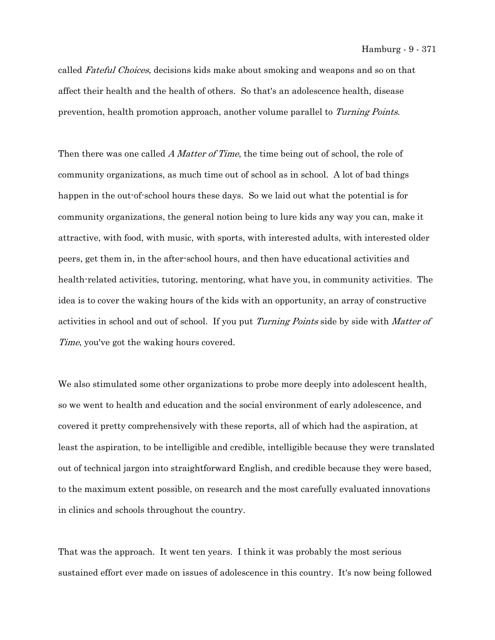called Fateful Choices, decisions kids make about smoking and weapons and so on that affect their health and the health of others. So that's an adolescence health, disease prevention, health promotion approach, another volume parallel to Turning Points.

Then there was one called A Matter of Time, the time being out of school, the role of community organizations, as much time out of school as in school. A lot of bad things happen in the out-of-school hours these days. So we laid out what the potential is for community organizations, the general notion being to lure kids any way you can, make it attractive, with food, with music, with sports, with interested adults, with interested older peers, get them in, in the after-school hours, and then have educational activities and health-related activities, tutoring, mentoring, what have you, in community activities. The idea is to cover the waking hours of the kids with an opportunity, an array of constructive activities in school and out of school. If you put Turning Points side by side with Matter of Time, you've got the waking hours covered.

We also stimulated some other organizations to probe more deeply into adolescent health, so we went to health and education and the social environment of early adolescence, and covered it pretty comprehensively with these reports, all of which had the aspiration, at least the aspiration, to be intelligible and credible, intelligible because they were translated out of technical jargon into straightforward English, and credible because they were based, to the maximum extent possible, on research and the most carefully evaluated innovations in clinics and schools throughout the country.

That was the approach. It went ten years. I think it was probably the most serious sustained effort ever made on issues of adolescence in this country. It's now being followed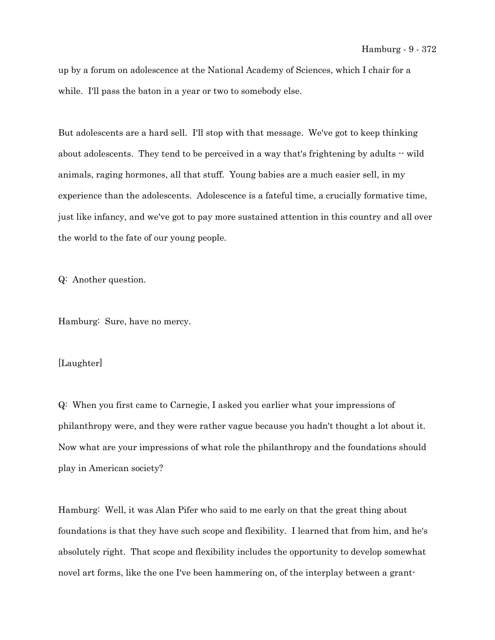up by a forum on adolescence at the National Academy of Sciences, which I chair for a while. I'll pass the baton in a year or two to somebody else.

But adolescents are a hard sell. I'll stop with that message. We've got to keep thinking about adolescents. They tend to be perceived in a way that's frightening by adults  $-$  wild animals, raging hormones, all that stuff. Young babies are a much easier sell, in my experience than the adolescents. Adolescence is a fateful time, a crucially formative time, just like infancy, and we've got to pay more sustained attention in this country and all over the world to the fate of our young people.

Q: Another question.

Hamburg: Sure, have no mercy.

## [Laughter]

Q: When you first came to Carnegie, I asked you earlier what your impressions of philanthropy were, and they were rather vague because you hadn't thought a lot about it. Now what are your impressions of what role the philanthropy and the foundations should play in American society?

Hamburg: Well, it was Alan Pifer who said to me early on that the great thing about foundations is that they have such scope and flexibility. I learned that from him, and he's absolutely right. That scope and flexibility includes the opportunity to develop somewhat novel art forms, like the one I've been hammering on, of the interplay between a grant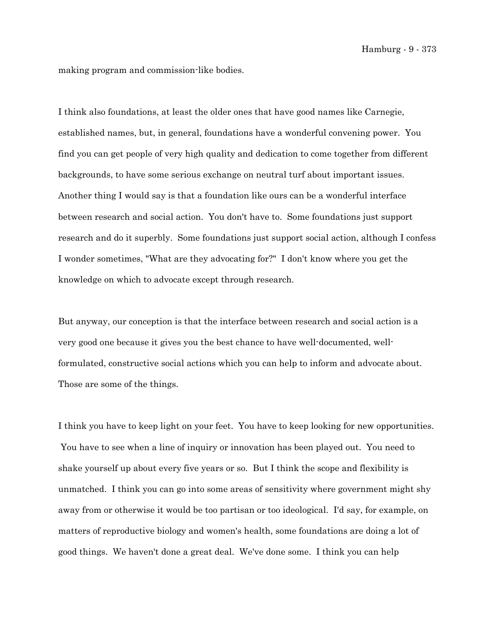making program and commission-like bodies.

I think also foundations, at least the older ones that have good names like Carnegie, established names, but, in general, foundations have a wonderful convening power. You find you can get people of very high quality and dedication to come together from different backgrounds, to have some serious exchange on neutral turf about important issues. Another thing I would say is that a foundation like ours can be a wonderful interface between research and social action. You don't have to. Some foundations just support research and do it superbly. Some foundations just support social action, although I confess I wonder sometimes, "What are they advocating for?" I don't know where you get the knowledge on which to advocate except through research.

But anyway, our conception is that the interface between research and social action is a very good one because it gives you the best chance to have well-documented, wellformulated, constructive social actions which you can help to inform and advocate about. Those are some of the things.

I think you have to keep light on your feet. You have to keep looking for new opportunities. You have to see when a line of inquiry or innovation has been played out. You need to shake yourself up about every five years or so. But I think the scope and flexibility is unmatched. I think you can go into some areas of sensitivity where government might shy away from or otherwise it would be too partisan or too ideological. I'd say, for example, on matters of reproductive biology and women's health, some foundations are doing a lot of good things. We haven't done a great deal. We've done some. I think you can help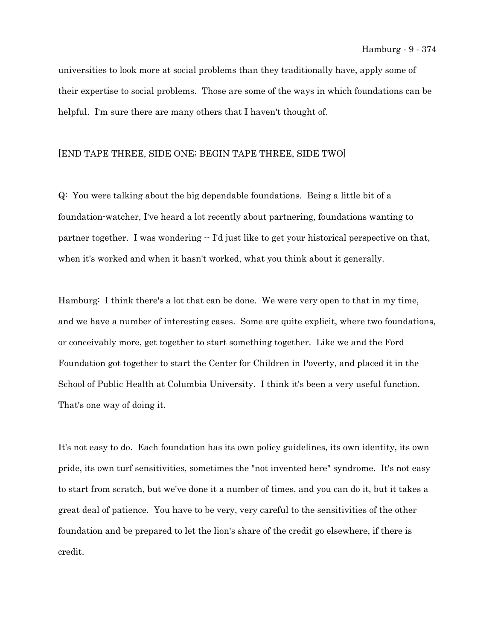universities to look more at social problems than they traditionally have, apply some of their expertise to social problems. Those are some of the ways in which foundations can be helpful. I'm sure there are many others that I haven't thought of.

## [END TAPE THREE, SIDE ONE; BEGIN TAPE THREE, SIDE TWO]

Q: You were talking about the big dependable foundations. Being a little bit of a foundation-watcher, I've heard a lot recently about partnering, foundations wanting to partner together. I was wondering  $\cdot$  I'd just like to get your historical perspective on that, when it's worked and when it hasn't worked, what you think about it generally.

Hamburg: I think there's a lot that can be done. We were very open to that in my time, and we have a number of interesting cases. Some are quite explicit, where two foundations, or conceivably more, get together to start something together. Like we and the Ford Foundation got together to start the Center for Children in Poverty, and placed it in the School of Public Health at Columbia University. I think it's been a very useful function. That's one way of doing it.

It's not easy to do. Each foundation has its own policy guidelines, its own identity, its own pride, its own turf sensitivities, sometimes the "not invented here" syndrome. It's not easy to start from scratch, but we've done it a number of times, and you can do it, but it takes a great deal of patience. You have to be very, very careful to the sensitivities of the other foundation and be prepared to let the lion's share of the credit go elsewhere, if there is credit.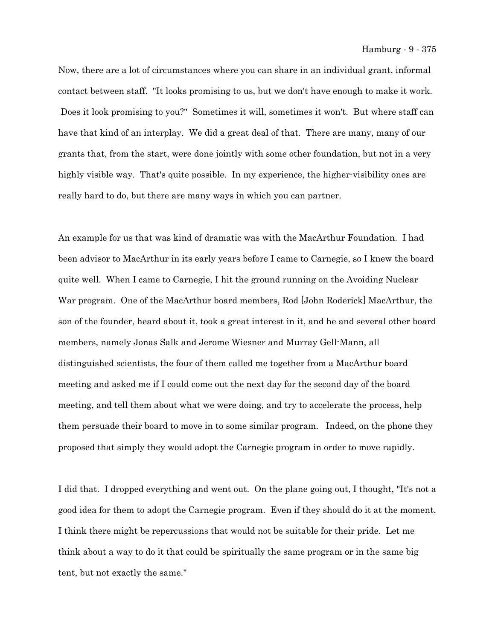Now, there are a lot of circumstances where you can share in an individual grant, informal contact between staff. "It looks promising to us, but we don't have enough to make it work. Does it look promising to you?" Sometimes it will, sometimes it won't. But where staff can have that kind of an interplay. We did a great deal of that. There are many, many of our grants that, from the start, were done jointly with some other foundation, but not in a very highly visible way. That's quite possible. In my experience, the higher-visibility ones are really hard to do, but there are many ways in which you can partner.

An example for us that was kind of dramatic was with the MacArthur Foundation. I had been advisor to MacArthur in its early years before I came to Carnegie, so I knew the board quite well. When I came to Carnegie, I hit the ground running on the Avoiding Nuclear War program. One of the MacArthur board members, Rod [John Roderick] MacArthur, the son of the founder, heard about it, took a great interest in it, and he and several other board members, namely Jonas Salk and Jerome Wiesner and Murray Gell-Mann, all distinguished scientists, the four of them called me together from a MacArthur board meeting and asked me if I could come out the next day for the second day of the board meeting, and tell them about what we were doing, and try to accelerate the process, help them persuade their board to move in to some similar program. Indeed, on the phone they proposed that simply they would adopt the Carnegie program in order to move rapidly.

I did that. I dropped everything and went out. On the plane going out, I thought, "It's not a good idea for them to adopt the Carnegie program. Even if they should do it at the moment, I think there might be repercussions that would not be suitable for their pride. Let me think about a way to do it that could be spiritually the same program or in the same big tent, but not exactly the same."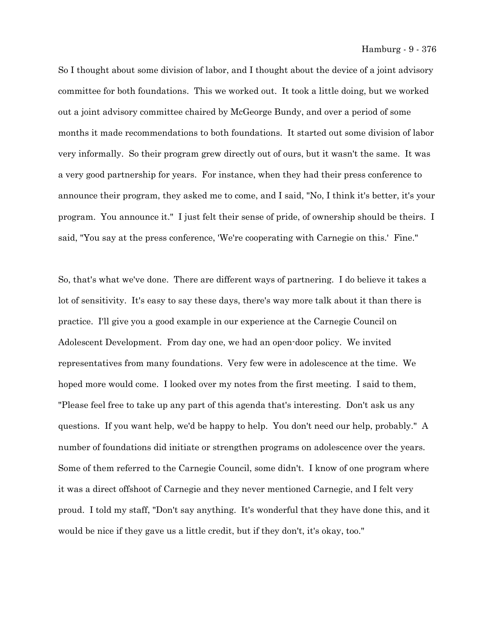So I thought about some division of labor, and I thought about the device of a joint advisory committee for both foundations. This we worked out. It took a little doing, but we worked out a joint advisory committee chaired by McGeorge Bundy, and over a period of some months it made recommendations to both foundations. It started out some division of labor very informally. So their program grew directly out of ours, but it wasn't the same. It was a very good partnership for years. For instance, when they had their press conference to announce their program, they asked me to come, and I said, "No, I think it's better, it's your program. You announce it." I just felt their sense of pride, of ownership should be theirs. I said, "You say at the press conference, 'We're cooperating with Carnegie on this.' Fine."

So, that's what we've done. There are different ways of partnering. I do believe it takes a lot of sensitivity. It's easy to say these days, there's way more talk about it than there is practice. I'll give you a good example in our experience at the Carnegie Council on Adolescent Development. From day one, we had an open-door policy. We invited representatives from many foundations. Very few were in adolescence at the time. We hoped more would come. I looked over my notes from the first meeting. I said to them, "Please feel free to take up any part of this agenda that's interesting. Don't ask us any questions. If you want help, we'd be happy to help. You don't need our help, probably." A number of foundations did initiate or strengthen programs on adolescence over the years. Some of them referred to the Carnegie Council, some didn't. I know of one program where it was a direct offshoot of Carnegie and they never mentioned Carnegie, and I felt very proud. I told my staff, "Don't say anything. It's wonderful that they have done this, and it would be nice if they gave us a little credit, but if they don't, it's okay, too."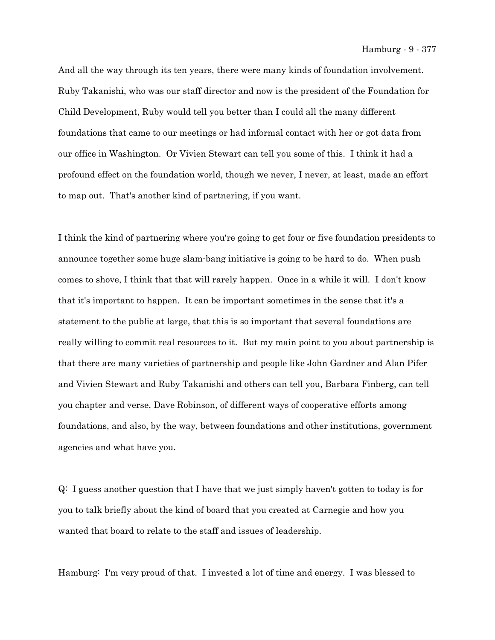And all the way through its ten years, there were many kinds of foundation involvement. Ruby Takanishi, who was our staff director and now is the president of the Foundation for Child Development, Ruby would tell you better than I could all the many different foundations that came to our meetings or had informal contact with her or got data from our office in Washington. Or Vivien Stewart can tell you some of this. I think it had a profound effect on the foundation world, though we never, I never, at least, made an effort to map out. That's another kind of partnering, if you want.

I think the kind of partnering where you're going to get four or five foundation presidents to announce together some huge slam-bang initiative is going to be hard to do. When push comes to shove, I think that that will rarely happen. Once in a while it will. I don't know that it's important to happen. It can be important sometimes in the sense that it's a statement to the public at large, that this is so important that several foundations are really willing to commit real resources to it. But my main point to you about partnership is that there are many varieties of partnership and people like John Gardner and Alan Pifer and Vivien Stewart and Ruby Takanishi and others can tell you, Barbara Finberg, can tell you chapter and verse, Dave Robinson, of different ways of cooperative efforts among foundations, and also, by the way, between foundations and other institutions, government agencies and what have you.

Q: I guess another question that I have that we just simply haven't gotten to today is for you to talk briefly about the kind of board that you created at Carnegie and how you wanted that board to relate to the staff and issues of leadership.

Hamburg: I'm very proud of that. I invested a lot of time and energy. I was blessed to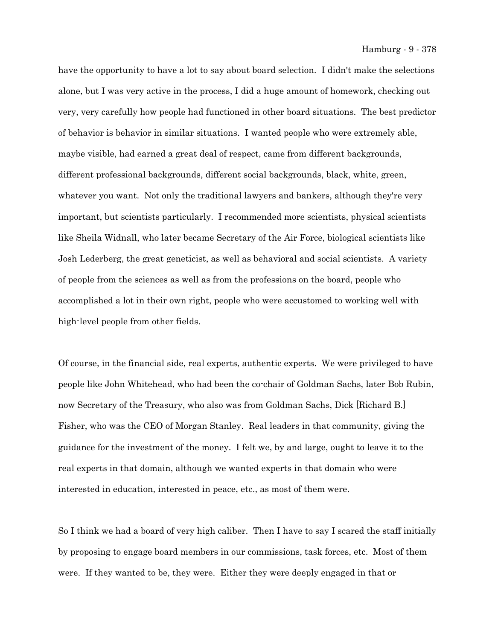have the opportunity to have a lot to say about board selection. I didn't make the selections alone, but I was very active in the process, I did a huge amount of homework, checking out very, very carefully how people had functioned in other board situations. The best predictor of behavior is behavior in similar situations. I wanted people who were extremely able, maybe visible, had earned a great deal of respect, came from different backgrounds, different professional backgrounds, different social backgrounds, black, white, green, whatever you want. Not only the traditional lawyers and bankers, although they're very important, but scientists particularly. I recommended more scientists, physical scientists like Sheila Widnall, who later became Secretary of the Air Force, biological scientists like Josh Lederberg, the great geneticist, as well as behavioral and social scientists. A variety of people from the sciences as well as from the professions on the board, people who accomplished a lot in their own right, people who were accustomed to working well with high-level people from other fields.

Of course, in the financial side, real experts, authentic experts. We were privileged to have people like John Whitehead, who had been the co-chair of Goldman Sachs, later Bob Rubin, now Secretary of the Treasury, who also was from Goldman Sachs, Dick [Richard B.] Fisher, who was the CEO of Morgan Stanley. Real leaders in that community, giving the guidance for the investment of the money. I felt we, by and large, ought to leave it to the real experts in that domain, although we wanted experts in that domain who were interested in education, interested in peace, etc., as most of them were.

So I think we had a board of very high caliber. Then I have to say I scared the staff initially by proposing to engage board members in our commissions, task forces, etc. Most of them were. If they wanted to be, they were. Either they were deeply engaged in that or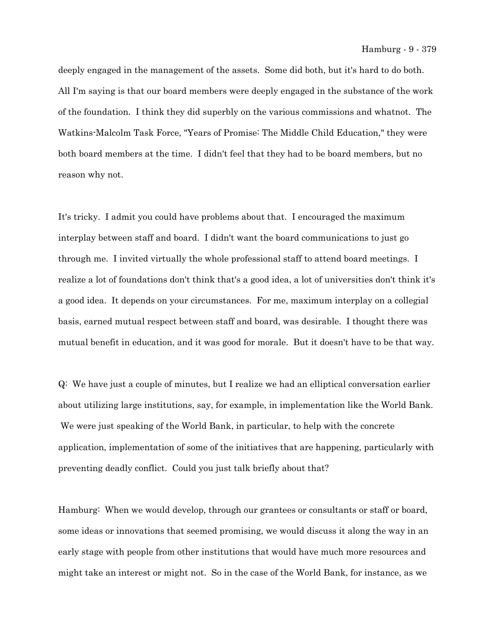deeply engaged in the management of the assets. Some did both, but it's hard to do both. All I'm saying is that our board members were deeply engaged in the substance of the work of the foundation. I think they did superbly on the various commissions and whatnot. The Watkins-Malcolm Task Force, "Years of Promise: The Middle Child Education," they were both board members at the time. I didn't feel that they had to be board members, but no reason why not.

It's tricky. I admit you could have problems about that. I encouraged the maximum interplay between staff and board. I didn't want the board communications to just go through me. I invited virtually the whole professional staff to attend board meetings. I realize a lot of foundations don't think that's a good idea, a lot of universities don't think it's a good idea. It depends on your circumstances. For me, maximum interplay on a collegial basis, earned mutual respect between staff and board, was desirable. I thought there was mutual benefit in education, and it was good for morale. But it doesn't have to be that way.

Q: We have just a couple of minutes, but I realize we had an elliptical conversation earlier about utilizing large institutions, say, for example, in implementation like the World Bank. We were just speaking of the World Bank, in particular, to help with the concrete application, implementation of some of the initiatives that are happening, particularly with preventing deadly conflict. Could you just talk briefly about that?

Hamburg: When we would develop, through our grantees or consultants or staff or board, some ideas or innovations that seemed promising, we would discuss it along the way in an early stage with people from other institutions that would have much more resources and might take an interest or might not. So in the case of the World Bank, for instance, as we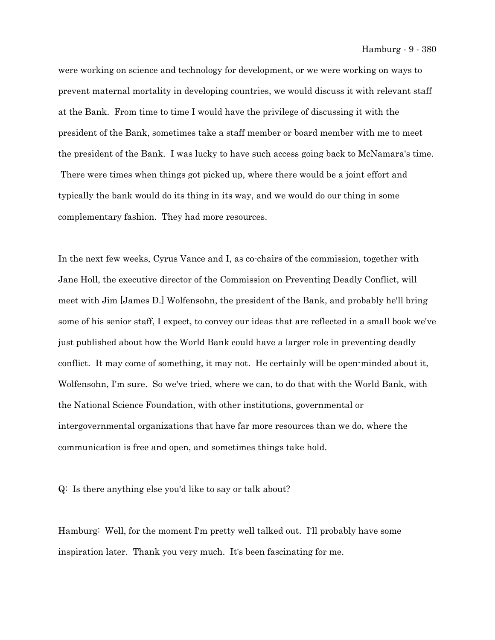were working on science and technology for development, or we were working on ways to prevent maternal mortality in developing countries, we would discuss it with relevant staff at the Bank. From time to time I would have the privilege of discussing it with the president of the Bank, sometimes take a staff member or board member with me to meet the president of the Bank. I was lucky to have such access going back to McNamara's time. There were times when things got picked up, where there would be a joint effort and typically the bank would do its thing in its way, and we would do our thing in some complementary fashion. They had more resources.

In the next few weeks, Cyrus Vance and I, as co-chairs of the commission, together with Jane Holl, the executive director of the Commission on Preventing Deadly Conflict, will meet with Jim [James D.] Wolfensohn, the president of the Bank, and probably he'll bring some of his senior staff, I expect, to convey our ideas that are reflected in a small book we've just published about how the World Bank could have a larger role in preventing deadly conflict. It may come of something, it may not. He certainly will be open-minded about it, Wolfensohn, I'm sure. So we've tried, where we can, to do that with the World Bank, with the National Science Foundation, with other institutions, governmental or intergovernmental organizations that have far more resources than we do, where the communication is free and open, and sometimes things take hold.

Q: Is there anything else you'd like to say or talk about?

Hamburg: Well, for the moment I'm pretty well talked out. I'll probably have some inspiration later. Thank you very much. It's been fascinating for me.